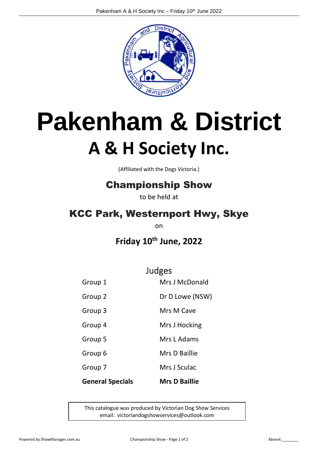

# **Pakenham & District A & H Society Inc.**

(Affiliated with the Dogs Victoria.)

## Championship Show

to be held at

## KCC Park, Westernport Hwy, Skye

on

**Friday 10th June, 2022**

Judges

| <b>General Specials</b> | <b>Mrs D Baillie</b> |
|-------------------------|----------------------|
| Group 7                 | Mrs J Sculac         |
| Group 6                 | Mrs D Baillie        |
| Group 5                 | Mrs L Adams          |
| Group 4                 | Mrs J Hocking        |
| Group 3                 | Mrs M Cave           |
| Group 2                 | Dr D Lowe (NSW)      |
| Group 1                 | Mrs J McDonald       |

This catalogue was produced by Victorian Dog Show Services email: victoriandogshowservices@outlook.com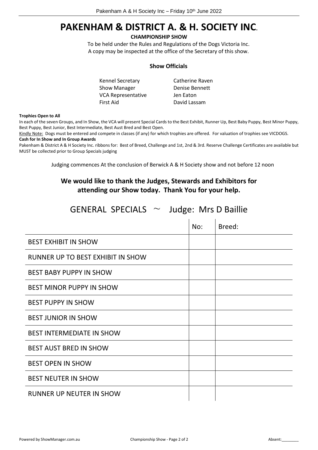## **PAKENHAM & DISTRICT A. & H. SOCIETY INC.**

## **CHAMPIONSHIP SHOW**

To be held under the Rules and Regulations of the Dogs Victoria Inc. A copy may be inspected at the office of the Secretary of this show.

## **Show Officials**

| Kennel Secretary   | Catherine Raven |
|--------------------|-----------------|
| Show Manager       | Denise Bennett  |
| VCA Representative | Jen Eaton       |
| First Aid          | David Lassam    |

### **Trophies Open to All**

In each of the seven Groups, and In Show, the VCA will present Special Cards to the Best Exhibit, Runner Up, Best Baby Puppy, Best Minor Puppy, Best Puppy, Best Junior, Best Intermediate, Best Aust Bred and Best Open.

Kindly Note: Dogs must be entered and compete in classes (if any) for which trophies are offered. For valuation of trophies see VICDOGS. **Cash for In Show and In Group Awards** 

Pakenham & District A & H Society Inc. ribbons for: Best of Breed, Challenge and 1st, 2nd & 3rd. Reserve Challenge Certificates are available but MUST be collected prior to Group Specials judging

Judging commences At the conclusion of Berwick A & H Society show and not before 12 noon

## **We would like to thank the Judges, Stewards and Exhibitors for attending our Show today. Thank You for your help.**

| GENERAL SPECIALS $\sim$ Judge: Mrs D Baillie |     |        |
|----------------------------------------------|-----|--------|
|                                              | No: | Breed: |
| <b>BEST EXHIBIT IN SHOW</b>                  |     |        |
| RUNNER UP TO BEST EXHIBIT IN SHOW            |     |        |
| <b>BEST BABY PUPPY IN SHOW</b>               |     |        |
| <b>BEST MINOR PUPPY IN SHOW</b>              |     |        |
| <b>BEST PUPPY IN SHOW</b>                    |     |        |
| <b>BEST JUNIOR IN SHOW</b>                   |     |        |
| <b>BEST INTERMEDIATE IN SHOW</b>             |     |        |
| <b>BEST AUST BRED IN SHOW</b>                |     |        |
| <b>BEST OPEN IN SHOW</b>                     |     |        |
| <b>BEST NEUTER IN SHOW</b>                   |     |        |
| <b>RUNNER UP NEUTER IN SHOW</b>              |     |        |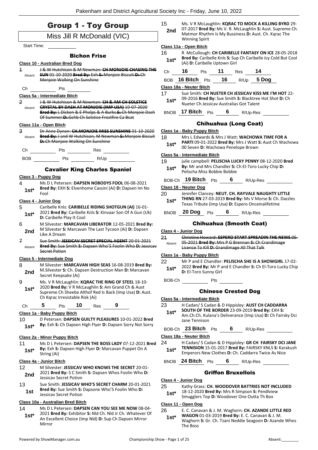| <b>Group 1 - Toy Group</b> |  |
|----------------------------|--|
| Miss Jill R McDonald (VIC) |  |

Start Time:

### Bichon Frise

## **Class 10 - Australian Bred Dog**

- 1 J & W Hutchison & M Newman: **CH MONJOIE CHASING THE SUN** 01-10-2020 **Bred By:** Exh **S:** Monjoie Biscuit **D:** Ch Monjoie Walking On Sunshine Absent
- Ch Pts

### **Class 5a - Intermediate Bitch**

2 J & W Hutchison & M Newman: **CH & AM CH SOLSTICE CRYSTAL BY DASH AT MONJOIE (IMP USA)** 10-07-2020 **Bred By:** L Dicken & E Phelps & A Burks **S:** Ch Monjoie Dash Of Summer **D:** Gchb Ch Solstice Frostfire Ca Bcat Absent

#### **Class 11a - Open Bitch**

3 Dr Anne Dynon: **CH.MONJOIE MISS SUNSHINE** 01-10-2020 **Bred By:** J and W Hutchison, M Newman **S:** Monjoie Biscuit **D:** Ch Monjoie Walking On Sunshine Absent



## BOB Pts R/Up

## Cavalier King Charles Spaniel

#### **Class 3 - Puppy Dog**

4 Ms D L Petersen: **DAPSEN NOBODYS FOOL** 06-08-2021 **Bred By:** EXH **S:** Elvenhome Cassini (Ai) **D:** Dapsen Im No Fool **1st\***

#### **Class 4 - Junior Dog**

- 5 Caribelle Knls: **CARIBELLE RIDING SHOTGUN (AI)** 16-01- 2021 **Bred By:** Caribelle Knls **S:** Kinvaar Son Of A Gun (Uk) **1st**\* 2021 **Bred By:** Caribelle Play It Cool
- 6 M Silvester: **MARCAVAN LIBERATOR** 12-05-2021 **Bred By:** M Silvester **S:** Marcavan The Last Tycoon (Ai) **D:** Dapsen **2nd** M Silvester S
- 7 Sue Smith: **JESSICAV SECRET SPECIAL AGENT** 20-01-2021 **Bred By:** Sue Smith **S:** Dapsen Who'S Foolin Who **D:** Jessicav Secret Potion Absent

#### **Class 5 - Intermediate Dog**

- 8 M Silvester: **MARCAVAN HIGH SEAS** 16-08-2019 **Bred By:** M.Silvester **S:** Ch. Dapsen Destruction Man **D:** Marcavan **2nd** M.SIIVester S: Cn. Da<br>Secret Keepsake (Ai)
- 9 Ms. V R McLaughlin: **KQRAC THE RING OF STEEL** 18-10- 2020 **Bred By:** V R McLaughlin **S:** Am Grand Ch & Aust Supreme Ch Sheeba Althof Red Is Back (Imp Usa) **D:** Aust. Ch Kqrac Irresistable Risk (Ai) **1st\***

Ch **5** Pts **10** Res **9**

## **Class 1a - Baby Puppy Bitch**

10 D Petersen: **DAPSEN GUILTY PLEASURES** 10-01-2022 **Bred By:** Exh **S:** Ch Dapsen High Flyer **D:** Dapsen Sorry Not Sorry **1st\***

#### **Class 2a - Minor Puppy Bitch**

11 Ms D L Petersen: **DAPSEN THE BOSS LADY** 07-12-2021 **Bred By:** Exh **S:** Dapsen High Flyer **D:** Marcavan Puppet On A **1st<sup>\*</sup> by:** Exn **s:**<br>String (Ai)

#### **Class 4a - Junior Bitch**

- 12 M Silvester: **JESSICAV WHO KNOWS THE SECRET** 20-01- 2021 **Bred By:** S C Smith **S:** Dapsen Whos Foolin Who **D: 2nd** <sup>2021</sup> Brea By: 5 C Smi<br>Jessicav Secret Potion
- 13 Sue Smith: **JESSICAV WHO'S SECRET CHARM** 20-01-2021 **Bred By:** Sue Smith **S:** Dapsone Who'S Foolin Who **D:**  Jessicav Secret Potion **1st**

#### **Class 10a - Australian Bred Bitch**

14 Ms D L Petersen: **DAPSEN CAN YOU SEE ME NOW** 08-04- 2021 **Bred By:** Exhibitor **S:** Nld Ch. Nld Jr Ch. Whatever Of An Excellent Choice (Imp Nld) **D:** Sup Ch Dapsen Mirror Mirror **1st\***

15 Ms. V R McLaughlin: **KQRAC TO MOCK A KILLING BYRD** 29- 07-2017 **Bred By:** Ms V. R. McLaughlin **S:** Aust. Supreme Ch. Matmor Rhythm Is My Bussiness **D:** Aust. Ch. Kqrac The Winning Spirit **2nd**

#### **Class 11a - Open Bitch**

16 R McCullough: **CH CARIBELLE FANTASY ON ICE** 28-05-2018 **Bred By:** Caribelle Knls **S:** Sup Ch Caribelle Icy Cold But Cool (Ai) **D:** Caribelle Uptown Girl **1st\***

|       | 16         |        | 11 |      |              |  |
|-------|------------|--------|----|------|--------------|--|
| $-22$ | $AC$ Ditab | $\sim$ |    | $ -$ | <b>E</b> DAM |  |

## BOB **16 Bitch** Pts **16** R/Up **5 Dog**

BNOB **17 Bitch** Pts **6** R/Up-Res

#### **Class 18a - Neuter Bitch**

17 Sue Smith: **CH NUETER CH JESSICAV KISS ME I'M HOT** 22- 09-2016 **Bred By:** Sue Smith **S:** Blacktree Hot Shot **D:** Ch **1st**\* UP-2016 **Bred By:** Sue Smith S: Blacktree<br>Nueter Ch Jessicav Australias Got Talent

## Chihuahua (Long Coat)

## **Class 1a - Baby Puppy Bitch**

- 18 Mrs L Edwards & Mrs J Watt: **WACHOWA TIME FOR A** 
	- **PARTI** 09-01-2022 **Bred By:** Mrs J Watt **S:** Aust Ch Wachowa 00 Seven **D:** Wachowa Penelope Brown **1st\***

#### **Class 5a - Intermediate Bitch**

| 19<br>$1st*$ | Pelischa Miss Bobbie Bobbie |            |   | julie campbell: PELISCHA LUCKY PENNY 08-12-2020 Bred<br>By: Mr and Mrs Chandler S: Ch El-Toro Lucky Chip D: |  |
|--------------|-----------------------------|------------|---|-------------------------------------------------------------------------------------------------------------|--|
| BOB-Ch       | 19 Bitch                    | <b>Pts</b> | 6 | R/Up-Res                                                                                                    |  |

#### **Class 18 - Neuter Dog**

- 20 Jennifer Clancey: **NEUT. CH. RAYVALE NAUGHTY LITTLE THING RN** 27-03-2019 **Bred By:** Ms V Morse **S:** Ch. Dazzles Texas Tribute (Imp Usa) **D:** Espero Onceinalifetime **1st\***
- BNOB **20 Dog** Pts **6** R/Up-Res

#### Chihuahua (Smooth Coat)

#### **Class 4 - Junior Dog**

21 Christine Howard: **ESPERO START SPREADIN THE NEWS** 05- 05-2021 **Bred By:** Mrs P G Brennan **S:** Ch Crandimage Licence To Kill **D:** Grandimage All That Talk Absent

#### **Class 1a - Baby Puppy Bitch**

- 22 Mr P and E Chandler: **PELISCHA SHE IS A SHOWGIRL** 17-02- 2022 **Bred By:** Mr P and E Chandler **S:** Ch El-Toro Lucky Chip **1st**\* 2022 **Bred By:** Mr P a<br>**D:** El-Toro Sunny Girl
- BOB-Ch Pts

## Chinese Crested Dog

23 H Cadan/ S Cadan & D Hippisley: **AUST CH CADDARRA SOUTH OF THE BORDER** 23-09-2019 **Bred By:** EXH **S:**  Am.Ch.Ch. Kulana's Deliverance (Imp Usa) **D:** Ch Fairsky Dci Jane Tennison **1st\***

BOB-Ch **23 Bitch** Pts **6** R/Up-Res

#### **Class 18a - Neuter Bitch**

24 H Cadan/ S Cadan & D Hippisley: **GR CH FAIRSKY DCI JANE TENNISION** 15-01-2017 **Bred By:** FAIRSKY KNLS **S:** Karakush **1st\* ENNISION** 15-01-2017 **Bred By:** FAIRSKY KNLS **5:** Kara<br>Emperors New Clothes **D:** Ch. Caddarra Twice As Nice

BNOB **24 Bitch** Pts **6** R/Up-Res

### Griffon Bruxellois

#### **Class 4 - Junior Dog**

- 25 Kathy Grass: **CH. WOODOVER BATTRIES NOT INCLUDED**
	- 18-12-2020 **Bred By:** Mrs R Simpson **S:** Pendlview
	- **1st** 18-12-2020 **Brea By:** Mrs R Simpson **S**: Pendivie<br>Smugglers Top **D:** Woodover One Outta Th Box

#### **Class 11 - Open Dog**

- 26 E. C. Canavan & J. M. Waghorn: **CH. AZANDE LITTLE RED** 
	- **WAGON** 01-03-2019 **Bred By:** E. C. Canavan & J. M. Waghorn **S:** Gr. Ch. Tzani Neddie Seagoon **D:** Azande Whos The Boss **1st\***
- 
- **Class 5a - Intermediate Bitch**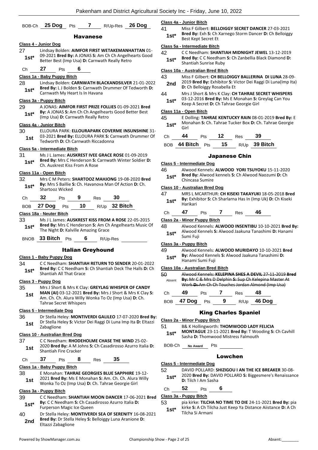|               | BOB-Ch 25 Dog<br>7 R/Up-Res 26 Dog<br>Pts                                                                                                                                                                          | <u>c</u><br>4       |
|---------------|--------------------------------------------------------------------------------------------------------------------------------------------------------------------------------------------------------------------|---------------------|
|               | <b>Havanese</b>                                                                                                                                                                                                    |                     |
|               | Class 4 - Junior Dog                                                                                                                                                                                               | <u>c</u>            |
| 27<br>$1st*$  | Lindsay Bolden: AIMFOR FIRST WETAKEMANHATTAN 01-<br>09-2021 Bred By: A JONAS S: Am Ch Ch Angelhearts Good<br>Better Best (Imp Usa) D: Carnwath Really Retro                                                        | 4                   |
| Сh            | 27<br>6<br><b>Pts</b>                                                                                                                                                                                              | <u>c</u>            |
|               | Class 1a - Baby Puppy Bitch                                                                                                                                                                                        | 4                   |
| 28            | Lindsay Bolden: CARNWATH BLACKANDSILVER 21-01-2022                                                                                                                                                                 |                     |
| $1st*$        | Bred By: L J Bolden S: Carnwath Drummer Of Tedworth D:<br>Carnwath My Heart Is In Havana                                                                                                                           | 4                   |
|               | Class 3a - Puppy Bitch                                                                                                                                                                                             |                     |
| 29<br>$1st^*$ | A JONAS: AIMFOR FIRST PRIZE FOLLIES 01-09-2021 Bred<br>By: A JONAS S: Am Ch Ch Angelhearts Good Better Best<br>(Imp Usa) D: Carnwath Really Retro                                                                  | <u>c</u><br>4       |
|               | Class 4a - Junior Bitch                                                                                                                                                                                            |                     |
| 30<br>1st     | ELLOURA PARK: ELLOURAPARK COVERME INSUNSHINE 31-<br>03-2021 Bred By: ELLOURA PARK S: Carnwath Drummer Of<br>Tedworth D: Ch Carnwath Riccadonna                                                                     |                     |
|               | <u> Class 5a - Intermediate Bitch</u>                                                                                                                                                                              |                     |
| 31            | Ms J L James: AUSKREST IVEE GRACE ROSE 01-09-2019                                                                                                                                                                  |                     |
| 1st*          | Bred By: Mrs C Henderson S: Carnwath Winter Soldier D:<br>Ch. Auskrest Kiss From A Rose                                                                                                                            | <u>С</u><br>4       |
|               | Class 11a - Open Bitch                                                                                                                                                                                             |                     |
| 32<br>$1st*$  | Mrs C M Peters: SHARTOOZ MAHJONG 19-08-2020 Bred<br>By: Mrs S Baillie S: Ch. Havanova Man Of Action D: Ch.<br>Shartooz Wicked                                                                                      | <u>c</u>            |
| Сh            | 32<br>9<br>30<br><b>Pts</b><br><b>Res</b>                                                                                                                                                                          | 4                   |
| BOB.          | R/Up 32 Bitch<br>10<br>27 Dog<br>Pts                                                                                                                                                                               |                     |
|               | Class 18a - Neuter Bitch                                                                                                                                                                                           |                     |
| 33            | Ms J L James: <b>AUSKREST KISS FROM A ROSE</b> 22-05-2015                                                                                                                                                          | <u>c</u>            |
| 1st*          | Bred By: Mrs C Henderson S: Am Ch Angelhearts Music Of<br>The Night D: Kalville Amazing Grace                                                                                                                      | $\overline{4}$      |
|               | BNOB 33 Bitch Pts<br>6<br>R/Up-Res                                                                                                                                                                                 |                     |
|               | <b>Italian Greyhound</b>                                                                                                                                                                                           | C<br>4              |
|               | Class 1 - Baby Puppy Dog                                                                                                                                                                                           |                     |
| 34            | C C Needham: SHANTIAH RETURN TO SENDER 20-01-2022                                                                                                                                                                  |                     |
| $1st^*$       | Bred By: C C Needham S: Ch Shantiah Deck The Halls D: Ch<br>Shantiah All That Grace                                                                                                                                | $\overline{c}$<br>5 |
|               | Class 3 - Puppy Dog                                                                                                                                                                                                |                     |
| 35<br>1st     | Mrs J Short & Mrs K Clay: GREYLAG WHISPER OF CANDY<br><b>MAN (AI) 03-12-2021 Bred By: Mrs J Short &amp; Mrs K Clay S:</b><br>Am. Ch. Ch. Alura Willy Wonka To Oz (Imp Usa) D: Ch.<br><b>Tahrae Secret Whispers</b> |                     |
|               | <u>Class 5 - Intermediate Doq</u>                                                                                                                                                                                  |                     |
| 36<br>1st     | Dr Stella Heley: MONTIVERDI GALILEO 17-07-2020 Bred By:<br>Dr Stella Heley S: Victor Dei Raggi Di Luna Imp Ita D: Eltazzi<br>Zabaglione                                                                            | <u>c</u><br>5       |
|               | Class 10 - Australian Bred Dog                                                                                                                                                                                     |                     |
| 37<br>1st     | C C Needham: RHODEHOLME CHASE THE WIND 25-02-<br>2020 Bred By: A M Johns S: Ch Casadirosso Azurro Italia D:<br>Shantiah Fire Cracker                                                                               |                     |
| Сh            | 37<br>35<br>8<br>Pts<br>Res                                                                                                                                                                                        |                     |
|               | Class 1a - Baby Puppy Bitch                                                                                                                                                                                        |                     |
| 38<br>1st     | E Monahan: TAHRAE GEORGIES BLUE SAPPHIRE 19-12-<br>2021 Bred By: Ms E Monahan S: Am. Ch. Ch. Alura Willy<br>Wonka To Oz (Imp Usa) D: Ch. Tahrae Georgie Girl                                                       |                     |
|               | <u> Class 3a - Puppy Bitch</u>                                                                                                                                                                                     |                     |
| 39            | C C Needham: SHANTIAH MOON DANCER 17-06-2021 Bred                                                                                                                                                                  | <u>c</u>            |
| $1st^*$       | By: C C Needham S: Ch Casadirosso Azurro Italia D:<br>Furperson Magic Ice Queen                                                                                                                                    | 5                   |
| 40<br>2nd     | Dr Stella Heley: MONTIVERDI SEA OF SERENITY 16-08-2021<br>Bred By: Dr Stella Heley S: Belloiggy Luna Aranione D:<br>Eltazzi Zabaglione                                                                             |                     |

#### **Class 4a - Junior Bitch**

41 Miss F Gilbert: **BELLOIGGY SECRET DANCER** 27-03-2021 **Bred By:** Exh **S:** Ch Xarnego Storm Dancer **D:** Ch Belloiggy **1st\*** Brea by: Exn S: Cn .<br>Best Kept Secret Et

#### **Class 5a - Intermediate Bitch**

42 C C Needham: **SHANTIAH MIDNIGHT JEWEL** 13-12-2019 **Bred By:** C C Needham **S:** Ch Zanbellia Black Diamond **D: 1st\* Brea By:** C C Needham<br>Shantiah Sunrise Ruby

#### **Class 10a - Australian Bred Bitch**

- 43 Miss F Gilbert: **CH BELLOIGGY BALLERINA DI LUNA** 28-09- 2019 **Bred By:** Exhibitor **S:** Victor Dei Raggi Di Luna(Imp Ita) **2nd** <sup>2019</sup> Bred By: Exhibitor S: V<br>**D:** Ch Belloiggy Rosabella Et
- 44 Mrs J Short & Mrs K Clay: **CH TAHRAE SECRET WHISPERS** 03-12-2016 **Bred By:** Ms E Monahan **S:** Greylag Can You **1st**\* 03-12-2016 **Bred By:** Ms E Monahan S: 0<br>Keep A Secret **D**: Ch Tahrae Georgie Girl

#### **Class 11a - Open Bitch**

45 E Dolling: **TAHRAE KENTUCKY RAIN** 08-01-2019 **Bred By:** E Monahan **S:** Ch. Tahrae Tucker Box **D:** Ch. Tahrae Georgie Girl **1st\***

| Ch | 44                   | <b>Pts</b> | 12                          | Res | 39            |
|----|----------------------|------------|-----------------------------|-----|---------------|
|    | BOB $44$ Bitch $Pts$ |            | $\overline{\phantom{1}}$ 15 |     | R/Up 39 Bitch |

#### Japanese Chin

#### **Class 5 - Intermediate Dog**

46 Alwood Kennels: **ALWOOD YORI TSUYOKU** 15-11-2020 **Bred By:** Alwood kennels **S:** Ch Alwood Naozumi **D:** Ch **1st\* bred by:** Alwood<br>Chincasa Sumire

#### **Class 10 - Australian Bred Dog**

- 47 MRS L MCARTHUR: **CH KISEKI TAKAYUKI** 18-05-2018 **Bred By:** Exhibitor **S:** Ch Sharlarna Has In (Imp Uk) **D:** Ch Kiseki **1st\*** By: Exhi<br>Harikari
- Ch **47** Pts **7** Res **46**

#### **Class 2a - Minor Puppy Bitch**

48 Alwood Kennels: **ALWOOD INSENTIBU** 10-10-2021 **Bred By:** Alwood Kennels **S:** Alwood Jaakuna Tanashimi **D:** Hanami 1st\* Alwood **f**<br>Sumi Fuji

#### **Class 3a - Puppy Bitch**

49 Alwood Kennels: **ALWOOD MURIDAYO** 10-10-2021 **Bred By:** Alwood Kennels **S:** Alwood Jaakuna Tanashimi **D:**  1st\* **by:** Alwood Kenne<br>Hanami Sumi Fuji

#### **Class 10a - Australian Bred Bitch**

50 Alwood Kennels: **KELEPINA SHES A DEVIL** 27-11-2019 **Bred By:** Mr C & Mrs D Delphin **S:** Sup Ch Kelepina Master At Work **D:** Am Ch Ch Touches Jordan Almond (Imp Usa) Absent

| Ch | 49.            | <b>Pts</b> |    | Res | 48            |
|----|----------------|------------|----|-----|---------------|
|    | BOB 47 Dog Pts |            | -9 |     | $R/Up$ 46 Dog |

### King Charles Spaniel

#### **Class 2a - Minor Puppy Bitch**

51 B& K Hollingworth: **THOMWOOD LADY FELICIA MONTAGUE** 23-11-2021 **Bred By:** T Wooding **S:** Ch Cavhill **1st\* WONTAGUE 23-11-2021 Bred By: T Wo**<br>Sasha D: Thomwood Mistress Falmouth

- 
- BOB-Ch **No Award** Pts

#### Lowchen

#### **Class 5 - Intermediate Dog**

- 52 DAVID POLLARD: **SHIZIGOU I AN THE ICE BREAKER** 30-08-
- 2020 **Bred By:** DAVID POLLARD **S:** Biggesmere's Renaissance **D:** Tilch I Am Sasha **1st\***

## Ch **52** Pts **6**

## **Class 3a - Puppy Bitch**

53 pia kirke: **TILCHA NO TIME TO DIE** 24-11-2021 **Bred By:** pia kirke **S:** A Ch Tilcha Just Keep Ya Distance Aiistance **D:** A Ch **1st**\* Kirke **5:** A Ch Tilch<br>Tilcha Si Armani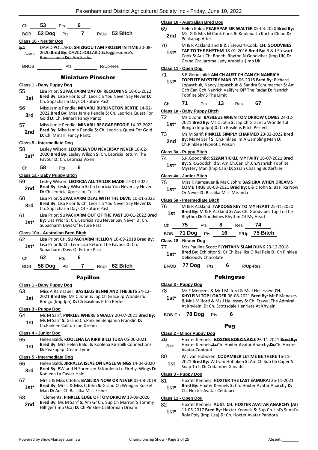| Сh            | 53                                 | Pts | 6                             |                                              |                                                                                                                    | Ω                            |
|---------------|------------------------------------|-----|-------------------------------|----------------------------------------------|--------------------------------------------------------------------------------------------------------------------|------------------------------|
| <b>BOB</b>    | 52 Dog                             | Pts | 7                             |                                              | R/Up 53 Bitch                                                                                                      | Е                            |
|               | Class 18 - Neuter Dog              |     |                               |                                              |                                                                                                                    |                              |
| 54<br>Absent  |                                    |     | Renaissance D: LAm Sasha      |                                              | DAVID POLLARD: SHIZIGOU I AM FROZEN IN TIME 30-08-<br>2020 Bred By: DAVID POLLARD S: Bigglesmere's                 |                              |
| <b>BNOB</b>   |                                    | Pts |                               | R/Up-Res                                     |                                                                                                                    | C                            |
|               |                                    |     |                               | <b>Miniature Pinscher</b>                    |                                                                                                                    |                              |
|               | Class 1 - Baby Puppy Dog           |     |                               |                                              |                                                                                                                    |                              |
| 55<br>1st     |                                    |     |                               | Ch. Supacharm Days Of Future Past            | Lisa Prior: SUPACHARM DAY OF RECKONING 10-01-2022<br>Bred By: Lisa Prior S: Ch. Leoricia You Never Say Never D:    |                              |
| 56<br>3rd     | Gold D: Ch. Minarli Fancy Pantz    |     |                               |                                              | Miss Jamie Pendle: MINARLI BURLINGTON BERTIE 14-02-<br>2022 Bred By: Miss Jamie Pendle S: Ch. Leoricia Quest For   | $\overline{\mathbf{c}}$      |
| 57<br>2nd     | D: Ch. Minarli Fancy Pantz         |     |                               |                                              | Miss Jamie Pendle: MINARLI REGGAE REGGIE 14-02-2022<br>Bred By: Miss Jamie Pendle S: Ch. Leoricia Quest For Gold   | 7                            |
|               | Class 5 - Intermediate Dog         |     |                               |                                              |                                                                                                                    |                              |
| 58<br>$1st*$  |                                    |     | Favour D: Ch. Leoricia Vixen  |                                              | Lesley Wilson: LEORICIA YOU NEVERSAY NEVER 10-02-<br>2020 Bred By: Lesley Wilson S: Ch. Leoricia Return The        | $\overline{\mathbf{C}}$      |
| Ch            | 58                                 | Pts | 6                             |                                              |                                                                                                                    |                              |
|               | Class 1a - Baby Puppy Bitch        |     |                               |                                              |                                                                                                                    |                              |
| 59<br>2nd     | D: Ch Leoricia Xpression Tells All |     |                               |                                              | Lesley Wilson: LEORICIA ALL TAILOR MADE 27-01-2022<br>Bred By: Lesley Wilson S: Ch Leoricia You Neversay Never     | $\frac{2}{7}$                |
| 60<br>3rd     |                                    |     |                               | Ch. Supacharm Days Of Future Past            | Lisa Prior: SUPACHARM DEAL WITH THE DEVIL 10-01-2022<br>Bred By: Lisa Prior S: Ch. Leoricia You Never Say Never D: | $\frac{1}{1}$                |
| 61<br>$1st*$  | Supacharm Days Of Future Past      |     |                               |                                              | Lisa Prior: SUPACHARM OUT OF THE PAST 10-01-2022 Bred<br>By: Lisa Prior S: Ch. Leoricia You Never Say Never D: Ch. |                              |
|               | Class 10a - Australian Bred Bitch  |     |                               |                                              |                                                                                                                    |                              |
| 62<br>1st*    | Supacharm Days Of Future Past      |     |                               |                                              | Lisa Prior: CH. SUPACHARM HELLION 10-09-2018 Bred By:<br>Lisa Prior S: Ch. Leoricica Return The Favour D: Ch.      | Ω                            |
| Сh            | 62                                 | Pts | 6                             |                                              |                                                                                                                    |                              |
| BOB           | <b>58 Dog</b>                      | Pts | 7                             |                                              | $R/Up$ 62 Bitch                                                                                                    |                              |
|               |                                    |     | <b>Papillon</b>               |                                              |                                                                                                                    |                              |
|               | <u> Class 1 - Baby Puppy Dog</u>   |     |                               |                                              |                                                                                                                    | $\mathbf \Omega$             |
| 63<br>1st     |                                    |     |                               | Bongo (Imp Jpn) D: Ch Basileus Pitch Perfect | Miss A Ramsauer: BASILEUS BENNI AND THE JETS 24-12-<br>2021 Bred By: Ms C John S: Jap Ch Grace Jp Wonderful        |                              |
|               | Class 3 - Puppy Dog                |     |                               |                                              |                                                                                                                    |                              |
| 64<br>1st     |                                    |     | Ch.Pinklee Californian Dream  |                                              | Ms M Sarif: PINKLEE WHERE'S WALLY 20-07-2021 Bred By:<br>Ms M Sarif S: Grand.Ch.Pinklee Benjamin Franklin D:       |                              |
|               | Class 4 - Junior Dog               |     |                               |                                              |                                                                                                                    | ا<br>پ                       |
| 65<br>1st     |                                    |     | <b>D:</b> Peakapap Dream Tyme |                                              | Helen Baldi: KOOLENA LA KIRRIBILLI TUKA 05-06-2021<br>Bred By: Mrs Helen Baldi S: Koolena Kirribilli Connections   |                              |
|               | Class 5 - Intermediate Dog         |     |                               |                                              |                                                                                                                    | ξ                            |
| 66<br>3rd     | Koolena La Caviar Halo             |     |                               |                                              | Helen Baldi: JIRRALEA ISLAS ON EAGLE WINGS 14-04-2020<br>Bred By: BW and H Sorensen S: Koolena Le Firefly Wings D: |                              |
| 67<br>$1st^*$ |                                    |     |                               | Man D: Aus Ch Basilika Miss Fisher           | Mrs L & Miss C John: BASILIKA NOW OR NEVER 02-08-2019<br>Bred By: Mrs L & Miss C John S: Grand Ch Wongan Rocket    | $\overline{\mathbf{c}}$<br>Ś |

68 T Clements: **PINKLEE EDGE OF TOMORROW** 13-09-2020 **Bred By:** Ms M Sarif **S:** Am Gr Ch, Sup Ch Marron'S Tommy 2nd Brea By: MS M Sarif S: Am Gr Ch, Sup Ch Marron S<br>Hilfiger (Imp Usa) D: Ch Pinklee Californian Dream

#### **Class 10 - Australian Bred Dog**

- 69 Helen Baldi: **PEAKAPAP SIR WALTER** 05-03-2020 **Bred By:** Mr. G & Mrs M Cook Cook **S:** Koolena La Kocho Chino **D: 2nd** Mr. G & Mrs M
- 70 M & R Ackland and B & J Stewart-Cook: **CH: GOODVIBES TAP TO THE RHYTHM** 18-01-2016 **Bred By:** B & J Stewart-Cook **S:** Aus Ch: Bodebi Rhythn N Goodvibes (Imp Uk) **D: 1st\***
	- Grand Ch: Jaroma Lady Arabella (Imp Uk)

## **Class 11 - Open Dog**

| 71<br>S.R.Goodchild: AM CH AUST CH CAN CH NANRICH<br>TOPFLITE MYSTERY MAN 07-06-2018 Bred By: Richard<br>$1st^*$<br>Lopaschuk, Nancy Lopaschuk & Sandra Schumacher S: Am<br>Gch Can Gch Nanrich Valifyre Off The Radar D: Nanrich<br>Topflite Sky'S The Limit<br>67<br>71<br>13 <sup>7</sup><br>Ch<br>Pts<br><b>Res</b><br>Class 1a - Baby Puppy Bitch<br>72<br>Ms C John: BASILEUS WHEN TOMORROW COMES 24-12-<br>2021 Bred By: Ms C John S: Jap Ch Grace Jp Wonderful<br>$1st^*$<br>Bongo (Imp Jpn) D: Ch Basileus Pitch Perfect<br>Ms M Sarif: PINKLEE SIMPLY CHARMED 23-02-2022 Bred<br>73<br>By: Ms M Sarif S: Ch.Pinklee Im A Gambling Man D:<br>2nd<br>Ch.Pinklee Hypnotic Poison<br>Class 3a - Puppy Bitch<br>74<br>S.R.Goodchild: SZZAN TICKLE MY FAIRY 16-07-2021 Bred<br>By: S.R.Goodchild S: Am.Ch.Can.Ch.Ch.Nanrich Topflite<br>$1st^*$<br>Mystery Man (Imp Can) D: Szzan Chasing Butterflies<br>Class 4a - Junior Bitch<br>75<br>Miss K Ramsauer & Ms C John: BASILIKA WHEN DREAMS<br>COME TRUE 06-03-2021 Bred By: L & c John S: Basilika Now<br>$1st*$<br>Or Never D: Basilika Miss Miranda<br>Class 5a - Intermediate Bitch<br>76<br>M & R Ackland: TAPDOGS KEY TO MY HEART 25-11-2020<br>Bred By: M & R Ackland S: Aus Ch: Goodvibes Tap To The<br>1st<br>۱d<br>Rhythm D: Goodvibes Rhythm Of My Heart<br>75<br>74<br>8<br>Ch<br>Pts<br>Res<br>R/Up 75 Bitch<br>BOB 71 Dog Pts 16<br>Class 18 - Neuter Dog<br>77<br>Mrs Pauline Scott: FLYNTAHN SLAM DUNK 23-12-2018<br>Bred By: Exhibitor S: Gr Ch Basilika O Rei Pele D: Ch Pinklee<br>1st*<br>Deliciously Chocolate<br>6<br>R/Up-Res |             |        |     |  |  |
|----------------------------------------------------------------------------------------------------------------------------------------------------------------------------------------------------------------------------------------------------------------------------------------------------------------------------------------------------------------------------------------------------------------------------------------------------------------------------------------------------------------------------------------------------------------------------------------------------------------------------------------------------------------------------------------------------------------------------------------------------------------------------------------------------------------------------------------------------------------------------------------------------------------------------------------------------------------------------------------------------------------------------------------------------------------------------------------------------------------------------------------------------------------------------------------------------------------------------------------------------------------------------------------------------------------------------------------------------------------------------------------------------------------------------------------------------------------------------------------------------------------------------------------------------------------------------------------------------------|-------------|--------|-----|--|--|
|                                                                                                                                                                                                                                                                                                                                                                                                                                                                                                                                                                                                                                                                                                                                                                                                                                                                                                                                                                                                                                                                                                                                                                                                                                                                                                                                                                                                                                                                                                                                                                                                          |             |        |     |  |  |
|                                                                                                                                                                                                                                                                                                                                                                                                                                                                                                                                                                                                                                                                                                                                                                                                                                                                                                                                                                                                                                                                                                                                                                                                                                                                                                                                                                                                                                                                                                                                                                                                          |             |        |     |  |  |
|                                                                                                                                                                                                                                                                                                                                                                                                                                                                                                                                                                                                                                                                                                                                                                                                                                                                                                                                                                                                                                                                                                                                                                                                                                                                                                                                                                                                                                                                                                                                                                                                          |             |        |     |  |  |
|                                                                                                                                                                                                                                                                                                                                                                                                                                                                                                                                                                                                                                                                                                                                                                                                                                                                                                                                                                                                                                                                                                                                                                                                                                                                                                                                                                                                                                                                                                                                                                                                          |             |        |     |  |  |
|                                                                                                                                                                                                                                                                                                                                                                                                                                                                                                                                                                                                                                                                                                                                                                                                                                                                                                                                                                                                                                                                                                                                                                                                                                                                                                                                                                                                                                                                                                                                                                                                          |             |        |     |  |  |
|                                                                                                                                                                                                                                                                                                                                                                                                                                                                                                                                                                                                                                                                                                                                                                                                                                                                                                                                                                                                                                                                                                                                                                                                                                                                                                                                                                                                                                                                                                                                                                                                          |             |        |     |  |  |
|                                                                                                                                                                                                                                                                                                                                                                                                                                                                                                                                                                                                                                                                                                                                                                                                                                                                                                                                                                                                                                                                                                                                                                                                                                                                                                                                                                                                                                                                                                                                                                                                          |             |        |     |  |  |
|                                                                                                                                                                                                                                                                                                                                                                                                                                                                                                                                                                                                                                                                                                                                                                                                                                                                                                                                                                                                                                                                                                                                                                                                                                                                                                                                                                                                                                                                                                                                                                                                          |             |        |     |  |  |
|                                                                                                                                                                                                                                                                                                                                                                                                                                                                                                                                                                                                                                                                                                                                                                                                                                                                                                                                                                                                                                                                                                                                                                                                                                                                                                                                                                                                                                                                                                                                                                                                          |             |        |     |  |  |
|                                                                                                                                                                                                                                                                                                                                                                                                                                                                                                                                                                                                                                                                                                                                                                                                                                                                                                                                                                                                                                                                                                                                                                                                                                                                                                                                                                                                                                                                                                                                                                                                          |             |        |     |  |  |
|                                                                                                                                                                                                                                                                                                                                                                                                                                                                                                                                                                                                                                                                                                                                                                                                                                                                                                                                                                                                                                                                                                                                                                                                                                                                                                                                                                                                                                                                                                                                                                                                          |             |        |     |  |  |
|                                                                                                                                                                                                                                                                                                                                                                                                                                                                                                                                                                                                                                                                                                                                                                                                                                                                                                                                                                                                                                                                                                                                                                                                                                                                                                                                                                                                                                                                                                                                                                                                          |             |        |     |  |  |
|                                                                                                                                                                                                                                                                                                                                                                                                                                                                                                                                                                                                                                                                                                                                                                                                                                                                                                                                                                                                                                                                                                                                                                                                                                                                                                                                                                                                                                                                                                                                                                                                          |             |        |     |  |  |
|                                                                                                                                                                                                                                                                                                                                                                                                                                                                                                                                                                                                                                                                                                                                                                                                                                                                                                                                                                                                                                                                                                                                                                                                                                                                                                                                                                                                                                                                                                                                                                                                          |             |        |     |  |  |
|                                                                                                                                                                                                                                                                                                                                                                                                                                                                                                                                                                                                                                                                                                                                                                                                                                                                                                                                                                                                                                                                                                                                                                                                                                                                                                                                                                                                                                                                                                                                                                                                          |             |        |     |  |  |
|                                                                                                                                                                                                                                                                                                                                                                                                                                                                                                                                                                                                                                                                                                                                                                                                                                                                                                                                                                                                                                                                                                                                                                                                                                                                                                                                                                                                                                                                                                                                                                                                          |             |        |     |  |  |
|                                                                                                                                                                                                                                                                                                                                                                                                                                                                                                                                                                                                                                                                                                                                                                                                                                                                                                                                                                                                                                                                                                                                                                                                                                                                                                                                                                                                                                                                                                                                                                                                          |             |        |     |  |  |
|                                                                                                                                                                                                                                                                                                                                                                                                                                                                                                                                                                                                                                                                                                                                                                                                                                                                                                                                                                                                                                                                                                                                                                                                                                                                                                                                                                                                                                                                                                                                                                                                          |             |        |     |  |  |
|                                                                                                                                                                                                                                                                                                                                                                                                                                                                                                                                                                                                                                                                                                                                                                                                                                                                                                                                                                                                                                                                                                                                                                                                                                                                                                                                                                                                                                                                                                                                                                                                          |             |        |     |  |  |
|                                                                                                                                                                                                                                                                                                                                                                                                                                                                                                                                                                                                                                                                                                                                                                                                                                                                                                                                                                                                                                                                                                                                                                                                                                                                                                                                                                                                                                                                                                                                                                                                          |             |        |     |  |  |
|                                                                                                                                                                                                                                                                                                                                                                                                                                                                                                                                                                                                                                                                                                                                                                                                                                                                                                                                                                                                                                                                                                                                                                                                                                                                                                                                                                                                                                                                                                                                                                                                          | <b>BNOB</b> | 77 Dog | Pts |  |  |
| <b>Pekingese</b>                                                                                                                                                                                                                                                                                                                                                                                                                                                                                                                                                                                                                                                                                                                                                                                                                                                                                                                                                                                                                                                                                                                                                                                                                                                                                                                                                                                                                                                                                                                                                                                         |             |        |     |  |  |
| Class 3 - Puppy Dog                                                                                                                                                                                                                                                                                                                                                                                                                                                                                                                                                                                                                                                                                                                                                                                                                                                                                                                                                                                                                                                                                                                                                                                                                                                                                                                                                                                                                                                                                                                                                                                      |             |        |     |  |  |
| 78<br>Mr F Menezes & Mr J Milford & Ms J Hellessey: CH.                                                                                                                                                                                                                                                                                                                                                                                                                                                                                                                                                                                                                                                                                                                                                                                                                                                                                                                                                                                                                                                                                                                                                                                                                                                                                                                                                                                                                                                                                                                                                  |             |        |     |  |  |
| KHYLEINI TOP LOADER 06-08-2021 Bred By: Mr F Menezes                                                                                                                                                                                                                                                                                                                                                                                                                                                                                                                                                                                                                                                                                                                                                                                                                                                                                                                                                                                                                                                                                                                                                                                                                                                                                                                                                                                                                                                                                                                                                     |             |        |     |  |  |
| & Mr J Milford & Ms J Hellessey S: Ch. Frawai The Admiral<br>At Khyleini D: Ch. Scottsdale Henrieta At Khyleini                                                                                                                                                                                                                                                                                                                                                                                                                                                                                                                                                                                                                                                                                                                                                                                                                                                                                                                                                                                                                                                                                                                                                                                                                                                                                                                                                                                                                                                                                          | $1st^*$     |        |     |  |  |

## Pug

#### **Class 2 - Minor Puppy Dog**

- 79 Hoxter Kennels: **HOXTER KOKKINAKIS** 26-11-2021 **Bred By:** Hoxter Kennels **S:** Ch. Hoxter Avatar Anarchy **D:** Ch. Hoxter Avatar Centauri Absent
- 80 W J van Hoboken: **CODAMBER LET ME BE THERE** 16-11- 2021 **Bred By:** W J van Hoboken **S:** Am Ch Sup Ch Caper'S Snap To It **D:** Codamber Xanadu **1st**

#### **Class 3 - Puppy Dog**

- 81 Hoxter Kennels: **HOXTER THE LAST SAMURAI** 26-11-2021
- **Bred By:** Hoxter Kennels **S:** Ch. Hoxter Avatar Anarchy **D: 1st\* brea by:** Hoxter Kennels S:<br>Ch. Hoxter Avatar Centauri

#### **Class 11 - Open Dog**

#### 82 Hoxter Kennels: **AUST. CH. HOXTER AVATAR ANARCHY (AI)** 11-05-2017 **Bred By:** Hoxter Kennels **S:** Sup.Ch. Lnl's Sunni's

**1st** 11-05-2017 **Bred By:** Hoxter Kennels **S:** Sup.Ch. Ln<br>Roly Poly (Imp Usa) **D:** Ch. Hoxter Avatar Pandora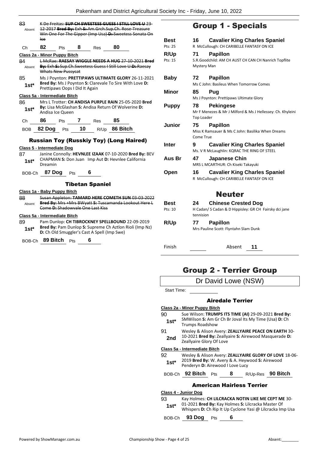| 83<br>Absent  | lce                                                                                     |                                                                   |            | K De Freitas: SUP CH SWEETESS GUESS I STILL LOVE U 23-<br>12 2017 Bred By: Exh S: Am. Grch. Sup. Ch. Rose Treasure<br>Win One For The Gipper (Imp Usa) D: Sweetess Sonata On | Bes           |
|---------------|-----------------------------------------------------------------------------------------|-------------------------------------------------------------------|------------|------------------------------------------------------------------------------------------------------------------------------------------------------------------------------|---------------|
| Сh            | 82<br>Pts                                                                               | 8                                                                 | <b>Res</b> | 80                                                                                                                                                                           | Pts: 2        |
|               | Class 2a - Minor Puppy Bitch                                                            |                                                                   |            |                                                                                                                                                                              | R/U           |
| 84<br>Absent  | Whats New Pussycat                                                                      |                                                                   |            | L McRae: RAESAY WIGGLE NEEDS A HUG 27-10-2021 Bred<br>By: Exh-S:-Sup.Ch.Sweetess Guess I Still Love U-D:-Raesay                                                              | Pts:          |
| 85<br>$1st^*$ | Prettipaws Oops I Did It Again                                                          |                                                                   |            | Ms J Poynton: PRETTIPAWS ULTIMATE GLORY 26-11-2021<br>Bred By: Ms J Poynton S: Clarevale To Sire With Love D:                                                                | Bal<br>Min    |
|               | Class 5a - Intermediate Bitch                                                           |                                                                   |            |                                                                                                                                                                              |               |
| 86<br>$1st*$  | Andisa Ice Queen                                                                        |                                                                   |            | Mrs L Trotter: CH ANDISA PURPLE RAIN 25-05-2020 Bred<br>By: Lisa McGlashan S: Andisa Return Of Wolverine D:                                                                  | Pur           |
| Ch            | 86                                                                                      | Pts $7_{\_\_\_\_\_\_\_\_\_\_\_\_\_\_\_\_\_\_\_\_\_\_\_\_\_\_\_\_$ |            | 85                                                                                                                                                                           |               |
| BOB           | 82 Dog Pts 10 R/Up 86 Bitch                                                             |                                                                   |            |                                                                                                                                                                              | Jur           |
| 87<br>$1st^*$ | <b>Russian Toy (Russkiy Toy) (Long Haired)</b><br>Class 5 - Intermediate Dog<br>Dreamin |                                                                   |            | Janine Connolly: HEVNLEE IZAAK 07-10-2020 Bred By: BEV<br>CHAPMAN S: Don Juan Imp Aut D: Hevnlee California                                                                  | Inte<br>Aus   |
|               | BOB-Ch 87 Dog Pts                                                                       |                                                                   | 6          |                                                                                                                                                                              | Op            |
|               |                                                                                         | <b>Tibetan Spaniel</b>                                            |            |                                                                                                                                                                              |               |
| 88.<br>Absent | Class 1a - Baby Puppy Bitch<br>Come D: Shadowvale One Last Kiss                         |                                                                   |            | Susan Appleton: TAMARD HERE COMETH SUN 03-03-2022<br>Bred By: Mrs +Mrs BWyatt S: Tuscamanda Lookout Here L                                                                   | Bes<br>Pts: : |
| 89<br>$1st^*$ | Class 5a - Intermediate Bitch<br>D: Ch Old Smuggler's Cast A Spell (Imp Swe)            |                                                                   |            | Pam Dunlop: CH TIBROCKNEY SPELLBOUND 22-09-2019<br>Bred By: Pam Dunlop S: Supreme Ch Aztlon Rioli (Imp Nz)                                                                   | R/U           |
| BOB-Ch        | 89 Bitch                                                                                | Pts                                                               | 6          |                                                                                                                                                                              |               |

## Group 1 - Specials

| <b>Best</b><br>Pts: 25 | <b>Cavalier King Charles Spaniel</b><br>16<br>R McCullough: CH CARIBELLE FANTASY ON ICE                   |
|------------------------|-----------------------------------------------------------------------------------------------------------|
| R/Up<br>Pts: 15        | <b>Papillon</b><br>71<br>S.R.Goodchild: AM CH AUST CH CAN CH Nanrich Topflite<br><b>Mystery Man</b>       |
| <b>Baby</b>            | 72<br><b>Papillon</b><br>Ms C John: Basileus When Tomorrow Comes                                          |
| Minor                  | 85<br>Pug<br>Ms J Poynton: Prettipaws Ultimate Glory                                                      |
| <b>Puppy</b>           | 78<br><b>Pekingese</b><br>Mr F Menezes & Mr J Milford & Ms J Hellessey: Ch. Khyleini<br><b>Top Loader</b> |
| Junior                 | 75<br><b>Papillon</b><br>Miss K Ramsauer & Ms C John: Basilika When Dreams<br>Come True                   |
| <b>Inter</b>           | <b>Cavalier King Charles Spaniel</b><br>9<br>Ms. V R McLaughlin: KQRAC THE RING OF STEEL                  |
| Aus Br                 | 47<br>Japanese Chin<br>MRS L MCARTHUR: Ch Kiseki Takayuki                                                 |
| Open                   | <b>Cavalier King Charles Spaniel</b><br>16<br>R McCullough: CH CARIBELLE FANTASY ON ICE                   |
|                        | <b>Neuter</b>                                                                                             |
| <b>Best</b>            | 24<br><b>Chinese Crested Dog</b>                                                                          |
| Pts: 10                | H Cadan/ S Cadan & D Hippisley: GR CH Fairsky dci jane<br>tennision                                       |
| R/Up                   | <b>Papillon</b><br>77<br>Mrs Pauline Scott: Flyntahn Slam Dunk                                            |
|                        |                                                                                                           |

## Group 2 - Terrier Group

Dr David Lowe (NSW)

Start Time:

## Airedale Terrier

#### **Class 2a - Minor Puppy Bitch**

- 90 Sue Wilson: **TRUMPS ITS TIME (AI)** 29-09-2021 **Bred By:** SMWilson **S:** Am Gr Ch Br Joval Its My Time (Usa) **D:** Ch **1st**\* SIVIWIISON **5:** Am GI<br>Trumps Roadshow
- 91 Wesley & Alison Avery: **ZEALLYAIRE PEACE ON EARTH** 30- 10-2021 **Bred By:** Zeallyaire **S:** Airewood Masquerade **D: 2nd** IU-2021 **Brea By:** Zeallyaire Glory Of Love

#### **Class 5a - Intermediate Bitch**

- 92 Wesley & Alison Avery: **ZEALLYAIRE GLORY OF LOVE** 18-06- 2019 **Bred By:** W. Avery & A. Heywood **S:** Airewood **1st**\* 2019 **Bred By:** W. Avery & A. Heyw<br>Penderyn **D:** Airewood I Love Lucy
- BOB-Ch **92 Bitch** Pts **8** R/Up-Res **90 Bitch**

## American Hairless Terrier

**Class 4 - Junior Dog**

- 93 Kay Holmes: **CH LILCRACKA NOTIN LIKE ME CEPT ME** 30- 01-2021 **Bred By:** Kay Holmes **S:** Lilcracka Master Of
- **1st** UL-2021 **Bred By:** Kay Holmes **S:** Liicracka Master Of Whispers **D:** Ch Rip It Up Cyclone Yasi @ Lilcracka Imp Usa

## BOB-Ch **93 Dog** Pts **6**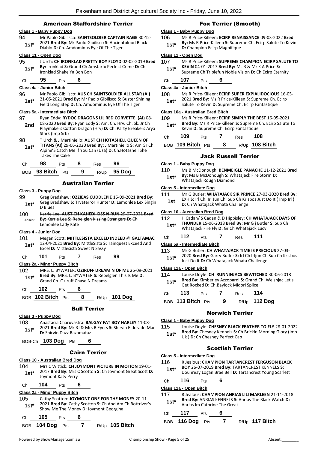## American Staffordshire Terrier

### **Class 1 - Baby Puppy Dog**

94 Mr Paolo Gibilisco: **SAINTSOLDIER CAPTAIN RAGE** 30-12- 2021 **Bred By:** Mr Paolo Gibilisco **S:** Ancientblood Black **1st** 2021 **Brea By:** INT Paolo Gibilisco **S:** Ancien<br>Diablo **D:** Ch. Amdominus Eye Of The Tiger

#### **Class 11 - Open Dog**

- 95 J Urch: **CH IRONKLAD PRETTY BOY FLOYD** 02-02-2019 **Bred By:** Ironklad **S:** Grand Ch Amstarfx Perfect Crime **D:** Ch **1st\* by:** Ironklad S: Grand Ch All<br>Ironklad Shake Ya Bon Bon
- Ch **95** Pts **6**

#### **Class 4a - Junior Bitch**

96 Mr Paolo Gibilisco: **AUS CH SAINTSOLDIER ALL STAR (AI)** 21-05-2021 **Bred By:** Mr Paolo Gibilisco **S:** Buster Shining Field Long Step **D:** Ch. Amdominus Eye Of The Tiger **1st\***

#### **Class 5a - Intermediate Bitch**

- 97 Ryan Eddy: **RYDOC DRAGONS LIL RED CORVETTE (AI)** 08- 08-2020 **Bred By:** Ryan Eddy **S:** Am. Ch. Hrv. Ch. Sk. Jr Ch Playmakers Cotton Dragon (Hrv) **D:** Ch. Party Breakers Arya Stark (Imp Srb) **2nd** 98 T Urch & J Martiniello: **AUST CH HOTASHELL QUEEN OF**
- **TITANS (AI)** 29-06-2020 **Bred By:** J Martiniello **S:** Am Gr Ch. Alpine'S Catch Me If You Can (Usa) **D:** Ch.Hotashell She Takes The Cake **1st\***

|  |  | : בש |  |
|--|--|------|--|
|  |  |      |  |

BOB **98 Bitch** Pts **9** R/Up **95 Dog**

#### Australian Terrier

#### **Class 3 - Puppy Dog**

- 99 Greg Bradshaw: **OZZIEAS CUDDLEPIE** 15-09-2021 **Bred By:** Greg Bradshaw **S:** Tryaterror Hunter **D:** Lemonlee Lex Singin 1st<sup>\*</sup> D Blues
- 100 Kerrie Lee: **AUST CH KAHEDI KISS N RUN** 29-07-2021 **Bred By:** Kerrie Lee **S:** Rebelglen Kissing Strangers **D:** Ch Lemonlee Lady Kate Absent

#### **Class 4 - Junior Dog**

101 Megan Scott: **MITTLESISTA EXCEED INDEED @ GALTAMAC** 12-04-2021 **Bred By:** MittleSista **S:** Tainquest Exceed And Excel **D:** Mittlesista Sweet N Sassy **1st\***

## Ch **101** Pts **7** Res **99**

#### **Class 2a - Minor Puppy Bitch**

- 102 MRS. L. BYWATER: **OZIRUFF DREAM N OF ME** 26-09-2021 **Bred By:** MRS. L. BYWATER **S:** Rebelglen This Is Me **D: 1st\*** Bred By: MRS. L. BYWATER S: Rebe<br>Grand Ch. Oziruff Chase N Dreams
- Ch **102** Pts **6**
- BOB **102 Bitch** Pts **8** R/Up **101 Dog**

## Bull Terrier

#### **Class 3 - Puppy Dog**

103 Anastacia Charuvastra: **BALGAY FAT BOY HARLEY** 11-08- 2021 **Bred By:** Mr RJ & Mrs R Eyers **S:** Shirvin Eldorado Man **1st**\* **D:** Shirvin Dazz Razamataz

BOB-Ch **103 Dog** Pts **6**

### Cairn Terrier

#### **Class 10 - Australian Bred Dog**

104 Mrs C Wittick: **CH JOYMONT PICTURE IN MOTION** 19-01- 2017 **Bred By:** Mrs C Scotton **S:** Ch Joymont Great Scott **D:**  Joymont Katy Perry **1st\***

Ch **104** Pts **6**

## **Class 2a - Minor Puppy Bitch**

- 105 Cathy Scotton: **JOYMONT ONE FOR THE MONEY** 20-11- 2021 **Bred By:** Cathy Scotton **S:** Ch And Am Ch Rottriver's **1st** 2021 **Brea By:** Cathy Scotton **S:** Cn And Am<br>Show Me The Money **D:** Joymont Georgina
- Ch **105** Pts **6** BOB **104 Dog** Pts **7** R/Up **105 Bitch**

## Fox Terrier (Smooth)

#### **Class 1 - Baby Puppy Dog**

106 Ms R Price-Killeen: **ECIRP RENAISSANCE** 09-03-2022 **Bred By:** Ms R Price-Killeen **S:** Supreme Ch. Ecirp Salute To Kevin **1st\*** By: MS R Price-Killeen S: Suprel<br>D: Champion Ecirp Magnifique

#### **Class 11 - Open Dog**

- 107 Ms R Price-Killeen: **SUPREME CHAMPION ECIRP SALUTE TO KEVIN** 04-01-2017 **Bred By:** Ms R & Mr K A Price **S:** 
	- **1st** KEVIN 04-01-2017 Bred By: MS R & Mr K A Price S:<br>Supreme Ch Triplefun Noble Vision **D:** Ch Ecirp Eternity

Ch **107** Pts **6**

**Class 4a - Junior Bitch**

108 Ms R Price-Killeen: **ECIRP SUPER EXPIALIDOCIOUS** 16-05- 2021 **Bred By:** Ms R Price-Killeen **S:** Supreme Ch. Ecirp **1st** ZUZT **Bred By:** MIS R Price-Killeen **S:** Supreme Ch. I<br>Salute To Kevin **D:** Supreme Ch. Ecirp Fantastique

#### **Class 10a - Australian Bred Bitch**

109 Ms R Price-Killeen: **ECIRP SIMPLY THE BEST** 16-05-2021 **Bred By:** Ms R Price-Killeen **S:** Supreme Ch. Ecirp Salute To **1st\* Brea By:** IVIS K Price-Killeen **5:** Supreme Ch. Ecirp Fantastique

| $\overline{100}$ $\overline{011}$ | - | $\overline{100}$ $\overline{011}$ |
|-----------------------------------|---|-----------------------------------|
| na                                |   |                                   |

| BOB 109 Bitch Pts |  | R/Up 108 Bitch |
|-------------------|--|----------------|
|                   |  |                |

## Jack Russell Terrier

## **Class 1 - Baby Puppy Dog**

110 Ms B McDonough: **BENMEIGLE PANACHE** 11-12-2021 **Bred By:** Ms B McDonough **S:** Whatajack Fire Storm **D:**  1st\* **By:** MS B McDonough S: Wrow Whatajack Rough Diamond

#### **Class 5 - Intermediate Dog**

111 Mr G Butler: **WHATAJACK SIR PRINCE** 27-03-2020 **Bred By:** EXH **S:** Irl Ch. Irl Jun Ch. Sup Ch Krisbos Just Do It ( Imp Irl ) **1st** EXH S: Iri Ch. Iri Jun Ch. Sup Ch Kris<br>**1st** D: Ch Whatajack Whata Challenge

#### **Class 10 - Australian Bred Dog**

- 112 H Cadan/ S Cadan & D Hippisley: **CH WHATAJACK DAYS OF THUNDER** 15-06-2018 **Bred By:** Mr G j Butler **S:** Sup Ch Whatajack Fire Fly **D:** Gr Ch Whatajack Lucy **1st\***
- Ch **112** Pts **7** Res **111**

#### **Class 5a - Intermediate Bitch**

113 Mr G Butler: **CH WHATAJACK TIME IS PRECIOUS** 27-03- 2020 **Bred By:** Garry Butler **S:** Irl Ch Irljun Ch Sup Ch Krisbos Just Do It **D:** Ch Whatajack Whata Challenge **1st\***

#### **Class 11a - Open Bitch**

- 114 Louise Doyle: **CH RUNNINJACS BEWITCHED** 30-06-2018
- **Bred By:** Kimberley Azzopardi **S:** Grand Ch. Weisnjac Let's 1st\* **Brea By:** Kimberiey Azzopardi S: Grand<br>Get Rocked D: Ch.Baylock Midori Splice

| Ch | 113               | <b>Pts</b> |   | Res | - 114               |
|----|-------------------|------------|---|-----|---------------------|
|    | BOB 113 Bitch Pts |            | 9 |     | R/Up <b>112 Dog</b> |

### Norwich Terrier

#### **Class 1 - Baby Puppy Dog**

115 Louise Doyle: **CHESNEY BLACK FEATHER TO FLY** 28-01-2022 **Bred By:** Chesney Kennels **S:** Ch Brickin Morning Glory (Imp **1st**\* **Died by:** Chesney Nenners **3:** Chesney Perfect Cap

## Scottish Terrier

- **Class 5 - Intermediate Dog**
- 116 R Jealous: **CHAMPION TARTANCREST FERGUSON BLACK** 
	- **BOY** 26-07-2019 **Bred By:** TARTANCREST KENNELS **S:**  Dounreay Logan Brae Bell **D:** Tartancrest Young Scarlett **1st\***

### Ch **116** Pts **6**

## **Class 11a - Open Bitch**

117 R Jealous: **CHAMPION ANRIAS LILI MARLEEN** 21-11-2018 **Bred By:** ANRIAS KENNELS **S:** Anrias The Black Watch **D: 1st\*** Bred By: ANRIAS KENNELS S:<br>Anrias Im Cathrine The Great

Ch **117** Pts **6**

BOB **116 Dog** Pts **7** R/Up **117 Bitch**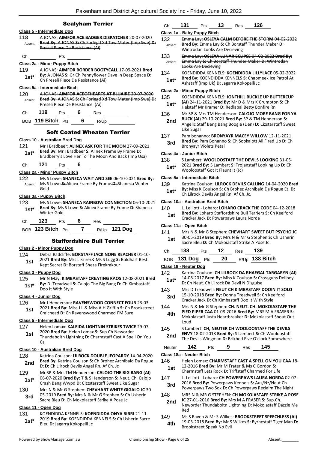|                 | Pakenham and District Agricultural So                                                                       |                      |
|-----------------|-------------------------------------------------------------------------------------------------------------|----------------------|
|                 | <b>Sealyham Terrier</b>                                                                                     |                      |
|                 | Class 5 - Intermediate Dog                                                                                  |                      |
| 118             | A JONAS: AIMFOR ACE BADGER DISPATCHER 20-07-2020                                                            | $\overline{c}$       |
| Absent          | Bred By: A JONAS S: Ch Forlegd Xd Tow Mater (Imp Swe)-D:                                                    | $\ddagger$           |
|                 | Preseli Piece De Resistance (Ai)                                                                            |                      |
| Ch              | Pts                                                                                                         | $\ddagger$           |
|                 | <u> Class 2a - Minor Puppy Bitch</u>                                                                        |                      |
| 119             | A JONAS: AIMFOR BORDER BOOTYCALL 17-09-2021 Bred                                                            | $\ddagger$           |
| $1st^*$         | By: A JONAS S: Gr Ch Pennyflower Dave In Deep Space D:<br>Ch Preseli Piece De Resistance (Ai)               |                      |
|                 | Class 5a - Intermediate Bitch                                                                               | $\overline{c}$       |
| $120 -$         | A JONAS: AIMFOR ACEOFHEARTS AT BLUAIRE 20-07-2020                                                           | $\mathbf{1}$         |
| Absent          | Bred By: A JONAS S: Ch Forlegd Xd Tow Mater (Imp Swe) D:<br>Preseli Piece De Resistance (Ai)                |                      |
| Ch <sub>a</sub> | 119<br>Pts $\boldsymbol{6}$ Res                                                                             | $\ddagger$           |
|                 | BOB 119 Bitch $Pts$ 6 R/Up                                                                                  |                      |
|                 | <b>Soft Coated Wheaten Terrier</b>                                                                          | $\ddagger$           |
|                 | Class 10 - Australian Bred Dog                                                                              |                      |
| 121             | Mr I Bradbeer: ALINEX ASK FOR THE MOON 27-09-2021                                                           |                      |
| $1st^*$         | Bred By: Mr I Bradbeer S: Alinex Frame By Frame D:                                                          | $\overline{c}$       |
|                 | Bradberry's Love Her To The Moon And Back (Imp Usa)                                                         | 1:                   |
| Сh              | 121<br>6<br>Pts                                                                                             |                      |
|                 | Class 2a - Minor Puppy Bitch                                                                                |                      |
| 122             | Ms S Lowe: SHANECA WAIT AND SEE 06-10-2021 Bred By:<br>Ms S Lowe S: Alinex Frame By Frame D: Shaneca Winter | $\overline{c}$<br>1: |
| Absent          | Gold                                                                                                        |                      |
|                 | Class 3a - Puppy Bitch                                                                                      |                      |
| 123             | Ms S Lowe: SHANECA RAINBOW CONNECTION 06-10-2021                                                            | $\overline{c}$       |
| $1st^*$         | Bred By: Ms S Lowe S: Alinex Frame By Frame D: Shaneca<br>Winter Gold                                       | $\mathbf{1}$         |
| Ch              | 123<br>Pts 6 Res                                                                                            |                      |
|                 | BOB 123 Bitch Pts 7 R/Up 121 Dog                                                                            | $\overline{c}$<br>1. |
|                 | <b>Staffordshire Bull Terrier</b>                                                                           |                      |
|                 | Class 2 - Minor Puppy Dog                                                                                   |                      |
| 124             | Debra Radcliffe: BORSTAFF JACK NONE REACHER 01-10-                                                          |                      |
| 1st             | 2021 Bred By: Mrs L Szirer& Ms S Lugg S: Boldhart Best                                                      |                      |
|                 | Kept Secret D: Borstaff Sheza Firekrakour                                                                   | <u>c</u>             |
|                 | <u> Class 3 - Puppy Dog</u>                                                                                 | $\mathbf{1}$         |
| 125             | Mr N May: KIMBASTAFF CREATING KAOS 12-08-2021 Bred                                                          |                      |
| $1st^*$         | By: D. Treadwell S: Calojo The Big Bang D: Ch Kimbastaff<br>Doo It With Style                               | 1.                   |
|                 | <b>Class 4 - Junior Dog</b>                                                                                 |                      |
| 126             | Mr J Henderson: RAVENSWOOD CONNECT FOUR 23-03-                                                              |                      |
| 1st             | 2021 Bred By: Miss J L & Miss A H Griffin S: Ch Brookstreet<br>Craichead D: Ch Ravenswood Charmed I'M Sure  | 1.                   |
|                 |                                                                                                             |                      |
|                 | Class 5 - Intermediate Dog                                                                                  |                      |
| 127             | Helen Lomax: KALEIDA LIGHTNIN STRIKES TWICE 29-07-<br>2020 Bred By: Helen Lomax S: Sup.Ch.Neworder          | 1.                   |
| 1st             | Thundaboltn Lightning D: Charmstaff Cast A Spell On You                                                     |                      |
|                 | Ca                                                                                                          |                      |
|                 |                                                                                                             |                      |

#### **Class 10 - Australian Bred Dog**

- 128 Katrina Coulson: **LILROCK DOUBLE JEOPARDY** 14-04-2020 **Bred By:** Katrina Coulson **S:** Ch Brohez Archibald Da Rogue 2nd Brea By: Katrina Coulson S: Ch Bronez Ar<br>Et D: Ch Lilrock Devils Angel Rn. Af Ch. Jc
- 129 Mr SP & Mrs TM Henderson: **CALOJO THE BIG BANG (AI)** 06-07-2020 **Bred By:** T & S Henderson **S:** Neut. Ch. Calojo **1st**\* 06-07-2020 Bred By: 1 & 5 Henderson **S:** Neut. Ch. 0<br>Crash Bang Wwpd D: Citzstarstaff Sweet Like Sugar
- 130 Mrs N & Mr G Stephen: **CHEVHART WHITE GIGALO JC** 30- 05-2019 **Bred By:** Mrs N & Mr G Stephen **S:** Ch Usherin
- **3rd** UD-2019 **Died by:** Mis N & Mi G Stephen **3:** C Sacre Bleu **D:** Ch Mokoiastaff Strike A Pose Jc

## **Class 11 - Open Dog**

131 KOENDIDDA KENNELS: **KOENDIDDA ONYA BIRRI** 21-11- 2019 **Bred By:** KOENDIDDA KENNELS **S:** Ch Usherin Sacre **1st**\* <sup>2019</sup> Brea By: KOENDIDDA<br>Bleu D: Jagarra Kokopelli Jc

| 31. | ື | י ≙⊿ | 26<br>$\sim$ |  |
|-----|---|------|--------------|--|
|     |   |      |              |  |

## **Class 1a - Baby Puppy Bitch**

- 132 Emma Lay: **OSLEYA CALM BEFORE THE STORM** 04-02-2022 **Bred By:** Emma Lay **S:** Ch Borstaff Thunder Maker **D:**  Wintrodan Looks Are Decieving Absent
- 133 Emma Lay: **OSLEYA LUNAR ECLIPSE** 04-02-2022 **Bred By:** Emma Lay **S:** Ch Borstaff Thunder Maker **D:** Wintrodan Looks Are Decieving Absent
- 134 KOENDIDDA KENNELS: **KOENDIDDA LILLYLACE** 05-02-2022 **Bred By:** KOENDIDDA KENNELS **S:** Chapmeek Ice Patrol At
- Ashstaff (Imp Uk) **D:** Jagarra Kokopelli Jc **1st\***

## **Class 2a - Minor Puppy Bitch**

- 135 KOENDIDDA KENNELS: **JONTHILL BUCKLE UP BUTTERCUP (AI)** 24-11-2021 **Bred By:** Mr D & Mrs K Crumpton **S:** Ch
- **1st**\* **All 24-11-2021 Brea By:** Mr D & Mrs K Crumpto<br>Helstaff Mr Kramer D: Redlabal Betty Bonfire Rn
- 136 Mr SP & Mrs TM Henderson: **CALOJO MORE BANG FOR YA BUCK (AI)** 29-10-2021 **Bred By:** SP & TM Henderson **S: 2nd**
- Angelic Staff Bang Bang Boogie (Den) **D:** Cizstarstaff Sweet Like Sugar
- 137 Pam bonanno: **BRONYAYR MACEY WILLOW** 12-11-2021
- **Bred By:** Pam Bonanno **S:** Ch Sookalott All Fired Up **D:** Ch **3rd** Bred By: Pam Bonanno<br>**Bronyayr Violets Petal**

## **Class 4a - Junior Bitch**

138 S Lambert: **WOOLOOSTAFF THE DEVILS LOOKING** 31-05- 2021 **Bred By:** S Lambert **S:** Trojanstaff Looking Up **D:** Ch

Wooloostaff Got It Flaunt It (Jc) **1st\***

## **Class 5a - Intermediate Bitch**

139 Katrina Coulson: **LILROCK DEVILS CALLING** 14-04-2020 **Bred By:** Miss K Coulson **S:** Ch Brohez Archibald Da Rogue Et. **D: 1st\* by:** IVIISS K COUISON **3:** Ch Bronez Arc.<br>Ch Lilrock Devils Angel Rn. Af Ch. Jc.

### **Class 10a - Australian Bred Bitch**

| 140 | L. Lelliott - Loharo: LOHARO CRACK THE CODE 04-12-2018     |
|-----|------------------------------------------------------------|
| 1st | Bred By: Loharo Staffordshire Bull Terriers S: Ch Keelford |
|     | Cracker Jack D: Powerpaws Laura Norda                      |

## **Class 11a - Open Bitch**

141 Mrs N & Mr G Stephen: **CHEVHART SWEET BUT PSYCHO JC** 30-05-2019 **Bred By:** Mrs N & Mr G Stephen **S:** Ch Usherin **1st** 30-03-2019 **Brea by:** Mrs N & Mr G Stephen 3<br>Sacre Bleu **D:** Ch Mokoiastaff Strike A Pose Jc

| Ch 138 Pts 12 Res 139 |  |                                   |
|-----------------------|--|-----------------------------------|
|                       |  | BOB 131 Dog Pts 20 R/Up 138 Bitch |

#### **Class 18 - Neuter Dog**

| 142<br>$1st*$ | Katrina Coulson: CH LILROCK DA RHAEGAL TARGARYN (AI)<br>14-08-2017 Bred By: Miss K Coulson S: Crossguns Dellboy<br>D: Ch Neut. Ch Lilrock Da Devil N Disguise |
|---------------|---------------------------------------------------------------------------------------------------------------------------------------------------------------|
| 143           | Mrs D Treadwell: NEUT CH KIMBASTAFF DOOIN IT SOLO                                                                                                             |
| 3rd           | 15-10-2018 Bred By: Donna Treadwell S: Ch Keelford<br>Cracker Jack D: Ch Kimbastaff Doo It With Style                                                         |
| 144           | Mrs N & Mr G Stephen: CH. NEUT. CH. MOKOIASTAFF THE                                                                                                           |
| 4th           | PIED PIPER CAA 01-08-2016 Bred By: MRS M A FRASER S:<br>Mokoiastaff Justa Heartbreaker D: Mokoiastaff Shout Out<br>Loud                                       |
| 115           | Slambert: CH, NELITER CH WOOLOOSTAFE THE DEVILS                                                                                                               |

**TH. NEUTER CH WOOLOOSTAFF THE DEVI ENVY** 18-02-2018 **Bred By:** S Lambert **S:** Ch Wooloostaff **2nd ENVY** 18-02-2018 **Bred By:** S Lambert S: Ch Wooloostaff The Devils Wingman **D:** Brikhed Five O'clock Somewhere

| Neuter | 142                                           | Pts | Res | 145                                                                                                         |  |
|--------|-----------------------------------------------|-----|-----|-------------------------------------------------------------------------------------------------------------|--|
|        | Class 18a - Neuter Bitch                      |     |     |                                                                                                             |  |
| 146    | 12-2016 Bred By: Mr M Frater & Ms C Gordon S: |     |     | Helen Lomax: CHARMSTAFF CAST A SPELL ON YOU CAA 18-                                                         |  |
| 1st    |                                               |     |     | Charmstaff Lets Rock D: Triffstaff Charmed For Life                                                         |  |
| 147    |                                               |     |     | L. Lelliott - Loharo: CH POWERPAWS LAURA NORDA 02-07-                                                       |  |
| 3rd    |                                               |     |     | 2016 Bred By: Powerpaws Kennels S: Aus/Nz/Neut Ch<br>Powerpaws Two Sox D: Ch Powerpaws Reclaim The Night    |  |
| 148    |                                               |     |     | MRS N & MR G STEPHEN: CH MOKOIASTAFF STRIKE A POSE                                                          |  |
| 2nd    | Red                                           |     |     | JC 27-01-2016 Bred By: Mrs M A FRASER S: Sup.Ch.<br>Neworder Thundaboltn Lightning D: Mokoiastaff Dazzle Me |  |
| 149    |                                               |     |     | Ms S Raven & Mr S Wilkes: BROOKSTREET SPEECHLESS (AI)                                                       |  |

19-03-2018 **Bred By:** Mr S Wilkes **S:** Byrnestaff Tiger Man **D: 4th** 19-03-2018 Bred By: Mr S<br>Brookstreet Speak No Evil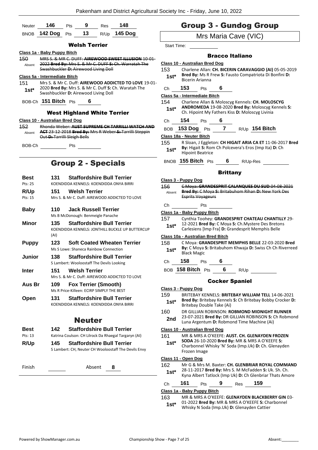| Neuter | 146              | <b>Pts</b> | -9 | <b>Res</b> | 148          |
|--------|------------------|------------|----|------------|--------------|
|        | BNOB 142 Dog Pts |            | 13 |            | R/Up 145 Dog |

## Welsh Terrier

#### **Class 1a - Baby Puppy Bitch**

150 MRS S. & MR C. DUFF: **AIREWOOD SWEET ILLUSION** 10-01- 2022 **Bred By:** Mrs S. & Mr C. DUFF **S:** Ch. Warratah The Swashbuckler **D:** Airewood Living Doll Absent

## **Class 5a - Intermediate Bitch**

151 Mrs S. & Mr C. Duff: **AIREWOOD ADDICTED TO LOVE** 19-01- 2020 **Bred By:** Mrs S. & Mr C. Duff **S:** Ch. Waratah The **1st**\* 2020 **Bred By:** Mrs S. & Mr C. Duff S. G. Swashbuckler **D:** Airewood Living Doll

BOB-Ch **151 Bitch** Pts **6**

### West Highland White Terrier

#### **Class 10 - Australian Bred Dog**

- 152 Rhonda Weber: **AUST SUPREME CH TARRILLI WATCH AND ACT** 23-12-2018 **Bred By:** Mrs R Weber **S:** Tarrilli Steppin Out **D:** Tarrilli Sleigh Bells Absent
- BOB-Ch Pts

## Group 2 - Specials

- **Best 131 Staffordshire Bull Terrier** Pts: 25 KOENDIDDA KENNELS: KOENDIDDA ONYA BIRRI **R/Up 151 Welsh Terrier** Pts: 15 Mrs S. & Mr C. Duff: AIREWOOD ADDICTED TO LOVE **Baby 110 Jack Russell Terrier** Ms B McDonough: Benmeigle Panache **Minor 135 Staffordshire Bull Terrier** KOENDIDDA KENNELS: JONTHILL BUCKLE UP BUTTERCUP (AI) **Puppy 123 Soft Coated Wheaten Terrier** Ms S Lowe: Shaneca Rainbow Connection **Junior 138 Staffordshire Bull Terrier** S Lambert: Wooloostaff The Devils Looking **Inter 151 Welsh Terrier** Mrs S. & Mr C. Duff: AIREWOOD ADDICTED TO LOVE **Aus Br 109 Fox Terrier (Smooth)** Ms R Price-Killeen: ECIRP SIMPLY THE BEST **Open 131 Staffordshire Bull Terrier** KOENDIDDA KENNELS: KOENDIDDA ONYA BIRRI Neuter **Best 142 Staffordshire Bull Terrier**
- Pts: 13 Katrina Coulson: CH Lilrock Da Rhaegal Targaryn (AI) **R/Up 145 Staffordshire Bull Terrier** S Lambert: CH, Neuter CH Wooloostaff The Devils Envy

| Finish | Absent |  |  |
|--------|--------|--|--|
|--------|--------|--|--|

## Group 3 - Gundog Group

## Mrs Maria Cave (VIC)

Start Time:

## Bracco Italiano

#### **Class 10 - Australian Bred Dog**

153 Charlene Allan: **CH. BICERIN CARAVAGGIO (AI)** 05-05-2019 **Bred By:** Ms R Frew **S:** Fausto Compatriota Di Bonfini **D: 1st<sup>\*</sup>** Bred By: MS R F<br>Bicerin Arianna

## Ch **153** Pts **6**

**Class 5a - Intermediate Bitch**

154 Charlene Allan & Moloscyg Kennels: **CH. MOLOSCYG ANDROMEDA** 19-08-2020 **Bred By:** Moloscyg Kennels **S:**  Ch. Hipoint My Fathers Kiss **D:** Moloscyg Livinia **1st\***

## Ch **154** Pts **6**

BOB **153 Dog** Pts **7** R/Up **154 Bitch**

**Class 18a - Neuter Bitch**

155 R Sloan, J Eggleton: **CH HIGAIT ARIA CA ET** 11-06-2017 **Bred By:** Higait **S:** Rom Ch Polcevera's Eros (Imp Ita) **D:** Ch **1st<sup>\*</sup> By:** Higalt S: Ron<br>Hipoint Beatrice

BNOB **155 Bitch** Pts **6** R/Up-Res

## **Brittany**

**Class 3 - Puppy Dog** 156 C Moya: **GRANDESPRIT CALANQUES DU SUD** 04-08-2021 **Bred By:** C Moya **S:** Britabuhom Rihan **D:** New York Des Esprits Voyageurs Absent

## Ch Pts

- **Class 1a - Baby Puppy Bitch**
- 157 Cynthia Toohey: **GRANDESPRIT CHATEAU CHANTILLY** 29- 12-2021 **Bred By:** C Moya **S:** Ch.Mystere Des Bretons
	- **1st** 12-2021 **Brea By:** C MOya **S:** Ch.Mystere Des Bretor<br>Carlesiens [Imp Fra] **D:** Grandesprit Memphis Belle

**Class 10a - Australian Bred Bitch**

- 158 C Moya: **GRANDESPRIT MEMPHIS BELLE** 22-03-2020 **Bred By:** C Moya **S:** Britabuhom Khwaja **D:** Swiss Ch Ch Riverreed **1st<sup>\*</sup> by:** C IVIOYA<br>Black Magic
- Ch **158** Pts **6**
- BOB **158 Bitch** Pts **6** R/Up

## Cocker Spaniel

### **Class 3 - Puppy Dog**

- 159 BRITEBAY KENNELS: **BRITEBAY WILLIAM TELL** 14-06-2021 **Bred By:** Britebay Kennels **S:** Ch Britebay Bobby Crocker **D: 1st\*** Bred By: Britebay Kennels<br>Britebay Double Take (Ai)
- 160 DR GILLIAN ROBINSON: **ROBMOND MIDNIGHT RUNNER** 23-07-2021 **Bred By:** DR GILLIAN ROBINSON **S:** Ch Robmond 2nd 23-07-2021 Bred By: DR GILLIAN ROBINSON S: 0<br>Luna Argentum D: Robmond Time Machine (Ai)

#### **Class 10 - Australian Bred Dog**

161 MR & MRS A O'KEEFE: **AUST. CH. GLENAYDEN FROZEN SODA** 26-10-2020 **Bred By:** MR & MRS A O'KEEFE **S:**  Charbonnel Whisky 'N' Soda (Imp.Uk) **D:** Ch. Glenayden Frozen Image **1st\* Class 11 - Open Dog** 162 Mr G & Mrs M. Baxter: **CH. GLENBRIAR ROYAL COMMAND** 28-11-2017 **Bred By:** Mrs S. M McFadden **S:** Uk. Sh. Ch. **1st** Let Later Let Later **1st Let Later By:** Write St. Will McFadden St. UK. Sn. Cn. **1st 25**<br>**1st \*** Kyna Albert Tatlock (Imp Uk) **D:** Ch Glenbriar Thats Amore

|               |            |     | $\frac{1}{2}$  |  |
|---------------|------------|-----|----------------|--|
| Ch <b>161</b> | <b>Pts</b> | - 9 | Res <b>159</b> |  |

## **Class 1a - Baby Puppy Bitch**

- 163 MR & MRS A O'KEEFE: **GLENAYDEN BLACKBERRY GIN** 03- 01-2022 **Bred By:** MR & MRS A O'KEEFE **S:** Charbonnel
	- Whisky N Soda (Imp.Uk) **D:** Glenayden Cattier **1st\***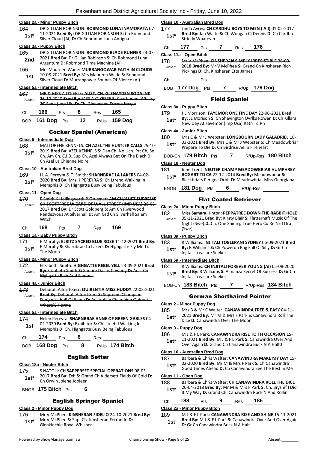#### **Class 2a - Minor Puppy Bitch**

164 DR GILLIAN ROBINSON: **ROBMOND LUNA INAMORATA** 07- 11-2021 **Bred By:** DR GILLIAN ROBINSON **S:** Ch Robmond Silver Cloud (Ai) **D:** Ch Robmond Luna Antigua **1st\***

#### **Class 3a - Puppy Bitch**

- 165 DR GILLIAN ROBINSON: **ROBMOND BLADE RUNNER** 23-07- 2021 **Bred By:** Dr Gillian Robinson **S:** Ch Robmond Luna Argentum **D:** Robmond Time Machine (Ai) **2nd**
- 166 Mrs Maureen Wade: **MURRANGOWAR FAITH IN CLOUDS** 10-08-2021 **Bred By:** Mrs Maureen Wade **S:** Robmond **1St 10-08-2021 Brea By:** Mrs Maureen wade **S:** Robmo<br>Silver Cloud **D:** Murrangowar Sounds Of Silence (Ai)

#### **Class 5a - Intermediate Bitch**

167 MR & MRS A O'KEEFE: **AUST. CH. GLENAYDEN SODA INK** 26-10-2020 **Bred By:** MRS A O'KEEFE **S:** Charbonnel Whisky 'N' Soda (Imp.Uk) **D:** Ch. Glenayden Frozen Image **A**bsent

| Ch | $166$ Pts | 8 | Res | - 165                           |
|----|-----------|---|-----|---------------------------------|
|    |           |   |     | BOB 161 Dog Pts 12 R/Up 159 Dog |

#### Cocker Spaniel (American)

### **Class 5 - Intermediate Dog**

168 MALLORENE KENNELS: **CH AZEL THE HUSTLER CALLS** 25-10- 2019 **Bred By:** AZEL KENNELS **S:** Dan Ch. No Uch. Prt Ch, Se Ch. Am Ch. C.I.B. Sup Ch. Azel Always Bet On The Black **D:**  Ch Azel La Chienne Noire **1st\***

#### **Class 10 - Australian Bred Dog**

- 169 H. A. Pereyra & T. Smith: **SHARNBRAE LA LAKERS** 04-02-
- 2020 **Bred By:** Mrs H PEREYRA **S:** Ch Ltrend Walking In **1st** 2020 **Brea by:** INITS H PERETRA **3:** Ch Lifend Wa<br>Memphis **D:** Ch Highgatte Busy Being Fabulous

#### **Class 11 - Open Dog**

170 E Smith K Hollingworth P Grutzner: **AM CH/AUST SUPREME CH SCOTTFREE WIZARD OF WALL STREET (IMP USA)** 28-03- 2017 **Bred By:** Dr Scott Goldberg **S:** Am Ch Riverwood Rendezvous At Silverhall **D:** Am Grd Ch Silverhall Salem **Witch** Absent

Ch **168** Pts **7** Res **169**

#### **Class 1a - Baby Puppy Bitch**

171 E Murphy: **ELRITZ SACRED BLUE ROSE** 11-12-2021 **Bred By:** E Murphy **S:** Sharnbrae La Lakers **D:** Highgatte Fly Me To **1st**\* **E** Murphy:<br>The Moon

#### **Class 2a - Minor Puppy Bitch**

172 Elizabeth Smith: **HIGHGATTE REBEL YELL** 23-09-2021 **Bred By:** Elizabeth Smith **S:** Sunfire Dallas Cowboy **D:** Aust Ch Highgatte Rich And Famous Absent

#### **Class 4a - Junior Bitch**

173 Deborah Alford-Kerr: **QUIRENTIA MISS HUDDY** 22-05-2021 **Bred By:** Deborah Alford-kerr **S:** Supreme Champion Staryanks Hall Of Fame **D:** Australian Champion Quirentia Where'S Norma Absent

#### **Class 5a - Intermediate Bitch**

174 Helen Pereyra: **SHARNBRAE ANNE OF GREEN GABLES** 04- 02-2020 **Bred By:** Exhibitor **S:** Ch. Lteebd Walking In **1st** 02-2020 Bred By: Exhibitor S: Ch. Lteebd Walkir<br>Memphis D: Ch. Highgatte Busy Being Fabulous

| Д<br>- - | ເຮ<br>$\overline{\phantom{a}}$ | es<br>__ |
|----------|--------------------------------|----------|
|----------|--------------------------------|----------|

| R/Up 174 Bitch<br>BOB 168 Dog Pts |  |  |  |  |  |
|-----------------------------------|--|--|--|--|--|
|-----------------------------------|--|--|--|--|--|

## English Setter

## **Class 18a - Neuter Bitch**

- 175 S NATOLI: **CH SAPPERSET SPECIAL OPERATIONS** 08-03- 2017 **Bred By:** Exh **S:** Grand Ch Aldersett Fields Of Gold **D: 1st**\* <sup>2017</sup> Brea By: EXN S: Grand St
- BNOB **175 Bitch** Pts **6**

## English Springer Spaniel

## **Class 2 - Minor Puppy Dog**

- 176 Mr V McPhee: **KINSHERAN FIDELIO** 24-10-2021 **Bred By:** Mr V McPhee **S:** Sup. Ch. Kinsheran Ferrando **D:**
- **1st**\* Mr V McPhee S: Sup. Ch. Ki<br>Glenkinchie Royal Whisper

#### **Class 10 - Australian Bred Dog**

- 177 Linda Ayres: **CH CARDHU BOYS TO MEN ( A.I)** 01-02-2017 **Bred By:** Jan Waite **S:** Ch Wongan Cj Dennis **D:** Ch Cardhu **1st\* Brea By:** Jan Walt
- Ch **177** Pts **7** Res **176**

```
Class 11a - Open Bitch
```
178 Mr V McPhee: **KINSHERAN SIMPLY IRRESISTIBLE** 26-09- 2018 **Bred By:** Mr V McPhee **S:** Grand Ch Kinsheran Rich Pickings **D:** Ch, Kinsheran Etta James Absent

Ch Pts

BOB **177 Dog** Pts **7** R/Up **176 Dog**

#### Field Spaniel

#### **Class 3a - Puppy Bitch**

- 179 J L Morrison: **FAYEMOR ONE FINE DAY** 22-06-2021 **Bred By:** JL Morison **S:** Ch Shevington Ovrlks Rowan **D:** Ch Killara
- **1st\*** By: JL Morison S: Ch Shevington Ovriks Row<br>New Day At Fayemor (Imp Usa) Ratn Td Rn

#### **Class 4a - Junior Bitch**

- 180 Mrs C & Mr J Webster: **LONGBOURN LADY GALADRIEL** 10-
	- 03-2021 **Bred By:** Mrs C & Mr J Webster **S:** Ch Meadowbriar **1st**\* 03-2021 **Bred By:** Mrs C & Mr J Webster S: C<br>Prepare To Die **D**: Ch Birdrise Aelin Fireheart
- BOB-Ch **179 Bitch** Pts **7** R/Up-Res **180 Bitch**

#### **Class 18 - Neuter Dog**

- 181 June Trent: **NEUTER CHAMP MEADOWBRIAR HUMPHREY BOGART TD CA** 22-12-2014 **Bred By:** Meadowbriar **S:**  Blackbriars Perigee Orbit **D:** Meadowbriar Miss Georgiana **1st\***
- BNOB **181 Dog** Pts **6** R/Up-Res

## Flat Coated Retriever

- **Class 2a - Minor Puppy Bitch**
- 182 Miss Samara Hinton: **PEPPATREE DOWN THE RABBIT HOLE** 05-11-2021 **Bred By:** Kirsty Blair **S:** Flatterhaft Music Of The Night (Swe) **D:** Ch. One Shining True Hero Cd Re Nrd Ora (Swe) Absent

## **Class 3a - Puppy Bitch**

183 R Williams: **INJITALI TOBLERANI SYDNEY** 06-09-2021 **Bred By:** R Williams **S:** Ch Poweron Bag Full Of Silly **D:** Gr Ch **1st\* By:** R Williams S: Ch Power hightali Treasure Seeker

#### **Class 5a - Intermediate Bitch**

184 R Williams: **CH INJITALI FOREVER YOUNG (AI)** 05-08-2020 **Bred By:** R Williams **S:** Almanza Secret Of Success **D:** Gr Ch **1st\*** Bred By: R Williams S: A lnjitali Treasure Seeker

BOB-Ch **183 Bitch** Pts **7** R/Up-Res **184 Bitch**

- **Class 2 - Minor Puppy Dog**
- 185 Mrs B & Mr C Walter: **CANAWINDRA FREE & EASY** 04-11- 2021 **Bred By:** Mr M & Mrs F Park **S:** Canawindra Roll The **1st**\*  $2021$  prea by: IVIT IVI & MITS F Park S:<br>Dice D: Canawindra Over The Moon

#### **Class 3 - Puppy Dog**

186 M J & F L Park: **CANAWINDRA RISE TO TH OCCASION** 15- 11-2021 **Bred By:** M J & F L Park **S:** Canawindra Over And **1St**\* 11-2021 **Bred By:** M J & F L Park **S:** Canawindra Ove<br>Over Again **D:** Grand Ch Canawindra Buck N A Half0

#### **Class 10 - Australian Bred Dog**

- 187 Barbara & Chris Walter: **CANAWINDRA MAKE MY DAY** 15- 02-2020 **Bred By:** Mr M & Mrs F Park **S:** Ch Canawindra
- **1st**\* U2-2020 **Bred By:** Mr M & Mrs F Park **S:** Cn Canawindra Good Times Ahead **D:** Ch Canawindra See The Best In Me

#### **Class 11 - Open Dog**

- 188 Barbara & Chris Walter: **CH CANAWINDRA ROLL THE DICE**
	- 26-04-2018 **Bred By:** Mr M & Mrs F Park **S:** Ch. Brysnif I Did **1st**\* 26-04-2018 **Bred By:** Mr M & Mrs F Park **S:** Ch. Bryshif It My Way **D:** Grand Ch. Canawindra Rock N And Rollin

## Ch **188** Pts **9** Res **186**

## **Class 2a - Minor Puppy Bitch**

189 M J & F L Park: **CANAWINDRA RISE AND SHINE** 15-11-2021 **Bred By:** M J & F L Park **S:** Canawindra Over And Over Again **1st Died by:**  $W$  J & F L Fark **3.** Canawind

- German Shorthaired Pointer
-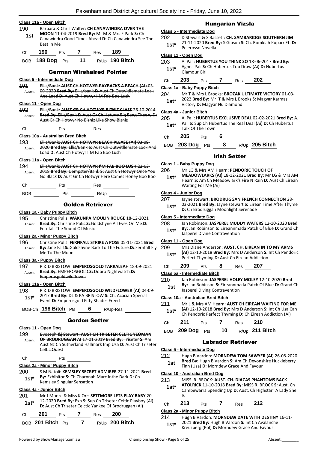|  | Class 11a - Open Bitch |  |
|--|------------------------|--|
|  |                        |  |

- 190 Barbara & Chris Walter: **CH CANAWINDRA OVER THE**
- **MOON** 11-04-2019 **Bred By:** Mr M & Mrs F Park **S:** Ch Canawindra Good Times Ahead **D:** Ch Canawindra See The Best In Me **1st**

| Ch | <b>190</b> Pts 7 |      | Res 189 |                |
|----|------------------|------|---------|----------------|
|    | BOB 188 Dog Pts  | - 11 |         | R/Up 190 Bitch |

## German Wirehaired Pointer

- **Class 5 - Intermediate Dog** 191 Ellis/Bank: **AUST CH HOTWYR PAYBACKS A BEACH (AI)** 03- 09-2020 Bred By: Ellis/bank S: Aust Ch Outwitllemate L And Load **D:** Aust Ch Hotwyr I'M Fab Boo Lush Absent **Class 11 - Open Dog** 192 Ellis/Bank: **AUST GR CH HOTWYR BIZNIZ CLASS** 26-10-2014 **Bred By:** Ellis/Bank **S:** Aust Gr Ch Hotwyr Big Bang Theory **D:**  Aust Gr Ch Hotwyr No Bizniz Like Show Bizniz Absent Ch Pts Res **Class 10a - Australian Bred Bitch** 193 Ellis/Bank: **AUST CH HOTWYR BEACH PLEASE (AI)** 03-09- 2020 **Bred By:** Ellis/Bank **S:** Aust Ch Outwitllemate Lock And Load **D:** Aust Ch Hotwyr I'M Fab Boo Lush Absent **Class 11a - Open Bitch** 194 Ellis/Bank: **AUST CH HOTWYR I'M FAB BOO LUSH** 22-03- 2018 **Bred By:** Dempster/Bank **S:** Aust Ch Hotwyr Once You Go Black **D:** Aust Gr Ch Hotwyr Here Comes Honey Boo Boo Absent Ch Pts Res BOB Pts R/Up Golden Retriever **Class 1a - Baby Puppy Bitch** 195 Christine Pulis: **WAKUNPA MOULIN ROUGE** 18-12-2021 **Bred By:** Christine Pulis **S:** Goldshyne All Eyes On Me **D:**  Fernfall The Sound Of Music Absent **Class 2a - Minor Puppy Bitch** 196 Christine Pulis: **FERNFALL STRIKE A POSE** 05-11-2021 **Bred**
- **By:** Jane Fall **S:** Goldshyne Back To The Future **D:** Fernfall Fly Me To The Moon Absent

## **Class 3a - Puppy Bitch**

197 P & D BRISTOW: **EMPEROSGOLD TARRALEAH** 18-09-2021 **Bred By:** EMPEROSGOLD **S:** Dobro Nightwatch **D:**  Emperosgoldwildflower Absent

## **Class 11a - Open Bitch**

198 P & D BRISTOW: **EMPEROSGOLD WILDFLOWER (AI)** 04-09- 2017 **Bred By:** DL & PA BRISTOW **S:** Ch. Acacian Special **1st**\*  $2017$  prea by: DE & PA BRISTOW S: Ch. A Event D: Emperosgold Fifty Shades Freed

BOB-Ch **198 Bitch** Pts **6** R/Up-Res

## Gordon Setter

**Class 11 - Open Dog**

- 199 E Joseph &j Stewart: **AUST CH TRISETER CELTIC YEOMAN OF BRODRUGGAN AI** 17-01-2019 **Bred By:** Triseter **S:** Am Aust Nz Ch Sutherland Hallmark Imp Usa **D:** Aust Ch Triseter Celtic Quest Absent
- Ch Pts

**Class 2a - Minor Puppy Bitch**

200 S M Natoli: **KEMSLEY SECRET ADMIRER** 27-11-2021 **Bred By:** Exhibitor **S:** Ch Charnnah Marc Inthe Dark **D:** Ch **1st\* by:** Exhibitor **5:** Charnhal Kemsley Singular Sensation

### **Class 4a - Junior Bitch**

201 Mr J Moore & Miss K Orr: **SETTMORE LETS PLAY BABY** 20- 12-2020 **Bred By:** Exh **S:** Sup Ch Triseter Celtic Playboy (Ai) **1st**\* **Digital L2-2020 Brea by:** Exhipsion Triseter Celtic Playbor **D:** Aust Ch Triseter Celtic Yankee Of Brodruggan (Ai)

| Ch. | - 201             | <b>Pts</b> | Res | - 200          |
|-----|-------------------|------------|-----|----------------|
|     | BOB 201 Bitch Pts |            |     | R/Up 200 Bitch |

## Hungarian Vizsla

### **Class 5 - Intermediate Dog**

202 D Stewart & S Bassett: **CH. SAMBARIDGE SOUTHERN JIM** 21-11-2020 **Bred By:** S Gibson **S:** Ch. Romkiah Kuparr Et. **D:**  Pelerosso Novella **1st\***

#### **Class 11 - Open Dog**

203 A. Pali: **HUBERTUS YOU THINK SO** 18-06-2017 **Bred By:** Agnes Pali **S:** Ch Hubertus Top Draw (Ai) **D:** Hubertus **1st**\* Agnes Pall **5:**<br>Glamour Girl

Ch **203** Pts **7** Res **202**

### **Class 1a - Baby Puppy Bitch**

204 Mr T & Mrs L Brooks: **BROZAK ULTIMATE VICTORY** 01-03- 2022 **Bred By:** Mr T & Mrs L Brooks **S:** Magyar Karmas **1st**\* 2022 **Brea By:** IVIF 1 & MITS L Brea Dictory **D:** Magyar Nu Diamond

#### **Class 4a - Junior Bitch**

- 205 A. Pali: **HUBERTUS EXCLUSIVE DEAL** 02-02-2021 **Bred By:** A. **1st**\* Pali S: Sup Ch Hubertus The Real Deal (Ai) **D:** Ch Hubertus Talk Of The Town
- Ch **205** Pts **6**

BOB **203 Dog** Pts **8** R/Up **205 Bitch**

## Irish Setter

### **Class 1 - Baby Puppy Dog**

- 206 Mr LG & Mrs AM Hearn: **PENDORIC TOUCH OF** 
	- **MEADOWLARKS (AI)** 18-12-2021 **Bred By:** Mr LG & Mrs AM Hearn **S:** Am Ch Meadowlark's Fire N Rain **D:** Aust Ch Eirean Waiting For Me (Ai) **1st\***

## **Class 4 - Junior Dog**

- 207 Jayne stewart: **BRODRUGGAN FRENCH CONNECTION** 28-
- 03-2021 **Bred By:** Jayne stewart **S:** Eirean Time After Thyme **1st**\* U3-2021 **Bred By:** Jayne stewart **5:** Eirer<br>D: Ch Brodruggan Moonlight Serenade

#### **Class 5 - Intermediate Dog**

- 208 Jan Robinson: **JASPEREL MUDDY WATERS** 12-10-2020 **Bred**
- **By:** Jan Robinson **S:** Eireannmada Patch Of Blue **D:** Grand Ch **1st\* By:** Jan Robinson **5:** Eireannmand **1st\*** Jasperel Divine Contravention

## **Class 11 - Open Dog**

- 209 Mrs Diane Anderson: **AUST. CH. EIREAN IN TO MY ARMS** 
	- **(AI)** 12-10-2018 **Bred By:** Mrs D Anderson **S:** Int Ch Pendoric **1st\* All** 12-10-2018 **Bred By:** Mrs D Anderson **S:**<br>Perfect Thyming **D:** Aust Ch Eirean Addiction

| Ch | 209 | Pts | 8 | Res | 207 |
|----|-----|-----|---|-----|-----|
|    |     |     |   |     |     |

**Class 5a - Intermediate Bitch**

- 210 Jan Robinson: **JASPEREL HOLEY MOLEY** 12-10-2020 **Bred**
- **By:** Jan Robinson **S:** Eireannmada Patch Of Blue **D:** Grand Ch **1st by:** Jan Robinson **5:** Eireannman **1st** Jasperel Diving Contravention

### **Class 10a - Australian Bred Bitch**

211 Mr L & Mrs AM Hearn: **AUST CH EIREAN WAITING FOR ME (AI)** 12-10-2018 **Bred By:** Mrs D Anderson **S:** Int Ch Usa Can **1st**\* **CAI)** 12-10-2018 **Bred By:** Mrs D Anderson **S:** Int Cn Usa C<br>**1st\*** Ch Pendoric Perfect Thyming **D:** Ch Eirean Addiction (Ai)

| $Ch$ 211        | <b>Pts</b> |    | Res <b>210</b> |                  |
|-----------------|------------|----|----------------|------------------|
| BOB 209 Dog Pts |            | 10 |                | $R/Up$ 211 Bitch |

## Labrador Retriever

### **Class 5 - Intermediate Dog**

- 212 Hugh B Vardon: **MORNDEW TOM SAWYER (AI)** 26-08-2020 **Bred By:** Hugh B Vardon **S:** Am.Ch.Devonshire Huckleberry
	- **1st Brea by:** Hugh B Vardon S: Am.Ch.Devons<br>Finn (Usa) **D:** Morndew Grace And Favour

## **Class 10 - Australian Bred Dog**

- 213 MISS. R. BROCK: **AUST. CH. DIACAS PHANTOMS BACK** 
	- **ATOLRICK** 11-10-2018 **Bred By:** MISS R. BROCK **S:** Aust. Ch Cambewarra Spending Up **D:** Aust. Ch Highstarr A Lady She Is **1st\***

## Ch **213** Pts **7** Res **212**

**Class 2a - Minor Puppy Bitch**

214 Hugh B Vardon: **MORNDEW DATE WITH DESTINY** 16-11- 2021 **Bred By:** Hugh B Vardon **S:** Int Ch Avalanche **1st**\* 2021 **Bred By:** Hugh B Vardon S: Int Ch Avalanc<br>Kreuzberg (Pol) **D:** Morndew Grace And Favour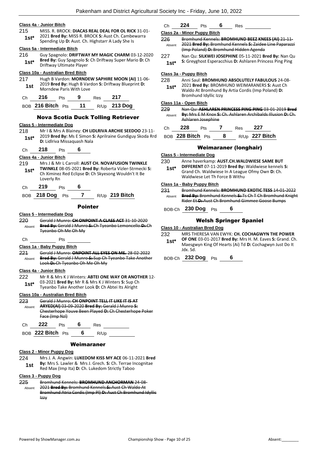#### **Class 4a - Junior Bitch**

215 MISS. R. BROCK: **DIACAS REAL DEAL FOR OL RICK** 31-01- 2021 **Bred By:** MISS R. BROCK **S:** Aust Ch. Cambewarra **1st**\* 2021 Bred By: MISS R. BROCK S: Aust Ch. Cambe<br>Spending Up D: Aust. Ch. Highstarr A Lady She Is

#### **Class 5a - Intermediate Bitch**

216 Guy Spagnolo: **DRIFTWAY MY MAGIC CHARM** 03-12-2020 **Bred By:** Guy Spagnolo **S:** Ch Driftway Super Mario **D:** Ch **1st\* Driftway Ultimate Player 1st\* Driftway Ultimate Player** 

#### **Class 10a - Australian Bred Bitch**

217 Hugh B Vardon: **MORNDEW SAPHIRE MOON (AI)** 11-06- 2019 **Bred By:** Hugh B Vardon **S:** Driftway Blueprint **D: 1st 2019 brea by:** Hugh B varing the Morndew Paris With Love

| C <sub>h</sub> | 216               | <b>Pts</b> | 9  | Res | 217            |
|----------------|-------------------|------------|----|-----|----------------|
|                | BOB 216 Bitch Pts |            | 11 |     | $R/Up$ 213 Dog |

#### Nova Scotia Duck Tolling Retriever

#### **Class 5 - Intermediate Dog**

- 218 Mr I & Mrs A Blainey: **CH LIDLRIVA ARCHIE SEEDOO** 23-11- 2019 **Bred By:** Ms E Simon **S:** Aprilraine Gundiguy Skoda Rrd **1st**\* 2019 **Bred By:** MS E Simon S<br>**D:** Lidlriva Missaquash Nala
- Ch **218** Pts **6**

### **Class 4a - Junior Bitch**

- 219 Mrs J & Mr L Carroll: **AUST CH. NOVAFUSION TWINKLE TWINKLE** 08-05-2021 **Bred By:** Roberta Vizler-Strmecki **S:**  Ch Ximinez Red Eclipse **D:** Ch Skyesong Wouldn't It Be Loverly Rn **1st\***
- Ch **219** Pts **6**

BOB **218 Dog** Pts **7** R/Up **219 Bitch**

#### Pointer

#### **Class 5 - Intermediate Dog**

220 Gerald J Munro: **CH ONPOINT A CLASS ACT** 31-10-2020 **Bred By:** Gerald J Munro **S:** Ch Tyeanbo Lemoncello **D:** Ch Tyeanbo Oh Me Oh My Absent

Ch Pts

### **Class 1a - Baby Puppy Bitch**

221 Gerald J Munro: **ONPOINT ALL EYES ON ME.** 28-02-2022 **Bred By:** Gerald J Munro **S:** Sup Ch Tyeanbo Take Another Look **D:** Ch Tyeanbo Oh Me Oh My Absent

## **Class 4a - Junior Bitch**

222 Mr R & Mrs K J Winters: **ABTEI ONE WAY OR ANOTHER** 12- 03-2021 **Bred By:** Mr R & Mrs K J Winters **S:** Sup Ch Tyeanbo Take Another Look **D:** Ch Abtei Its Alright **1st\***

#### **Class 10a - Australian Bred Bitch**

| 223    | Gerald J Munro: CH ONDOINT TELL IT LIKE IT IS AT |                |  |      |                                                       |  |  |
|--------|--------------------------------------------------|----------------|--|------|-------------------------------------------------------|--|--|
| Absent | ARYED(AI) 03-09-2020 Bred By: Gerald J Munro-S:  |                |  |      |                                                       |  |  |
|        |                                                  |                |  |      | Chesterhope Youve Been Played D: Ch Chesterhope Poker |  |  |
|        |                                                  | Face (Imp Nzl) |  |      |                                                       |  |  |
| C.h    | 222                                              | Pts            |  | Res  |                                                       |  |  |
|        | $ROB$ 222 Bitch $Pts$                            |                |  | R/Up |                                                       |  |  |

#### Weimaraner

#### **Class 2 - Minor Puppy Dog**

224 Mrs J. A. Angwin: **LUKEDOM KISS MY ACE** 06-11-2021 **Bred By:** Mrs S. Lawler & Mrs J. Grech. **S:** Ch. Terrae Incognitae **1st By:** Mrs S. Lawler & Mrs J. Grech. **S.** Ch. Terrae ii<br>Red Max (Imp Ita) **D**: Ch. Lukedom Strictly Taboo

#### **Class 3 - Puppy Dog**

| 225    | Bromhund Kennels: BROMHUND ANCHORMAN 24-08-                |
|--------|------------------------------------------------------------|
| Absent | 2021 Bred By: Bromhund Kennels S: Aust Ch Waldo At         |
|        | Bromhund Atria Cordis (Imp PI) D: Aust Ch Bromhund Idyllic |
|        | Izzv                                                       |

## Ch **224** Pts **6** Res

#### **Class 2a - Minor Puppy Bitch**

- 226 Bromhund Kennels: **BROMHUND BEEZ KNEES (AI)** 21-11- 2021 **Bred By:** Bromhund Kennels **S:** Zaidee Line Paparazzi (Imp Poland) **D:** Bromhund Hidden Agenda Absent
- 227 Nan Qu: **SILKWEI JOSEPHINE** 05-11-2021 **Bred By:** Nan Qu 1st\* S: Greyghost Esperacchius D: Ashlaren Princess Ping Ping

#### **Class 3a - Puppy Bitch**

| 228 | Anni Saul: BROMHUND ABSOLUTELY FABULOUS 24-08- |  |  |
|-----|------------------------------------------------|--|--|
|     |                                                |  |  |

2021 **Bred By:** BROMHUND WEIMARANERS **S:** Aust Ch Waldo At Bromhund By Artia Cordis (Imp Poland) **D:**  Bromhund Idyllic Izzy **1st\***

### **Class 11a - Open Bitch**

229 Nan Qu: **ASHLAREN PRINCESS PING PING** 03-01-2019 **Bred By:** Mrs E M Knox **S:** Ch. Ashlaren Archibalds Illusion **D:** Ch. Ashlaren Josephine Absent

| C <sub>h</sub> | - 228             | <b>Pts</b> | Res | - 227          |
|----------------|-------------------|------------|-----|----------------|
|                | BOB 228 Bitch Pts |            |     | R/Up 227 Bitch |

### Weimaraner (longhair)

#### **Class 5 - Intermediate Dog**

- 230 Anne haverkamp: **AUST.CH.WALDWIESE SAME BUT**
- **DIFFERENT** 07-11-2019 **Bred By:** Waldwiese kennels **S:**  Grand Ch. Waldwiese In A League Ofmy Own **D:** Ch. Waldwiese Let Th Force B Withu **1st\***

#### **Class 1a - Baby Puppy Bitch**

| 231    | Bromhund Kennels: BROMHUND EXOTIC TESS 14-01-2022       |
|--------|---------------------------------------------------------|
| Absent | Bred By: Bromhund Kennels-S:-Ts Ch T Ch Bromhund Knight |
|        | Rider Et D: Aust Ch Bromhund Gimmee Goose Bumps         |

## BOB-Ch **230 Dog** Pts **6**

## Welsh Springer Spaniel

#### **Class 10 - Australian Bred Dog**

- 232 MRS THERESA VAN EWYK: **CH. COCHAGWYN THE POWER** 
	- **OF ONE** 03-01-2017 **Bred By:** Mrs H. M. Eaves **S:** Grand. Ch. Maesgwyn King Of Hearts (Ai) Td **D:** Cochagwyn Just Do It Jdx. Sd. **1st\***

BOB-Ch **232 Dog** Pts **6**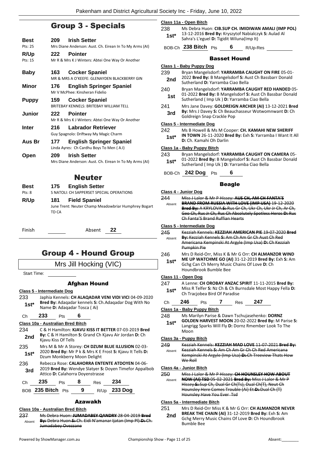## Group 3 - Specials

| Best           | 209 | <b>Irish Setter</b>                                                            |
|----------------|-----|--------------------------------------------------------------------------------|
| Pts: 25        |     | Mrs Diane Anderson: Aust. Ch. Eirean In To My Arms (AI)                        |
| R/Up           | 222 | <b>Pointer</b>                                                                 |
| Pts: 15        |     | Mr R & Mrs K J Winters: Abtei One Way Or Another                               |
| Baby           | 163 | <b>Cocker Spaniel</b>                                                          |
|                |     | MR & MRS A O'KEEFE: GLENAYDEN BLACKBERRY GIN                                   |
| Minor          | 176 | <b>English Springer Spaniel</b><br>Mr V McPhee: Kinsheran Fidelio              |
| <b>Puppy</b>   | 159 | <b>Cocker Spaniel</b><br>BRITEBAY KENNELS: BRITEBAY WILLIAM TELL               |
| <b>Junior</b>  | 222 | <b>Pointer</b><br>Mr R & Mrs K J Winters: Abtei One Way Or Another             |
| <b>Inter</b>   | 216 | <b>Labrador Retriever</b><br>Guy Spagnolo: Driftway My Magic Charm             |
| Aus Br         | 177 | <b>English Springer Spaniel</b><br>Linda Ayres: Ch Cardhu Boys To Men (A.I)    |
| Open           | 209 | <b>Irish Setter</b><br>Mrs Diane Anderson: Aust. Ch. Eirean In To My Arms (AI) |
|                |     | Neuter                                                                         |
| Best<br>Pts: 8 | 175 | <b>English Setter</b><br>S NATOLI: CH SAPPERSET SPECIAL OPERATIONS             |
|                |     |                                                                                |

|       | 175 English Setter                                   |
|-------|------------------------------------------------------|
|       | S NATOLI: CH SAPPERSET SPECIAL OPERATIONS            |
|       | 181 Field Spaniel                                    |
|       | June Trent: Neuter Champ Meadowbriar Humphrey Bogart |
| TD CA |                                                      |
|       |                                                      |
|       |                                                      |

Finish Absent **22**

## Group 4 - Hound Group

Mrs Jill Hocking (VIC)

Start Time:

### Afghan Hound

#### **Class 5 - Intermediate Dog**

233 Japhia Kennels: **CH ALAQADAR VENI VIDI VICI** 04-09-2020 **Bred By:** Adaqadar kennels **S:** Ch.Adaqadar Dog With No **1st\* Brea By:** Adaqadar Kennels **S:**<br>Name **D:** Adaqadar Tosca ( Ai)

### Ch **233** Pts **6**

#### **Class 10a - Australian Bred Bitch**

- 234 C & H Hamilton: **KJAVU KISS IT BETTER** 07-03-2019 **Bred By:** C & H Hamilton **S:** Grand Ch Kjavu Air Jordan **D:** Ch **2nd By:** C & H Hamilto
- 235 Mrs M & Mr A Storey: **CH DZUM BLUE ILLUSION** 02-03- 2020 **Bred By:** Mr P k & Mrs K E Frost **S:** Kjavu It Tells **D:**  1st\* 2020 Bred By: Mr P K & Mrs K E<br>Dzum Monkberry Moon Delight
- 236 Rebecca Rose: **CALAHORRA ENTENTE ATDOYEN** 04-06- 2019 **Bred By:** Wendye Slatyer **S:** Doyen Timefor Appalbob **3rd** 2019 Bred By: Wendye Slatyer S:<br>Attico D: Calahorra Doyenstrasse

| Ch | 235               | Pts | - 8 | Res | - 234               |
|----|-------------------|-----|-----|-----|---------------------|
|    | BOB 235 Bitch Pts |     | 9   |     | R/Up <b>233 Dog</b> |

## Azawakh

## **Class 10a - Australian Bred Bitch**

237 Ms Debra Huon: **JUMADABEY QANDRY** 28-04-2019 **Bred By:** Debra Huon **S:** Ch. Eidi N'amanar Ijatan (Imp Pl) **D:** Ch. Jumadabey Ovezzane Absent

|  | Class 11a - Open Bitch |  |
|--|------------------------|--|
|  |                        |  |

- 238 Ms Debra Huon: **CIB.SUP CH. IMIDIWAN AMALI (IMP POL)** 13-12-2016 **Bred By:** Kryszytof Nabialczyk **S:** Aulad Al Sahra's L'eguel **D:** Tigidit Wiluna(Imp It) **1st\***
	- BOB-Ch **238 Bitch** Pts **6** R/Up-Res

### Basset Hound

- **Class 1 - Baby Puppy Dog** 239 Bryan Mangelsdorf: **YARRAMBA CAUGHT ON FIRE** 05-01- 2022 **Bred By:** B Mangelsdorf **S:** Aust Ch Bassbarr Donald **2nd** 2022 **Bred By: B** Mangelsdorf **5:** Au Sutherland **D:** Yarramba Ciao Bella 240 Bryan Mangelsdorf: **YARRAMBA CAUGHT RED HANDED** 05- 01-2022 **Bred By:** B Mangelsdorf **S:** Aust Ch Bassbar Donald **1st** 01-2022 **Bred By:** B Mangelsdort **S:** Aust Cn B Sutherland ( Imp Uk ) **D:** Yarramba Ciao Bella 241 Mrs Jane Davey: **GOLDREIGN ARCHER (AI)** 13-12-2021 **Bred By:** Mrs J Davey **S:** Ch Beauchasseur Wotwomnwant **D:** Ch **3rd By:** MITS J Davey St Ch Beaut **Class 5 - Intermediate Dog** 242 Ms B Howell & Ms M Cooper: **CH. KAMAHI NEW SHERIFF 1st\* IN TOWN** 26-11-2020 **Bred By:** Exh **S:** Yarramba I Want It All **Direct** Ch. Kamahi Oh Darlin **Class 1a - Baby Puppy Bitch** 243 Bryan Mangelsdorf: **YARRAMBA CAUGHT ON CAMERA** 05- 01-2022 **Bred By:** B Mangelsdorf **S:** Aust Ch Bassbar Donald **1st**\* UL-2022 **Bred By:** B Mangelsdorf **S:** Aust Ch B<br>Sutherland ( Imp Uk ) **D:** Yarramba Ciao Bella BOB-Ch **242 Dog** Pts **6** Beagle **Class 4 - Junior Dog** 244 Miss J Lalor & Mr P Hissey: **AUS CH, AM CH FANTA'S BRAND FROM RUSSIA WITH LOVE (IMP USA)** 19-12-2020 **Bred By:** A KRYLOVA **S:** Rus Gr Ch, Ukr Ch, Ukr Jr Ch, Ar Ch, Geo Ch, Rus Jr Ch, Rus Ch Absolutely Spotless Heros **D:** Rus Ch Fanta'S Brand Ruffian Hearts Absent **Class 5 - Intermediate Dog** 245 Kezziah Kennels: **KEZZIAH AMERICAN PIE** 19-07-2020 **Bred By:** Kezziah Kennels **S:** Am Ch Am Gr Ch Aust Ch Red Americana Kempinski At Argyle (Imp Usa) **D:** Ch Kezziah Pumpkin Pie Absent 246 Mrs D Reid-Orr, Miss K & Mr G Orr: **CH ALMANZOR WIND ME UP WATCHME GO (AI)** 31-12-2019 **Bred By:** Exh **S:** Am Gchg Can Ch Merry Music Chains Of Love **D:** Ch Houndbrook Bumble Bee **1st\* Class 11 - Open Dog** 247 A Lenne: **CH OROBAY ANZAC SPIRIT** 11-11-2015 **Bred By:** Miss R Telfer **S:** Nz Ch & Ch Burnsdale Most Happy Fella **D: 1st**\* MISS R Telfer **5:** NZ Ch & Ch BU<br>Ch Tracjobea Bird Of Paradise Ch **246** Pts **7** Res **247 Class 1a - Baby Puppy Bitch** 248 Ms Marilyn Parise & Dawn Tschujasehenko: **DORNZ GOLDEN HARVEST MOON** 20-02-2022 **Bred By:** M Parise **S:**  Langrigg Sparks Will Fly **D:** Dornz Rmember Look To The Moon **1st\* Class 3a - Puppy Bitch** 249 Kezziah Kennels: **KEZZIAH MAD LOVE** 11-07-2021 **Bred By:** Kezziah Kennels **S:** Am Ch Am Gr Ch Ch Red Americana Kempinski At Argyle (Imp Usa) **D:** Ch Treeview Thats How We Roll Absent **Class 4a - Junior Bitch** 250 Miss J Lalor & Mr P Hissey: **CH HOUNSLEY HOW ABOUT NOW (AI) TSD** 05-02-2021 **Bred By:** Miss J Lalor & Mr P Hissey **S:** Sup Ch, Dual Gr Ch(Ts), Dual Ch(T), Neut Ch Hounsley Here Comes Trouble (Ai) Et **D:** Dual Ch (T) Hounsley Have You Ever Tsd Absent **Class 5a - Intermediate Bitch**
	- 251 Mrs D Reid-Orr Miss K & Mr G Orr: **CH ALMANZOR NEVER BREAK THE CHAIN (AI)** 31-12-2019 **Bred By:** Exh **S:** Am **2nd**
		- Gchg Merry Music Chains Of Love **D:** Ch Houndbrook Bumble Bee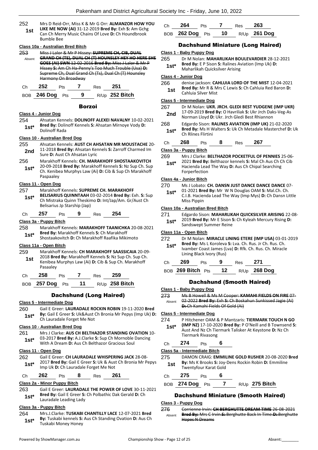252 Mrs D Reid-Orr, Miss K & Mr G Orr: **ALMANZOR HOW YOU LIKE ME NOW (AI)** 31-12-2019 **Bred By:** Exh **S:** Am Gchg Can Ch Merry Music Chains Of Love **D:** Ch Houndbrook Bumble Bee **1st**

#### **Class 10a - Australian Bred Bitch**

|        | Miss J Lalor & Mr P Hissey: SUPREME CH, CIB, DUAL     |
|--------|-------------------------------------------------------|
| Ahsent | GRAND CH (TS) DUAL CH (T) HOUNSIEV HEV HO HERE SHE    |
|        | GOES (AI) SWN 12 02 2016 Bred By: Miss J Lalor & Mr P |
|        | Hissey S: Am Ch Ha-Penny's Too Much Trouble (Usa) D:  |
|        | Supreme Ch, Dual Grand Ch (Ts), Dual Ch (T) Hounsley  |
|        | Harmony On Broadway                                   |
|        |                                                       |

| $\sim$ $\sim$ | ື | __ | __ |  |
|---------------|---|----|----|--|
|               |   |    |    |  |

BOB **246 Dog** Pts **9** R/Up **252 Bitch**

#### Borzoi

### **Class 4 - Junior Dog**

254 Ahsatan Kennels: **DOLINOFF ALEXEI NAVALNY** 10-02-2021 **Bred By:** Dolinoff Kennels **S:** Ahsatan Mirnoye Vody **D: 1st\* Dolinoff Rada** 

#### **Class 10 - Australian Bred Dog**

- 255 Ahsatan Kennels: **AUST CH AHSATAN MR MOUSTACHE** 20- 11-2018 **Bred By:** Ahsatan Kennels **S:** Zarroff Charmed Im **2nd** II-2018 **Brea By:** Ansatan Kell<br>Sure **D:** Aust Ch Ahsatan Lyric
- 256 Marakhoff Kennels: **CH. MARAKHOFF SHOSTAAKOVITCH** 20-09-2018 **Bred By:** Marakhoff Kennels **S:** Nz Sup Ch. Sup Ch. Kenibea Murphys Law (Ai) **D:** Cib & Sup Ch Marakhoff Paspaaley **1st\***

## **Class 11 - Open Dog**

- 257 Marakhoff Kennels: **SUPREME CH. MARAKHOFF BELISARIUS QUINNTAAH** 03-02-2014 **Bred By:** Exh. **S:** Sup Ch Mistraka Quinn Theskimo **D:** Int/Jap/Am. Gr/Aust Ch Belisarius Jp Starship (Jap) **1st\***
- Ch **257** Pts **9** Res **254**

### **Class 3a - Puppy Bitch**

- 258 Marakhoff Kennels: **MARAKHOFF TAANICHKA** 20-08-2021 **Bred By:** Marakhoff Kennels **S:** Ch Marakhoff
	- Shostaakovitch **D:** Ch Marakhoff Raafika Mikimoto **1st\***

## **Class 11a - Open Bitch**

- 259 Marakhoff Kennels: **CH MARAKHOFF SAASSICAIA** 20-09-
- 2018 **Bred By:** Marakhoff Kennels **S:** Nz Sup Ch. Sup Ch. Kenibea Murphys Law (Ai) **D:** Cib & Sup Ch. Marakhoff Pasaaley **1st**

| Сh | 258 | Pts | Res | 259 |
|----|-----|-----|-----|-----|
|    |     |     |     |     |

BOB **257 Dog** Pts **11** R/Up **258 Bitch**

## Dachshund (Long Haired)

### **Class 5 - Intermediate Dog**

- 260 Gail E Greer: **LAURADALE ROCKIN ROBIN** 19-11-2020 **Bred By:** Gail E Greer **S:** Uk&Aust Ch Bronia Mr Pepys (Imp Uk) **D:** 
	- **1st\* by:** Gall E Greer **5:** UK&AUSt of the Not

### **Class 10 - Australian Bred Dog**

261 Mrs J Clarke: **AUS CH BELTHAZOR STANDING OVATION** 10- 03-2017 **Bred By:** A.J.Clarke **S:** Sup Ch Mornoble Dancing With A Dream **D:** Aus Ch Belthazor Gracious Soul **1st\***

#### **Class 11 - Open Dog**

262 Gail E Greer: **CH LAURADALE WHISPERING JACK** 28-08- 2017 **Bred By:** Gail E Greer **S:** Uk & Aust Ch Bronia Mr Pepys **1st**\* 2017 **Bred By:** Gall E Greef **5:** UK & Aust Imp Uk **D:** Ch Lauradale Forget Me Not

## Ch **262** Pts **8** Res **261**

### **Class 2a - Minor Puppy Bitch**

263 Gail E Greer: **LAURADALE THE POWER OF LOVE** 30-11-2021 **Bred By:** Gail E Greer **S:** Ch Polbathic Dak Gerald **D:** Ch **1st<sup>\*</sup>** Bred By: Gall E Greer S:<br>Lauradale Leading Lady

## **Class 3a - Puppy Bitch**

264 Mrs.J.Clarke: **TUSKABI CHANTILLY LACE** 12-07-2021 **Bred By:** Tuskabi kennels **S:** Aus Ch Standing Ovation **D:** Aus Ch **1st\* By:** Tuskabi Kenneis S:<br>Tuskabi Money Honey

| Ch | 264                       | <b>Pts</b> | $Res$ 263 |                     |
|----|---------------------------|------------|-----------|---------------------|
|    | BOB <b>262 Dog</b> Pts 10 |            |           | R/Up <b>261 Dog</b> |

## Dachshund Miniature (Long Haired)

- **Class 1 - Baby Puppy Dog**
- 265 Dr M Nolan: **MAHARLIKAH BOULEVARDIER** 28-12-2021 **Bred By:** E P Sison **S:** Ralines Aviation (Imp Uk) **D:** 
	- **1st\* Brea By:** E P Sison **S:** Railnes Ave Maharlikah Quicksilver Arising

## **Class 4 - Junior Dog**

266 denise jackson: **CAHLUIA LORD OF THE MIST** 12-04-2021 **Bred By:** Mr R & Mrs C Lewis **S:** Ch Cahluia Red Baron **D: 1st Brea By:** MIT R & M

#### **Class 5 - Intermediate Dog**

- 267 Dr M Nolan: **UKR. JRCH. GLEDI BEST YUDGENE (IMP UKR)** 17-09-2019 **Bred By:** O Havriliak **S:** Ukr Jrch Daks-Veg-As **2nd** 17-09-2019 **Bred By:** O Havrillak S: UKr Jrch Dak<br>Norman Lloyd D: Ukr. Jrch Gledi Best Rhiannon
- 268 Edgardo Sison: **RALINES AVIATION (IMP UK)** 21-02-2020 **Bred By:** Ms H Walters **S:** Uk Ch Metadale Masterchef **D:** Uk **1st\* Direa by:** MIS H V
- Ch **268** Pts **8** Res **267**

### **Class 3a - Puppy Bitch**

269 Mrs J Clarke: **BELTHAZOR POCKETFUL OF PENNIES** 25-06-

2021 **Bred By:** Belthazor kennels **S:** Mal Ch Aus Ch Ch Cib Hacienda Lead The Way **D:** Aus Ch Chipal Searching Forperfection **1st\***

#### **Class 4a - Junior Bitch**

270 Ms J Lobato: **CH. DANSN JUST DANCE DANCE DANCE** 07-

01-2021 **Bred By:** Mr W N Douglas OAM **S:** Mal.Ch. Ch. C.I.B. Hacienda Lead The Way (Imp Mys) **D:** Ch Dansn Little Miss Pippin **1st\***

#### **Class 10a - Australian Bred Bitch**

271 Edgardo Sison: **MAHARLIKAH QUICKSILVER ARISING** 22-08- 2019 **Bred By:** Mr E Sison **S:** Ch Kyleah Mercury Rising **D:** 

**1st**\* 2019 **Brea By:** IVIT E SISON:<br>Sandswept Summer Reine

## **Class 11a - Open Bitch**

| 272<br>$1st*$ |     | Lining Black Ivory (Rus) |   |     | Bred By: Ms L Koroleva S: Lva. Ch. Rus. Jr Ch. Rus. Ch.<br>Ivamber Coast James (Lva) D: Rfk. Ch. Rus. Ch. Miracle | Dr M Nolan: MIRACLE LINING ETERE (IMP USA) 03-01-2019 |
|---------------|-----|--------------------------|---|-----|-------------------------------------------------------------------------------------------------------------------|-------------------------------------------------------|
| Ch            | 269 | P <sub>ts</sub>          | 9 | Res | 271                                                                                                               |                                                       |

BOB **269 Bitch** Pts **12** R/Up **268 Dog**

## Dachshund (Smooth Haired)

273 Ms B Howell & Ms M Cooper: **KAMAHI FIELDS ON FIRE** 07- 02-2022 **Bred By:** Exh **S:** Ch Boskahun Sunkissed Jagie (Ai) Absent

#### **Class 5 - Intermediate Dog**

274 P Hitchener OAM & P Mantzaris: **TIERMARK TOUCH N GO** 

**(IMP NZ)** 17-10-2020 **Bred By:** P O'Neill and B Townsend **S:**  Aust And Nz Ch Tiermark Talisker At Keystone **D:** Nz Ch Tiermark Rivasong **1st\***

## Ch **274** Pts **6**

#### **Class 5a - Intermediate Bitch**

- 275 DAMON CRAIG: **EMMILINE GOLD RUSHER** 20-08-2020 **Bred By:** Ms K Brooks **S:** Joy-Dens Rockin Robin **D:** Emmiline
- **1st by:** IVIS K Brooks **5:** Joy-<br>Twentyfour Karat Gold

### Ch **275** Pts **6**

BOB **274 Dog** Pts **7** R/Up **275 Bitch**

## Dachshund Miniature (Smooth Haired)

#### **Class 3 - Puppy Dog**

276 Corrienne Irvin: **CH BERGHUTTE DREAM TIME** 26-08-2021 **Bred By:** Mrs C Irvin **S:** Berghutte Back In Time **D:** Berghutte Hopes N Dreams Absent

- **D:** Ch Kamahi Fields Of Gold (Ai)
- **Class 1 - Baby Puppy Dog**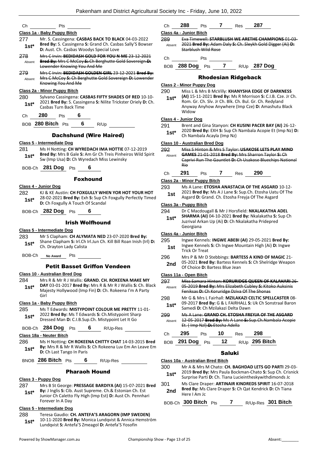|                                    | Pts                                                                                                                                                                             | Ch             | 287<br>288<br>7<br>Pts<br>Res                                                                                                                                                                                                                                                          |
|------------------------------------|---------------------------------------------------------------------------------------------------------------------------------------------------------------------------------|----------------|----------------------------------------------------------------------------------------------------------------------------------------------------------------------------------------------------------------------------------------------------------------------------------------|
|                                    | Class 1a - Baby Puppy Bitch                                                                                                                                                     |                | Class 4a - Junior Bitch                                                                                                                                                                                                                                                                |
| 277<br>$1st*$                      | Mr. S. Cassingena: CASBAS BACK TO BLACK 04-03-2022<br>Bred By: S. Cassingena S: Grand Ch. Casbas Sally'S Bowser<br>D: Aust. Ch. Casbas Woodys Special Love                      | 289<br>Absent  | Eva Timewell: STARBLUSH WE ARETHE CHAMPIONS 01-03-<br>2021 Bred By: Adam Daly S: Ch. Sleykh Gold Digger (Ai) D:<br>Starblush Wild Rose                                                                                                                                                 |
| 278<br>Absent                      | Mrs C Irvin: BEDIDASH GOLD FOR YOU N ME 23 12 2021<br>Bred By: Mrs C McCoy S: Ch Berghutte Gold Sovereign D:                                                                    | Ch             | Pts                                                                                                                                                                                                                                                                                    |
|                                    | Lowender Knowing You And Me                                                                                                                                                     |                | BOB 288 Dog Pts 7 R/Up 287 Dog                                                                                                                                                                                                                                                         |
| 279<br>Absent                      | Mrs C Irvin: BEDIDASH GOLDEN GIRL 23-12-2021 Bred By:<br>Mrs C McCoy S: Ch Berghutte Gold Sovereign D: Lowender<br>Knowing You And Me                                           |                | <b>Rhodesian Ridgeback</b>                                                                                                                                                                                                                                                             |
|                                    |                                                                                                                                                                                 |                | Class 2 - Minor Puppy Dog                                                                                                                                                                                                                                                              |
| 280<br>$1st*$                      | Class 2a - Minor Puppy Bitch<br>Sylvano Cassingena: CASBAS FIFTY SHADES OF RED 10-10-<br>2021 Bred By: S. Cassingena S: Nilite Trickster Oriely D: Ch.<br>Casbas Turn Back Time | 290<br>$1st*$  | Miss L & Mrs B McVilly: KHANYSHA EDGE OF DARKNESS<br>(AI) 15-11-2021 Bred By: Ms R Morrison S: C.I.B. Cze. Jr Ch.<br>Rom. Gr. Ch. Slv. Jr Ch. Blk. Ch. Bul. Gr. Ch. Redyland<br>Anyway Anyhow Anywhere (Imp Cze) D: Amashutu Black<br>Widow                                            |
| Ch                                 | 280<br>6<br>Pts                                                                                                                                                                 |                | Class 4 - Junior Dog                                                                                                                                                                                                                                                                   |
|                                    | 6<br>BOB 280 Bitch Pts<br>R/Up                                                                                                                                                  | 291            | Brent and Gina Stanyon: CH KUSINI PACER BAY (AI) 26-12-<br>2020 Bred By: EXH S: Sup Ch Nambala Acopie Et (Imp Nz) D:                                                                                                                                                                   |
|                                    | <b>Dachshund (Wire Haired)</b>                                                                                                                                                  | $1st*$         | Ch Nambala Acayla (Imp Nz)                                                                                                                                                                                                                                                             |
|                                    | Class 5 - Intermediate Dog                                                                                                                                                      |                | Class 10 - Australian Bred Dog                                                                                                                                                                                                                                                         |
| 281<br>$1st*$                      | Ms H Notting: CH WYREDACH IMA HOTTIE 07-12-2019<br>Bred By: Mrs B Gale S: Am Gr Ch Treis Pinheiros Wild Spirit<br>Sw (Imp Usa) D: Ch Wyredach Miss Lewinsky                     | 292<br>Absent  | Miss S Hinton & Mrs S Taylor: USAKOSE LETS PLAY MIND<br>GAMES 21-01-2018 Bred By: Mrs Sharron Taylor S: Ch<br>Caprivi Run The Gauntlet-D: Ch Usakose Bluechips National<br>Rio                                                                                                         |
|                                    | BOB-Ch 281 Dog Pts<br>6                                                                                                                                                         |                |                                                                                                                                                                                                                                                                                        |
|                                    | <b>Foxhound</b>                                                                                                                                                                 | Ch             | 290<br>291<br>7<br>Pts<br>Res                                                                                                                                                                                                                                                          |
|                                    |                                                                                                                                                                                 |                | Class 2a - Minor Puppy Bitch                                                                                                                                                                                                                                                           |
| 282                                | Class 4 - Junior Dog<br>KJ & KE Austin: CH FOXGULLY WHEN YOR HOT YOUR HOT<br>28-02-2021 Bred By: Exh S: Sup Ch Foxgully Perfectly Timed                                         | 293<br>1st     | Ms A Lane: ETOSHA ANASTACIA OF THE ASGARD 10-12-<br>2021 Bred By: Ms A J Lane S: Sup.Ch. Etosha Uatu Of The<br>Asgard D: Grand. Ch. Etosha Freyja Of The Asgard                                                                                                                        |
| $1st*$                             | D: Ch Foxgully A Touch Of Scandal                                                                                                                                               |                | Class 3a - Puppy Bitch                                                                                                                                                                                                                                                                 |
|                                    | BOB-Ch 282 Dog Pts<br>6                                                                                                                                                         | 294<br>$1st*$  | Dr C Macdougall & Mr J Horsfield: NKALAKATHA ADEL<br>SHARMA (AI) 04-10-2021 Bred By: Nkalakatha S: Sup Ch                                                                                                                                                                              |
|                                    | <b>Irish Wolfhound</b>                                                                                                                                                          |                | Juzrival Arkan Up (Ai) D: Ch Nkalakatha Pridepred                                                                                                                                                                                                                                      |
|                                    | <b>Class 5 - Intermediate Dog</b>                                                                                                                                               |                | Georgiana                                                                                                                                                                                                                                                                              |
| 283                                | Mr S Clapham: CH ALYMATA NED 23-07-2020 Bred By:                                                                                                                                |                | Class 4a - Junior Bitch                                                                                                                                                                                                                                                                |
| $1st*$                             | Shane Clapham S: Irl.Ch Irl.Jun Ch. Kill Bill Roan Inish (Irl) D:                                                                                                               | 295            | Ingwe Kennels: INGWE ABEBI (AI) 29-05-2021 Bred By:                                                                                                                                                                                                                                    |
|                                    | Ch. Drayton Lady Calista                                                                                                                                                        | 1st            | Ingwe Kennels S: Ch Ingwe Mountain High (Ai) D: Ingwe                                                                                                                                                                                                                                  |
| BOB-Ch                             | Pts<br><b>No Award</b>                                                                                                                                                          | 296            | Trick Or Treat<br>Mrs P & Mr D Stebbings: BARTESS A KIND OF MAGIC 21-                                                                                                                                                                                                                  |
|                                    | <b>Petit Basset Griffon Vendeen</b>                                                                                                                                             | 2nd            | 05-2021 Bred By: Bartess Kennels S: Ch Shelridge Weapon<br>Of Choice D: Bartess Blue Jean                                                                                                                                                                                              |
|                                    | Class 10 - Australian Bred Dog                                                                                                                                                  |                | Class 11a - Open Bitch                                                                                                                                                                                                                                                                 |
| $1st*$                             | Mrs R & Mr R J Wallis: GRAND. CH. ROKEENA MAKE MY<br>DAY 03-01-2017 Bred By: Mrs R & Mr R J Wallis S: Ch. Black<br>Majesty Hollywood (Imp Fin) D: Ch. Rokeena I'm A Party       | 297<br>Absent  | 05-2019 Bred By: Mrs Elizabeth Cubley S: Kitoko Auksinis<br>Feniksas-D:-Ch Koruridge Dziva Of The Shonas                                                                                                                                                                               |
|                                    | Girl                                                                                                                                                                            | 298            |                                                                                                                                                                                                                                                                                        |
|                                    | Class 1a - Baby Puppy Bitch                                                                                                                                                     | $1st*$         |                                                                                                                                                                                                                                                                                        |
|                                    | Ms T Edwards: MISTYPOINT COLOUR ME PRETTY 11-01-                                                                                                                                |                | Samedi D: Ch Mzilakazi Delta Dawn                                                                                                                                                                                                                                                      |
| $1st*$                             | 2022 Bred By: Ms T Edwards S: Ch.Mistypoint Sharp<br>Dressed Man D: C.I.B.Sup.Ch. Mistypoint Let It Go                                                                          | 299<br>Absent  | Ms A Lane: GRAND CH. ETOSHA FREYJA OF THE ASGARD<br>12-05-2017 Bred By: Ms A Lane-S: Sup.Ch.Nambala Acopie<br>Et. (Imp Nzl) D: Etosha Adella                                                                                                                                           |
|                                    | 6<br>BOB-Ch 284 Dog Pts<br>R/Up-Res                                                                                                                                             |                |                                                                                                                                                                                                                                                                                        |
|                                    | Class 18a - Neuter Bitch                                                                                                                                                        | Ch             | 295<br>298<br>10<br>Pts<br><b>Res</b>                                                                                                                                                                                                                                                  |
| $1st*$                             | Ms H Notting: CH ROKEENA CHITTY CHAT 14-03-2015 Bred<br>By: Mrs R & Mr R Wallis S: Ch Rokeena Luv Em An Leave Em<br>D: Ch Last Tango In Paris                                   |                | 12<br>R/Up 295 Bitch<br>BOB 291 Dog Pts<br><b>Saluki</b>                                                                                                                                                                                                                               |
|                                    | BNOB 286 Bitch Pts<br>6<br>R/Up-Res                                                                                                                                             |                | Class 10a - Australian Bred Bitch                                                                                                                                                                                                                                                      |
|                                    | <b>Pharaoh Hound</b>                                                                                                                                                            | 300<br>$1st^*$ |                                                                                                                                                                                                                                                                                        |
|                                    | Class 3 - Puppy Dog                                                                                                                                                             |                | Surprise Parti D: Ch. Tiana Lucieintheskywithdimonds Jc                                                                                                                                                                                                                                |
| 284<br>285<br>286<br>287<br>$1st*$ | Mrs B St George: PRESSAGE BARDIYA (AI) 15-07-2021 Bred<br>By: J Inglis S: Cib. Aust Supreme. Ch.& Estonian Ch. Est                                                              | 301<br>2nd     | 09-2017 Bred By: G & L FAIRHALL S: Uk Ch Sonstraal Baron<br>Ms Clare Draper: ARTINAIR KINDREDS SPIRIT 16-07-2018<br>Bred By: Ms Clare Draper S: Ch Qat Kendrick D: Ch Tiana<br>Here I Am Jc                                                                                            |
|                                    | Junior Ch Caletto Fly High (Imp Est) D: Aust Ch. Pennhari<br>Forever In A Day                                                                                                   |                | Miss Samara Hinton: KORURIDGE QUEEN OF KALAHARI 26-<br>Mr G & Mrs L Fairhall: MZILAKAZI CELTIC SPELLCASTER 08-<br>Mr A & Mrs M Chato: CH. BAGHDAD LETS GO PARTI 29-03-<br>2019 Bred By: Mrs Paula Bockman-Chato S: Sup Ch. Crisnick<br>BOB-Ch 300 Bitch Pts<br>R/Up-Res 301 Bitch<br>7 |

Lundqvist **S:** Antefa'S Zmeagol **D:** Antefa'S Yosofin **1st\***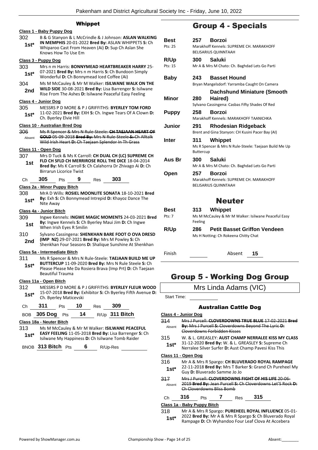## Whippet

|                                |                                                                                                                                                                     |                                | wnippet |     |                                                                                                                                                                        |  |  |
|--------------------------------|---------------------------------------------------------------------------------------------------------------------------------------------------------------------|--------------------------------|---------|-----|------------------------------------------------------------------------------------------------------------------------------------------------------------------------|--|--|
| Class 1 - Baby Puppy Dog       |                                                                                                                                                                     |                                |         |     |                                                                                                                                                                        |  |  |
| 302<br>1st*                    | B & G Stanyon & L McCrindle & J Johnson: ASLAN WALKING<br>IN MEMPHIS 20-01-2022 Bred By: ASLAN WHIPPETS S: Ch<br>Whiparoo Cast From Heaven (Ai) D: Sup Ch Aslan She |                                |         |     |                                                                                                                                                                        |  |  |
|                                |                                                                                                                                                                     | Knows How To Use Em            |         |     |                                                                                                                                                                        |  |  |
| Class 3 - Puppy Dog            |                                                                                                                                                                     |                                |         |     |                                                                                                                                                                        |  |  |
| 303<br>1st*                    | Mrs n m Harris: <b>BONNYMEAD HEARTBREAKER HARRY</b> 25-<br>07-2021 Bred By: Mrs n m Harris S: Ch Bundoon Simply<br>Wonderful D: Ch Bonnymead Iced Coffee (Ai)       |                                |         |     |                                                                                                                                                                        |  |  |
| 304<br>2nd                     |                                                                                                                                                                     |                                |         |     | Ms M McCauley & Mr M Walker: ISILWANE WALK ON THE<br>WILD SIDE 30-08-2021 Bred By: Lisa Barrenger S: Isilwane<br>Rise From The Ashes D: Isilwane Peaceful Easy Feeling |  |  |
| Class 4 - Junior Dog           |                                                                                                                                                                     |                                |         |     |                                                                                                                                                                        |  |  |
| 305                            |                                                                                                                                                                     |                                |         |     | MESSRS P D MORE & P J GRIFFITHS: <b>BYERLEY TOM FORD</b>                                                                                                               |  |  |
| 1st*                           |                                                                                                                                                                     | Ch. Byerley Elvie Hill         |         |     | 11-02-2021 Bred By: EXH S: Ch. Ingwe Tears Of A Clown D:                                                                                                               |  |  |
| Class 10 - Australian Bred Dog |                                                                                                                                                                     |                                |         |     |                                                                                                                                                                        |  |  |
| 306                            |                                                                                                                                                                     |                                |         |     | Ms R Spencer & Mrs N Rule-Steele: CH TAEJAAN HEART OF                                                                                                                  |  |  |
| Absent                         |                                                                                                                                                                     |                                |         |     | GOLD 05-09-2018 Bred By: Mrs N Rule-Steele S: Ch Alltalk<br>Wild Irish Heart-D:-Ch Taejaan Splendor In Th Grass                                                        |  |  |
| Class 11 - Open Dog            |                                                                                                                                                                     |                                |         |     |                                                                                                                                                                        |  |  |
| 307                            |                                                                                                                                                                     |                                |         |     | Mrs D Tuck & Ms K Carroll: CH DUAL CH (LC) SUPREME CH                                                                                                                  |  |  |
| 1st                            |                                                                                                                                                                     |                                |         |     | FLD CH SFLD CH MERRIROSE ROLL THE DICE 18-04-2014<br>Bred By: Ms K Carroll S: Ch Calahorra Dr Zhivago Ai D: Ch                                                         |  |  |
|                                |                                                                                                                                                                     | <b>Birrarun Licorice Twist</b> |         |     |                                                                                                                                                                        |  |  |
| Сh                             | 305                                                                                                                                                                 | Pts                            | 9       | Res | 303                                                                                                                                                                    |  |  |
| Class 2a - Minor Puppy Bitch   |                                                                                                                                                                     |                                |         |     |                                                                                                                                                                        |  |  |
| 308                            |                                                                                                                                                                     |                                |         |     | MrA D Wills: ROSIEL MOONLITE SONATA 18-10-2021 Bred                                                                                                                    |  |  |
| $1st*$                         | Nite Away                                                                                                                                                           |                                |         |     | By: Exh S: Ch Bonnymead Intrepid D: Khayoz Dance The                                                                                                                   |  |  |
| Class 4a - Junior Bitch        |                                                                                                                                                                     |                                |         |     |                                                                                                                                                                        |  |  |
| 309                            |                                                                                                                                                                     |                                |         |     | Ingwe Kennels: <b>INGWE MAGIC MOMENTS</b> 24-03-2021 Bred                                                                                                              |  |  |
| 1st                            |                                                                                                                                                                     | When Irish Eyes R Smilin       |         |     | By: Ingwe Kennels S: Ch Byerley Maui Jim D: Ch Ingwe                                                                                                                   |  |  |
| 310                            |                                                                                                                                                                     |                                |         |     | Sylvano Cassingena: SHENKHAN BARE FOOT O OVA DRESD                                                                                                                     |  |  |
| 2nd                            |                                                                                                                                                                     |                                |         |     | (IMP NZ) 29-07-2021 Bred By: Mrs M Powley S: Ch<br>Shenkhan Four Seasons D: Shalique Sunshine At Shenkhan                                                              |  |  |
| Class 5a - Intermediate Bitch  |                                                                                                                                                                     |                                |         |     |                                                                                                                                                                        |  |  |
| 311                            |                                                                                                                                                                     |                                |         |     | Ms R Spencer & Mrs N Rule-Steele: TAEJAAN BUILD ME UP<br>BUTTERCUP 11-09-2020 Bred By: Mrs N Rule Steele S: Ch                                                         |  |  |
| $1st^*$                        |                                                                                                                                                                     |                                |         |     | Please Please Me Da Rosiera Brava (Imp Prt) D: Ch Taejaan                                                                                                              |  |  |
|                                |                                                                                                                                                                     | <b>Beautiful Trauma</b>        |         |     |                                                                                                                                                                        |  |  |
| Class 11a - Open Bitch         |                                                                                                                                                                     |                                |         |     |                                                                                                                                                                        |  |  |
| 312                            |                                                                                                                                                                     |                                |         |     | MESSRS P D MORE & P J GRIFFITHS: BYERLEY FLEUR WOOD                                                                                                                    |  |  |
| $1st*$                         |                                                                                                                                                                     | Ch. Byerley Maticevski         |         |     | 15-07-2018 Bred By: Exhibitor S: Ch Byerley Fifth Avenue D:                                                                                                            |  |  |
| Ch                             | 311                                                                                                                                                                 | Pts                            | 10      | Res | 309                                                                                                                                                                    |  |  |
| <b>BOB</b>                     | 305 Dog                                                                                                                                                             | Pts                            | 14      |     | $R/Up$ 311 Bitch                                                                                                                                                       |  |  |
|                                |                                                                                                                                                                     |                                |         |     |                                                                                                                                                                        |  |  |

## **Class 18a - Neuter Bitch**

313 Ms M McCauley & Mr M Walker: **ISILWANE PEACEFUL EASY FEELING** 11-05-2018 **Bred By:** Lisa Barrenger **S:** Ch **1st\* EASY FEELING** 11-05-2018 **Bred By:** Lisa Barrenger **1stand 1.1** Islam Raider **1stand Raider 1stand Paramer Stand Propriess D:** Ch Isilwane Tomb Raider

BNOB **313 Bitch** Pts **6** R/Up-Res

## Group 4 - Specials

| Best<br>Pts: 25        | 257<br>Borzoi<br>Marakhoff Kennels: SUPREME CH. MARAKHOFF<br><b>BELISARIUS QUINNTAAH</b>               |
|------------------------|--------------------------------------------------------------------------------------------------------|
| <b>R/Up</b><br>Pts: 15 | Saluki<br>300<br>Mr A & Mrs M Chato: Ch. Baghdad Lets Go Parti                                         |
| Baby                   | <b>Basset Hound</b><br>243<br>Bryan Mangelsdorf: Yarramba Caught On Camera                             |
| Minor                  | <b>Dachshund Miniature (Smooth</b><br>280<br>Haired)<br>Sylvano Cassingena: Casbas Fifty Shades Of Red |
| <b>Puppy</b>           | 258<br>Borzoi<br>Marakhoff Kennels: MARAKHOFF TAANICHKA                                                |
| Junior                 | Rhodesian Ridgeback<br>291<br>Brent and Gina Stanyon: CH Kusini Pacer Bay (AI)                         |
| Inter                  | Whippet<br>311<br>Ms R Spencer & Mrs N Rule-Steele: Taejaan Build Me Up<br>Buttercup                   |
| Aus Br                 | Saluki<br>300<br>Mr A & Mrs M Chato: Ch. Baghdad Lets Go Parti                                         |
| Open                   | 257<br>Borzoi<br>Marakhoff Kennels: SUPREME CH. MARAKHOFF<br><b>BELISARIUS QUINNTAAH</b>               |
|                        | <b>Neuter</b>                                                                                          |
| Best<br>Pts: 7         | Whippet<br>313.<br>Ms M McCauley & Mr M Walker: Isilwane Peaceful Easy<br>Feeling                      |
| R/Up                   | <b>Petit Basset Griffon Vendeen</b><br>286<br>Ms H Notting: Ch Rokeena Chitty Chat                     |
| Finish                 | Absent<br>15                                                                                           |

## Group 5 - Working Dog Group

## Mrs Linda Adams (VIC)

Start Time:

### Australian Cattle Dog

| Class 4 - Junior Dog        |                                                                                                                                                                           |     |  |     |     |  |
|-----------------------------|---------------------------------------------------------------------------------------------------------------------------------------------------------------------------|-----|--|-----|-----|--|
| 314<br>Absent               | Mrs   Purcell: <b>CLOVERDOWNS TRUE BLUE 17-02-2021</b><br><b>By:</b> Mrs J Purcell S: Cloverdowns Beyond The Lyric D:<br><i>r</i> erdowns Forbidden Kisses                |     |  |     |     |  |
| 315<br>$1st^*$              | W. & L. GREASLEY: <b>AUST CHAMP NERRALEE KISS MY CLASS</b><br>31-12-2020 Bred By: W. & L. GREASLEY S: Supreme Ch<br>Nerralee Silver Surfer D: Aust Champ Pavesi Kiss This |     |  |     |     |  |
| Class 11 - Open Dog         |                                                                                                                                                                           |     |  |     |     |  |
| 316<br>$1st^*$              | Mr A & Mrs R Spargo: CH BLUVERADO ROYAL RAMPAGE<br>22-11-2018 Bred By: Mrs T Barker S: Grand Ch Pureheel My<br>Guy D: Bluverado Samme Jo Jo                               |     |  |     |     |  |
| 317<br>Absent               | <u> Mrs I Purcell: <b>CLOVERDOWNS FIGHT OF HIS LIFE</b> 20-06-</u><br>2019 Bred By: Jean Purcell S: Ch Cloverdowns Let'S Rock<br>Cloverdowns Rliss Bomb                   |     |  |     |     |  |
| Ch                          | 316                                                                                                                                                                       | Pts |  | Res | 315 |  |
| Class 1a - Baby Puppy Bitch |                                                                                                                                                                           |     |  |     |     |  |

318 Mr A & Mrs R Spargo: **PUREHEEL ROYAL INFLUENCE** 05-01- 2022 **Bred By:** Mr A & Mrs R Spargo **S:** Ch Bluverado Royal 1st\* 2022 Bred By: Mr A & Mrs R Spargo S: Ch Bluverado Roy<br>Rampage D: Ch Wyhandoo Four Leaf Clova At Accebera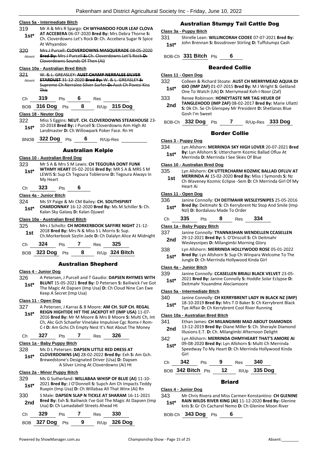## **Class 5a - Intermediate Bitch**

|               | Class 5a - Intermediate Bitch                                                     |            |       |                            |                                                                                                                      |  |  |
|---------------|-----------------------------------------------------------------------------------|------------|-------|----------------------------|----------------------------------------------------------------------------------------------------------------------|--|--|
| 319           |                                                                                   |            |       |                            | Mr A & Mrs R Spargo: CH WYHANDOO FOUR LEAF CLOVA                                                                     |  |  |
| 1st*          |                                                                                   |            |       |                            | AT ACCEBERA 06-07-2020 Bred By: Mrs Debra Thorne S:<br>Ch. Cloverdowns Let's Rock D: Ch. Accebera Sugar N Spice      |  |  |
|               | At Whyandoo                                                                       |            |       |                            |                                                                                                                      |  |  |
| 320           |                                                                                   |            |       |                            | Mrs J Purcell: CLOVERDOWNS MASQUERADE 08-05-2020                                                                     |  |  |
| Absent        |                                                                                   |            |       |                            | Bred By: Mrs J Purcell S: Ch. Cloverdowns Let'S Rock D:                                                              |  |  |
|               | Cloverdowns Sounds Of Then (Ai)                                                   |            |       |                            |                                                                                                                      |  |  |
|               | Class 10a - Australian Bred Bitch<br>W. & L. GREASLEY: AUST CHAMP NERRALEE SILVER |            |       |                            |                                                                                                                      |  |  |
| 321<br>Absent |                                                                                   |            |       |                            | STARDUST 31-12-2020 Bred By: W. & L. GREASLEY S:                                                                     |  |  |
|               |                                                                                   |            |       |                            | Supreme Ch Nerralee Silver Surfer-D:-Aust Ch Pavesi Kiss                                                             |  |  |
|               | <b>This</b>                                                                       |            |       |                            |                                                                                                                      |  |  |
| Сh            | 319                                                                               | Pts        | 6 Res |                            |                                                                                                                      |  |  |
|               | BOB 316 Dog Pts                                                                   |            | 8     |                            | R/Up 315 Dog                                                                                                         |  |  |
|               | Class 18 - Neuter Dog                                                             |            |       |                            |                                                                                                                      |  |  |
| 322           |                                                                                   |            |       |                            | Miss S Eggins: NEUT. CH. CLOVERDOWNS STEAKHOUSE 23-                                                                  |  |  |
| $1st*$        |                                                                                   |            |       |                            | 10-2018 Bred By: J Purcell S: Cloverdowns Aim High At                                                                |  |  |
|               |                                                                                   |            |       |                            | Landmaster D: Ch Willowpark Poker Face. Rn Ht                                                                        |  |  |
|               | BNOB 322 Dog                                                                      | Pts        | 6     |                            | R/Up-Res                                                                                                             |  |  |
|               |                                                                                   |            |       |                            |                                                                                                                      |  |  |
|               |                                                                                   |            |       | <b>Australian Kelpie</b>   |                                                                                                                      |  |  |
|               | Class 10 - Australian Bred Dog                                                    |            |       |                            |                                                                                                                      |  |  |
| 323           |                                                                                   |            |       |                            | Mr S A & Mrs S M Lewis: CH TEGOURA DONT FUNK<br>WTHMY HEART 05-02-2016 Bred By: MR S A & MRS S M                     |  |  |
| $1st*$        |                                                                                   |            |       |                            | LEWIS S: Sup Ch Tegoura Toblerone D: Tegoura Always In                                                               |  |  |
|               | My Heart                                                                          |            |       |                            |                                                                                                                      |  |  |
| Сh            | 323                                                                               | Pts        | 6     |                            |                                                                                                                      |  |  |
|               | Class 4a - Junior Bitch                                                           |            |       |                            |                                                                                                                      |  |  |
| 324           |                                                                                   |            |       |                            | Ms SY Paige & Mr CM Bailey: CH. SOUTHSPIRIT                                                                          |  |  |
| $1st^*$       |                                                                                   |            |       |                            | CHARDONNAY 16-12-2020 Bred By: Ms M Schiller S: Ch.                                                                  |  |  |
|               | Kalan Sky Galaxy D: Kalan Djuwel                                                  |            |       |                            |                                                                                                                      |  |  |
|               | Class 10a - Australian Bred Bitch                                                 |            |       |                            |                                                                                                                      |  |  |
| 325           |                                                                                   |            |       |                            | Mrs J Scholtz: CH MORKERBOOK SAFFIRE NIGHT 21-12-                                                                    |  |  |
|               |                                                                                   |            |       |                            |                                                                                                                      |  |  |
| 1st           |                                                                                   |            |       |                            | 2018 Bred By: Mrs N & Miss S L Morris S: Sup.                                                                        |  |  |
|               |                                                                                   |            |       |                            | Ch.Morkerbook Sizzlin Jade D: Ch Dalalyn Alice At Midnight                                                           |  |  |
| Сh            | 324                                                                               | <b>Pts</b> | 7 Res |                            | 325                                                                                                                  |  |  |
| BOB.          | 323 Dog                                                                           | Pts        | 8     |                            | R/Up 324 Bitch                                                                                                       |  |  |
|               |                                                                                   |            |       |                            |                                                                                                                      |  |  |
|               |                                                                                   |            |       | <b>Australian Shepherd</b> |                                                                                                                      |  |  |
|               | Class 4 - Junior Dog                                                              |            |       |                            |                                                                                                                      |  |  |
| 326           |                                                                                   |            |       |                            | A Petersen, J Purcell and T Gaudio: DAPSEN RHYMES WITH<br>BLUNT 15-05-2021 Bred By: D Petersen S: Bailiwick I've Got |  |  |
| $1st*$        |                                                                                   |            |       |                            | The Magic At Dapsen (Imp Usa) D: Ch Cloud Nine Can Ewe                                                               |  |  |
|               | Keep A Secret (Imp Usa)                                                           |            |       |                            |                                                                                                                      |  |  |
|               | Class 11 - Open Dog                                                               |            |       |                            |                                                                                                                      |  |  |
| 327           |                                                                                   |            |       |                            | A Petersen, J Karras & B Moore: AM CH. SUP CH. REGAL                                                                 |  |  |
| $1st*$        |                                                                                   |            |       |                            | REIGN HIGHTIDE HIT THE JACKPOT HT (IMP USA) 11-07-<br>2016 Bred By: Mr M Moore & Mrs B Moore S: Multi Ch, Int        |  |  |
|               |                                                                                   |            |       |                            | Ch, Akc Gch Schaefer Vinelake Impulsive Cgc Romx-I Rom-                                                              |  |  |
|               |                                                                                   |            |       |                            | C-I D: Am Gchs Ch Empty Nest It's Not About The Money                                                                |  |  |
| Ch            | 327                                                                               | Pts        | 7     | Res                        | 326                                                                                                                  |  |  |
|               | Class 1a - Baby Puppy Bitch                                                       |            |       |                            |                                                                                                                      |  |  |
| 328           |                                                                                   |            |       |                            | Ms D L Petersen: DAPSEN LITTLE RED DRESS AT                                                                          |  |  |
| $1st^*$       |                                                                                   |            |       |                            | CLOVERDOWNS (AI) 28-02-2022 Bred By: Exh S: Am Gch.                                                                  |  |  |
|               |                                                                                   |            |       |                            | Brewedstone's Designated Driver (Usa) D: Dapsen<br>A Silver Lining At Cloverdowns (Ai) Ht                            |  |  |
|               |                                                                                   |            |       |                            |                                                                                                                      |  |  |
| 329           | Class 2a - Minor Puppy Bitch                                                      |            |       |                            | Ms G Sutherland: WILLABAA WHISP OF BLUE (AI) 11-10-                                                                  |  |  |
| $1st*$        |                                                                                   |            |       |                            | 2021 Bred By: J O'Donnell S: Supch Am Ch Impacts Teddy                                                               |  |  |
|               |                                                                                   |            |       |                            | Ruxpin (Imp Usa) D: Ch Willabaa All That Winx (Ai) Rn                                                                |  |  |
| 330           |                                                                                   |            |       |                            | S Male: DAPSEN SLAP N TICKLE AT SHARAM 16-11-2021                                                                    |  |  |
| 2nd           | Usa) D: Ch Lamadabell Streets Ahead Ht                                            |            |       |                            | Bred By: Exh S: Bailiwick I've Got The Magic At Dapsen (Imp                                                          |  |  |
|               | 329                                                                               |            | 7     |                            | 330                                                                                                                  |  |  |
| Ch<br>BOB     | 327 Dog                                                                           | Pts<br>Pts | 9     | Res                        | R/Up 326 Dog                                                                                                         |  |  |

## Australian Stumpy Tail Cattle Dog

#### **Class 3a - Puppy Bitch**

331 Shirelle Lean: **WILLINCORAH COOEE** 07-07-2021 **Bred By:** John Brennan **S:** Bossdrover Stirling **D:** Tuffstumpz Cash **1st\***

BOB-Ch **331 Bitch** Pts **6**

## Bearded Collie

#### **Class 11 - Open Dog**

| 332    | Colleen & Richard Stoate: AUST CH MERRYMEAD AQUIA DI                                                                                |
|--------|-------------------------------------------------------------------------------------------------------------------------------------|
| $1st*$ | GIO (IMP ZAF) 01-07-2015 Bred By: M J Wright S: Geliland<br>One To Watch (Uk) D: Merrymead Koh-I-Noor (Zaf)                         |
| 333    | Renee Robinson: HONEYTASTE MR TAG HEUER OF                                                                                          |
| 2nd    | TANGLEHOOD (IMP ZAF) 08-02-2017 Bred By: Marie Ullatti<br>S: Dk Ch. Se Ch Glenspey Mr President D: Shetlanas Blue<br>Gosh I'm Sweet |

BOB-Ch **332 Dog** Pts **7** R/Up-Res **333 Dog**

## Border Collie

#### **Class 3 - Puppy Dog**

- 334 Lyn Allshorn: **MERRINDA SKY HIGH LOVER** 20-07-2021 **Bred** 
	- **By:** Lyn Allshorn **S:** Uttercharm Kozmic Ballad Ofluv At **1st\*** By: Lyn Allshorn S: Uttercharm Kozmic Band Nerrinda D: Merrinda I See Skies Of Blue

#### **Class 10 - Australian Bred Dog**

- 335 Lyn Allshorn: **CH UTTERCHARM KOZMIC BALLAD OFLUV AT** 
	- **MERRINDA AI** 15-02-2020 **Bred By:** Miss J Symonds **S:** Nz Ch Waveney Kozmic Eclipse -Sem **D:** Ch Merrinda Girl Of My Heart Ai **1st**

#### **Class 11 - Open Dog**

- 336 Janine Connolly: **CH DEITMAHR WESLEYSNIPES** 25-05-2016 **Bred By:** Deitmahr **S:** Ch Kerrybrent Nz Stop And Smile (Imp **1st\*** Bred By: Deitmahr S: Ch Kerrybre<br>**1st\*** Nzl) D: Bordaluvu Made To Order
- Ch **335** Pts **8** Res **334**

### **Class 1a - Baby Puppy Bitch**

- 337 Janine Connolly: **TYANNASHAN WENDELLEN CCASELLEN** 29-12-2021 **Bred By:** S. O'Driscoll **S:** Ch Deitmahr 2nd 25-12-2021 **Bred By:** 5. 0 Driscoli **3.** Cribell<br>Wesleysnipes **D:** Milangimbi Morning Glory
- 338 Lyn Allshorn: **MERRINDA HOLLYWOOD ROSE** 05-01-2022 **Bred By:** Lyn Allshorn **S:** Sup Ch Winpara Welcome To The **1st\*** Bred By: Lyn Allshorn S: Sup Ch Winpara We<br>Jungle D: Ch Merrinda Hollywood Kinda Girl

#### **Class 4a - Junior Bitch**

- 339 Janine Connolly: **CCASELLEN BRIALI BLACK VELVET** 23-05-
- 2021 **Bred By:** Janine Connolly **S:** Hoddle Solar Eclypse **D:**  1st\* 2021 Bred By: Janine Connolly S: F<br>Deitmahr Youandme Aleciamoore

#### **Class 5a - Intermediate Bitch**

- 340 Janine Connolly: **CH KERRYBRENT LADY IN BLACK NZ (IMP)**
- 18-10-2019 **Bred By:** Mrs T D Baker **S:** Ch Kerrybrent Black **1st**\* 18-10-2019 **Died by:** IVITS TO Baker **3:** CITNERTY Tye Affair **D:** Ch Kerrybrent Cool River Running
- 
- 341 Ethan James: **CH MILANGIMBI MAD ABOUT DIAMONDS**
- 
- 342 Lyn Allshorn: **MERRINDA OHMYHEART THAT'S AMORE AI** 09-08-2020 **Bred By:** Lyn Allshorn **S:** Multi Ch Merrinda Speedway To My Heart **D:** Ch Merrinda Hollywood Kinda **1st\***
	- Girl

| Ch | 342               | <b>Pts</b> |    | Res <b>340</b> |                |
|----|-------------------|------------|----|----------------|----------------|
|    | BOB 342 Bitch Pts |            | 12 |                | $R/Up$ 335 Dog |

## Briard

## **Class 4 - Junior Dog**

343 Mr Chris Rivera and Miss Carmen Konstantino: **CH GLENINE RAIN WILDS RIVER KING (AI)** 11-12-2020 **Bred By:** Glenine knls **S:** Gr Ch Cacharel Nemo **D:** Ch Glenine Moon River **1st\***

BOB-Ch **343 Dog** Pts **6**

- **Class 10a - Australian Bred Bitch**
- 13-12-2019 **Bred By:** Diane Miller **S:** Ch. Sherayle Diamond **2nd East 13-12-2019 Brea By:** Diane Miller S: Ch. Sherayie **2nd Illusions E.T. D:** Ch. Milangimbi Afternoon Delight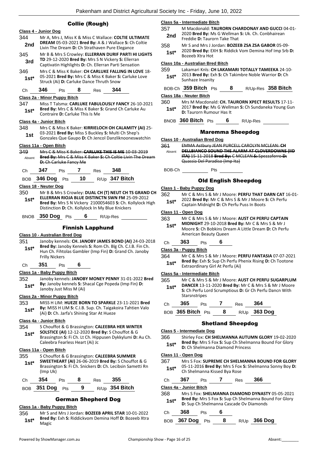## Collie (Rough)

## **Class 4 - Junior Dog** 344 Mr A, Mrs J, Miss K & Miss C Wallace: **COLTIE ULTIMATE DREAM** 05-03-2021 **Bred By:** A & J Wallace **S:** Ch Coltie **2nd DREAM** 05-03-2021 **Bred By:** A & J Wallace S: Ch Strathaven Pure Elegance 345 Mr B & Mrs S Crowley: **ELLERRAN DURIF PARTI HI LIGHTS TD** 29-12-2020 **Bred By:** Mrs S N Vickery **S:** Ellerran **3rd D** 29-12-2020 **Bred By:** Mrs S N Vickery S: Ellerran Captivatin Highlights **D**: Ch. Ellerran Parti Sensation 346 Mrs C & Miss K Baker: **CH CARLUKE FALLING IN LOVE** 18- 05-2021 **Bred By:** Mrs C & Miss K Baker **S:** Carluke Love **1st**\* UD-2021 **Brea By:** MITS C & MISS K Baker S:<br>Struck (Ai) D: Carluke Dance Thruth Snow Ch **346** Pts **8** Res **344 Class 2a - Minor Puppy Bitch** 347 Miss T Talsma: **CARLUKE FABULOUSLY FANCY** 26-10-2021 **Bred By:** Mrs C & Miss K Baker **S:** Grand Ch Carluke Au **1st\* Brea By:** IVITS C & IVIISS K Baker is Contraire **D**: Carluke This Is Me **Class 4a - Junior Bitch** 348 Mrs C & Miss K Baker: **KIRRIELOCH OH CALAMITY (AI)** 25- 03-2021 **Bred By:** Miss S Buckley **S:** Multi Ch Shep's Gonzales Que Gaupo **D:** Ch Jencol Danzliknooneswatchin **1st Class 11a - Open Bitch** 349 Mrs C & Miss K Baker: **CARLUKE THIS IS ME** 10-03-2019 **Bred By:** Mrs C & Miss K Baker **S:** Ch Coltie Livin The Dream **D:** Ch Carluke Fancy Me Absent Ch **347** Pts **7** Res **348** BOB **346 Dog** Pts **10** R/Up **347 Bitch Class 18 - Neuter Dog** 350 Mr B & Mrs S Crowley: **DUAL CH (T) NEUT CH TS GRAND CH ELLERRAN RIOJA BLUE DISTINCTN SWN FM** 25-09-2012 **Bred By:** Mrs S N Vickery 2100054603 **S:** Ch. Kollylock High Distinction **D:** Ch. Kollylock In My Blue Knickers **1st\*** BNOB **350 Dog** Pts **6** R/Up-Res Finnish Lapphund **Class 10 - Australian Bred Dog** 351 Janoby kennels: **CH. JANOBY JAMES BOND (AI)** 24-03-2018 **Bred By:** Janoby Kennels **S:** Rom Ch. Blg Ch. C.I.B. Fin Ch. Hun Ch. Fihtolas Gambler (Imp Fin) **D:** Grand Ch. Janoby Frilly Nickers **1st\*** Ch **351** Pts **6 Class 1a - Baby Puppy Bitch** 352 Janoby kennels: **JANOBY MONEY PENNY** 31-01-2022 **Bred By:** Janoby kennels **S:** Shacal Cge Popeda (Imp Fin) **D: 1st<sup>\*</sup> by:** Janoby Kennels **5:** 5<br>Janoby Just Miss M (Ai) **Class 2a - Minor Puppy Bitch** 353 MISS H LIM: **HUEZE BORN TO SPARKLE** 23-11-2021 **Bred By:** MISS H LIM **S:** C.I.B. Sup. Ch. Taigakoira Tahtien Valo **1st\* Dy: WILSO H LIIVI S: C.I.B. Sup. Cn. Talgake** (Ai) **D:** Ch. Jarfa's Shining Star At Hueze **Class 4a - Junior Bitch** 354 S Chouffot & G Brassington: **CALEEBRA HER WINTER SOLSTICE (AI)** 12-12-2020 **Bred By:** S Chouffot & G Brassington **S:** Fi Ch. Lt Ch. Hippusen Dykkylumi **D:** Au Ch. Caleebra Fearless Heart (Ai) Jc **1st\* Class 11a - Open Bitch** 355 S Chouffot & G Brassington: **CALEEBRA SUMMER SWEETHEART (AI)** 26-06-2019 **Bred By:** S Chouffot & G Brassington **S:** Fi Ch. Snickers **D:** Ch. Lecibsin Sametti Rn (Imp Uk) **1st\*** Ch **354** Pts **8** Res **355** BOB **351 Dog** Pts **9** R/Up **354 Bitch**

## German Shepherd Dog

## **Class 1a - Baby Puppy Bitch**

356 Mr S and Mrs J Jordan: **BOZEEB APRIL STAR** 10-01-2022 **Bred By:** Exh **S:** Riddickvom Demina Hoff **D:** Bozeeb Xtra Magic **1st\***

### **Class 5a - Intermediate Bitch**

- 357 M Macdonald: **TAURORN CHARDONAY AND GUCCI** 04-01- 2020 **Bred By:** Ms G Wellman **S:** Uk. Ch. Conbhairean **2nd EXECUTED Died by:** WIS GOVERNMENT
- 358 Mr S and Mrs J Jordan: **BOZEEB ZSA ZSA GABOR** 05-09- 2020 **Bred By:** EXH **S:** Riddick Vom Demina Hof Imp Srb **D: 1st**\* 2020 **Bred By:** E

#### **Class 10a - Australian Bred Bitch**

359 Lakamari Knls: **CH LAKAMARI TOTALLY TAMEEKA** 24-10- 2013 **Bred By:** Exh **S:** Ch Takimbre Noble Warrior **D:** Ch **1st**\* <sup>2013</sup> Brea by: Ex<br>Sunhaze Insanity

```
BOB-Ch 359 Bitch Pts 8 R/Up-Res 358 Bitch
```
#### **Class 18a - Neuter Bitch**

| 360    | Mrs M Macdonald: CH. TAURORN XPECT RESULTS 17-11-    |
|--------|------------------------------------------------------|
| $1st*$ | 2017 Bred By: Ms G Wellman S: Ch Sundaneka Young Gun |
|        | <b>D:</b> Taurorn Rumour Has It                      |

BNOB **360 Bitch** Pts **6** R/Up-Res

### Maremma Sheepdog

#### **Class 10 - Australian Bred Dog**

361 EMMA Astbury JEAN PURCELL CAROLYN MCLEAN: **CH DELLBIANCO SOUND THE ALARM AT CLOVERDOWNS (IID ITA)** 15-11-2018 **Bred By:** C MCLEAN **S:** Spezzaferro **D:**  Quassia Del Paradiso (Imp Ita) Absent

BOB-Ch Pts

## Old English Sheepdog

#### **Class 1 - Baby Puppy Dog**

362 Mr C & Mrs S & Mr J Moore: **PERFU THAT DARN CAT** 16-01- 2022 **Bred By:** Mr C & Mrs S & Mr J Moore **S:** Ch Perfu **1st** 2022 **Brea by:** IVIT C & IVITS 5 & IVIT J IVIOOTE<br>Captain Midnight **D:** Ch Perfu Puss In Boots

#### **Class 11 - Open Dog**

- 363 Mr C & Mrs S & Mr J Moore: **AUST CH PERFU CAPTAIN**
- **MIDNIGHT** 29-10-2018 **Bred By:** Mr C & Mrs S & Mr J Moore **S:** Ch Bobkins Dream A Little Dream **D:** Ch Perfu American Beauty Queen **1st\***

## Ch **363** Pts **6**

## **Class 3a - Puppy Bitch**

364 Mr C & Mrs S & Mr J Moore: **PERFU FANTASIA** 07-07-2021 **Bred By:** Exh **S:** Sup Ch Perfu Phenix Rising **D:** Ch Tootone

## **1st\* Brea By:** Extribition Perfu Pressure Extraordinary Girl At Perfu (Ai)

## **Class 5a - Intermediate Bitch**

| 365<br>$1st*$ | Starsnstripes |            |            |     | Mr C & Mrs S & Mr J Moore: AUST CH PERFU SUGARPLUM<br>DANCER 13-11-2020 Bred By: Mr C & Mrs S & Mr J Moore<br>S: Ch Perfu Lord Scrumptious D: Gr Ch Perfu Dancn With |
|---------------|---------------|------------|------------|-----|----------------------------------------------------------------------------------------------------------------------------------------------------------------------|
| Ch            | 365           | <b>Pts</b> | <b>Res</b> | 364 |                                                                                                                                                                      |

| BOB 365 Bitch Pts |  | R/Up 363 Dog |
|-------------------|--|--------------|
|                   |  |              |

### Shetland Sheepdog

#### **Class 5 - Intermediate Dog**

366 Shirley Fox: **CH SHELMANNA AUTUMN GLORY** 19-02-2020 **Bred By:** Mrs S Fox **S:** Sup Ch Shelmanna Bound For Glory **1st\* Direct by:** IVITS 5 FOX **5:** Sup Cn Shelmannel Diamond Princess

#### **Class 11 - Open Dog**

367 Mrs S Fox: **SUPREME CH SHELMANNA BOUND FOR GLORY** 05-11-2016 **Bred By:** Mrs S Fox **S:** Shelmanna Sonny Boy **D:**  1st\* U<sup>5-11-2016</sup> Brea By: IVITS 5 FOX<br>Ch Shelmanna Kissed Bya Rose

| Ch | 367 | Pts | Res | 366 |
|----|-----|-----|-----|-----|
|    |     |     |     |     |

#### **Class 4a - Junior Bitch**

| 368    | Mrs S Fox: SHELMANNA DIAMOND DYNASTY 05-05-2021                      |
|--------|----------------------------------------------------------------------|
| $1st*$ | <b>Bred By:</b> Mrs S Fox <b>S:</b> Sup Ch Shelmanna Bound For Glory |
|        | D: Sup Ch Shelmanna Cascade Ov Diamonds                              |

Ch **368** Pts **6**

BOB **367 Dog** Pts **8** R/Up **366 Dog**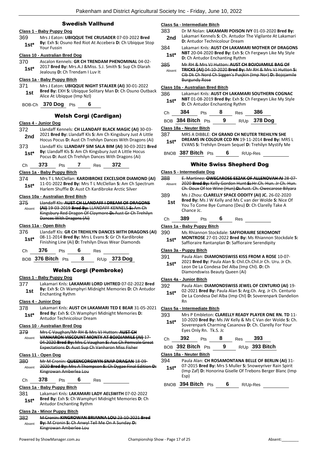## Swedish Vallhund

### **Class 1 - Baby Puppy Dog**

369 Mrs J Eaton: **UBIQQUE THE CRUSADER** 07-03-2022 **Bred By:** Exh **S:** Osuno Red Riot At Accebera **D:** Ch Ubiqque Stop 1st<sup>\*</sup> By: EXII S: U<br>Your Fussin

#### **Class 10 - Australian Bred Dog**

370 Ascalon Kennels: **GR CH TRENDAM PHENOMINAL** 04-02- 2017 **Bred By:** Mrs.A.J &Miss. S.J. Smith **S:** Sup Ch Dlarah **1st**\* 2017 **Brea By:** NITS.A.J & NITSS. S.<br>Jealousy **D:** Ch Trendam I Luv It

#### **Class 1a - Baby Puppy Bitch**

- 371 Mrs J Eaton: **UBIQQUE NIGHT STALKER (AI)** 30-01-2022 **Bred By:** EXH **S:** Ubiqque Solitary Man **D:** Ch Osuno Outback
- **1st** *brea by:* EXH **5:** Upiqque S<br>Alice At Ubigque (Imp Nzl)

BOB-Ch **370 Dog** Pts **6**

## Welsh Corgi (Cardigan)

### **Class 4 - Junior Dog**

- 372 Llandaff Kennels: **CH LLANDAFF BLACK MAGIC (AI)** 30-03- 2021 **Bred By:** Llandaff Kls **S:** Am Ch Kingsbury Just A Little 2nd 2021 Brea By: Liandart Kis S: Am Ch Kingsbury Just A Little<br>Hocus Pocus D: Aust Ch Trehilyn Dances With Dragons (Ai)
- 373 Llandaff Kls: **LLANDAFF SIM SALA BIM (AI)** 30-03-2021 **Bred By:** Llandaff Kls **S:** Am Ch Kingsbury Just A Little Hocus **1st\* Py.** Lianuall NS **3:** Am Ch Kingsbury Just A Little Hoce Pocus **D:** Aust Ch Trehilyn Dances With Dragons (Ai)
- Ch **373** Pts **7** Res **372**

### **Class 1a - Baby Puppy Bitch**

374 Mrs T L McClellan: **KARDIBROKE EXCELSIOR DIAMOND (AI)** 11-01-2022 **Bred By:** Mrs T L McClellan **S:** Am Ch Spectrum Harlem Shuffle **D:** Aust Ch Kardibroke Arctic Silver **1st\***

#### **Class 10a - Australian Bred Bitch**

375 Llandaff Kls: **AUST CH LLANDAFF I DREAM OF DRAGONS (AI)** 19-03-2019 **Bred By:** LLANDAFF KENNELS **S:** Am Ch Kingsbury Red Dragon Of Claymore **D:** Aust Gr Ch Trehilyn Dances With Dragons (Ai) Absent

#### **Class 11a - Open Bitch**

376 Llandaff Kls: **GR CH TREHILYN DANCES WITH DRAGONS (AI)** 08-11-2014 **Bred By:** Mrs L Evans **S:** Gr Ch Kardibroke **1st**\* U8-11-2014 **Bred By:** Mrs L Evans **5:** Gr Ch Kardibrok<br>Finishing Line (Ai) **D:** Trehilyn Divas Wear Diamonds

| Ch — | 376               | <b>Pts</b> | - 6 | Res |              |
|------|-------------------|------------|-----|-----|--------------|
|      | BOB 376 Bitch Pts |            |     |     | R/Up 373 Dog |

## Welsh Corgi (Pembroke)

### **Class 1 - Baby Puppy Dog**

377 Lakamari Knls: **LAKAMARI LORD UHTRED** 07-02-2022 **Bred By:** Exh **S:** Ch Wamphyri Midnight Memories **D:** Ch Antudor **1st By:** Exh **S:** Ch Wam<br>**Enchanting Rythm** 

## **Class 4 - Junior Dog**

378 Lakamari Knls: **AUST CH LAKAMARI TED E BEAR** 31-05-2021 **Class 5a - Intermediate Bitch Bred By:** Exh **S:** Ch Wamphyri Midnight Memories **D: 1st\*** Brea by: Exn S: Ch Wamphyri<br>Antudor Technicolour Dream

### **Class 10 - Australian Bred Dog**

379 Mrs C Vaughan/Mr RH & Mrs VJ Hutton: **AUST CH VANHARON VISCOUNT MONTY AT BOJOJAMILE (AI)** 17- 04-2020 **Bred By:** Mrs C Vaughan **S:** Aus Ch Pemvale Great Expectations **D:** Aust Sup Ch Vanharon Miss Fisher Absent

### **Class 11 - Open Dog**

380 Mr M Cronin: **QUEENCORGWYN SNAP DRAGAN** 18-09- 2020 **Bred By:** Mrs A Thompson **S:** Ch Dygae Final Edition **D:**  Kingrowan Amberlea Lou Absent

Ch **378** Pts **6** Res

#### **Class 1a - Baby Puppy Bitch**

381 Lakamari Knls: **LAKAMARI LADY AELSWITH** 07-02-2022 **Bred By:** Exh **S:** Ch Wamphyri Midnight Memories **D:** Ch **1st\* Brea By:** Exn **S:** Ch Wamphy<br>Antudor Enchanting Rythm

#### **Class 2a - Minor Puppy Bitch**

382 M Cronin: **KINGROWAN BRIANNA LOU** 23-10-2021 **Bred By:** M Cronin **S:** Ch Anwyl Tell Me On A Sunday **D:**  Kingrowan Amberlee Lou Absent

#### **Class 5a - Intermediate Bitch**

- 383 Dr M Nolan: **LAKAMARI POISON IVY** 01-03-2020 **Bred By:** Lakamari Kennels **S:** Ch. Antudor The Vigilante At Lakamari **2nd** Lakamari Kennels S: Ch. Antudor<br>**D:** Antudor Technicolour Dream
- 384 Lakamari Knls: **AUST CH LAKAMARI MOTHER OF DRAGONS NBT** 20-04-2020 **Bred By:** Exh **S:** Ch Fergwyn Like My Style **1st\* NBT** 20-04-2020 **Brea By:** Exn **S: C**<br>**D:** Ch Antudor Enchanting Rythm
- 385 Mr RH & Mrs VJ Hutton: **AUST CH BOJOJAMILE BAG OF TRICKS (AI)** 04-10-2020 **Bred By:** Mr RH & Mrs VJ Hutton **S:**  Cib Dk Ch Nord Ch Siggen's Pusjkin (Imp Nor) **D:** Bojojamile Burgundy Rose Absent

## **Class 10a - Australian Bred Bitch**

| 386    | Lakamari Knls: AUST CH LAKAMARI SOUTHERN COGNAC         |
|--------|---------------------------------------------------------|
| $1st*$ | NBT 01-08-2019 Bred By: Exh S: Ch Fergwyn Like My Style |
|        | <b>D:</b> Ch Antudor Enchanting Rythm                   |

| -384   |  | es: | 386   |
|--------|--|-----|-------|
| ------ |  |     | --- - |

| BOB 384 Bitch $Pts$ |  | R/Up 378 Dog |
|---------------------|--|--------------|
|                     |  |              |

### **Class 18a - Neuter Bitch**

- 387 MRS A DIBBLE: **CH GRAND CH NEUTER TREHILYN SHE DREAMS IN COLOUR CCD RN** 19-11-2014 **Bred By:** MRS L EVANS **S:** Trehilyn Dream Sequel **D:** Trehilyn Mystify Me **1st\***
	-

BNOB **387 Bitch** Pts **6** R/Up-Res

## White Swiss Shepherd Dog

#### **Class 5 - Intermediate Dog**

- 388 E. Martinez: **OWECAROSE ESZAK OF ALLENOVAH AI** 28-07- 2020 **Bred By:** Kelly Gordon Hunt **S:** Hr.Ch. Hun. Jr Ch. Hun. Ch. Doux Of Ice Wine (Hun) **D:** Aust. Ch. Owecarose Bilyara Absent 389 Ms J Zhou: **CLARELLY SPACE ODDITY (AI) JC.** 26-02-2020
- **Bred By:** Ms J W Kelly and Ms C van der Wolde **S:** Nice Of You To Come Bye Cumano (Deu) **D:** Ch Clarelly Take A Chance Jc. **1st**

### Ch **389** Pts **6** Res

#### **Class 1a - Baby Puppy Bitch**

390 Ms Rhiannon Stockdale: **SAFFIORAIRE SEROMONT MONTROSE** 27-01-2022 **Bred By:** Ms Rhiannon Stockdale **S:**  Saffioraire Rantanplan **D:** Saffioraire Serendipity **1st\***

#### **Class 3a - Puppy Bitch**

- 391 Paula Alan: **DIAMONDSWISS KISS FROM A ROSE** 10-07-
	- 2021 **Bred By:** Paula Alan **S:** Chil.Ch.Chil.Jr Ch. Uru. Jr Ch. Leon De La Condesa Del Alba (Imp Chl). **D:** Ch Diamondswiss Beauty Queen (Ai) **1st\***

#### **Class 4a - Junior Bitch**

- 392 Paula Alan: **DIAMONDSWISS JEWEL OF CENTURIO (AI)** 19-
	- 02-2021 **Bred By:** Paula Alan **S:** Arg.Ch. Arg. Jr Ch. Centurio De La Condesa Del Alba (Imp Chl) **D:** Soverenpark Dandelion Rn **1st\***

393 Mrs P Embleton: **CLARELLY READY PLAYER ONE RN. TD** 11- 10-2020 **Bred By:** Ms JW Kelly & Ms C Van der Wolde **S:** Ch. Soverenpark Charming Casanova **D:** Ch. Clarelly For Your Eyes Only Rn. Tk.S. Jc **1st\***

| C.h | 392                      | <b>Pts</b> | 8  | Res | 393              |
|-----|--------------------------|------------|----|-----|------------------|
|     | BOB 392 Bitch Pts        |            | -9 |     | $R/Up$ 393 Bitch |
|     | Class 18a - Neuter Bitch |            |    |     |                  |

- 394 Paula Alan: **CH ROSAMONTANA BELLE OF BERLIN (AI)** 31- 07-2015 **Bred By:** Mrs S Muller **S:** Snoweyriver Rain Spirit **1st\***
	- (Imp Zaf) **D:** Honorina Giselle Of Trebons Berger Blanc (Imp Esp)

BNOB **394 Bitch** Pts **6** R/Up-Res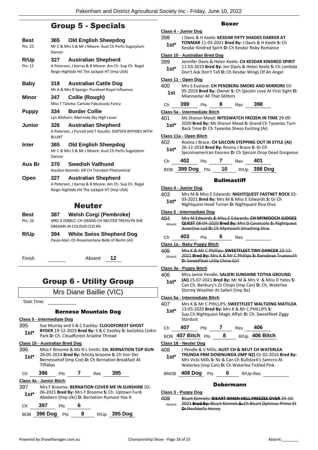## Group 5 - Specials

| Best<br>Pts: 25    | <b>Old English Sheepdog</b><br>365<br>Mr C & Mrs S & Mr J Moore: Aust Ch Perfu Sugarplum<br>Dancer                                       |
|--------------------|------------------------------------------------------------------------------------------------------------------------------------------|
| R/Up<br>Pts: 15    | 327<br><b>Australian Shepherd</b><br>A Petersen, J Karras & B Moore: Am Ch. Sup Ch. Regal<br>Reign Hightide Hit The Jackpot HT (Imp USA) |
| <b>Baby</b>        | 318<br><b>Australian Cattle Dog</b><br>Mr A & Mrs R Spargo: Pureheel Royal Influence                                                     |
| Minor              | 347<br>Collie (Rough)<br>Miss T Talsma: Carluke Fabulously Fancy                                                                         |
| <b>Puppy</b>       | 334<br><b>Border Collie</b><br>Lyn Allshorn: Merrinda Sky High Lover                                                                     |
| Junior             | <b>Australian Shepherd</b><br>326<br>A Petersen, J Purcell and T Gaudio: DAPSEN RHYMES WITH<br><b>BLUNT</b>                              |
| Inter              | 365<br><b>Old English Sheepdog</b><br>Mr C & Mrs S & Mr J Moore: Aust Ch Perfu Sugarplum<br>Dancer                                       |
| Aus Br             | Swedish Vallhund<br>370<br>Ascalon Kennels: GR CH Trendam Phenominal                                                                     |
| Open               | <b>Australian Shepherd</b><br>327<br>A Petersen, J Karras & B Moore: Am Ch. Sup Ch. Regal<br>Reign Hightide Hit The Jackpot HT (Imp USA) |
|                    | <b>Neuter</b>                                                                                                                            |
| Best<br>Pts: 10    | <b>Welsh Corgi (Pembroke)</b><br>387<br>MRS A DIBBLE: CH GRAND CH NEUTER TREHILYN SHE<br>DREAMS IN COLOUR CCD RN                         |
| R/Up               | <b>White Swiss Shepherd Dog</b><br>394<br>Paula Alan: Ch Rosamontana Belle of Berlin (AI)                                                |
| Finish             | 12<br>Absent                                                                                                                             |
|                    | <b>Group 6 - Utility Group</b>                                                                                                           |
|                    | Mrs Diane Baillie (VIC)                                                                                                                  |
| <b>Start Time:</b> |                                                                                                                                          |
|                    | <b>Bernese Mountain Dog</b>                                                                                                              |
|                    | Class 5 - Intermediate Dog                                                                                                               |
| 395                | Sue Murray and S & C Eastley: CLOUDFOREST GHOST                                                                                          |
| $1st^*$            | RYDER 19-12-2019 Bred By: S & C Eastley S: Switzkiss Linkin<br>Park D: Ch. Cloudforest Ariadne Thread                                    |
|                    | Class 10 - Australian Bred Dog                                                                                                           |
| 396                | Miss F Broome & Ms N L Smith: CH. BERNATION TOP GUN<br>28-05-2014 Bred By: felicity broome S: Ch Von Der                                 |
| $1st*$             | Bernessehof (Imp Cze) D: Ch Bernation Breakfast At<br>Tiffabys                                                                           |

Ch **396** Pts **7** Res **395**

#### **Class 4a - Junior Bitch**

| 397    |     |            | Mrs F Broome: BERNATION COVER ME IN SUNSHINE 02-                                                  |
|--------|-----|------------|---------------------------------------------------------------------------------------------------|
| $1st*$ |     |            | 06-2021 Bred By: Mrs F Broome S: Ch. Uptown Funk<br>Alexbern (Imp Ukr) D: Bernation Rumour Has It |
| Ch.    | 397 | <b>Pts</b> |                                                                                                   |

| BOB 396 Dog Pts |  | R/Up 395 Dog |
|-----------------|--|--------------|

## Boxer

|                | Class 4 - Junior Dog                  |                                                                                                      |                    |                                             |                                                                                                                                                                                  |  |  |
|----------------|---------------------------------------|------------------------------------------------------------------------------------------------------|--------------------|---------------------------------------------|----------------------------------------------------------------------------------------------------------------------------------------------------------------------------------|--|--|
| 398<br>$1st^*$ |                                       |                                                                                                      |                    |                                             | <b>I Davis &amp; H Keele: KESDAR FIFTY SHADES DARKER AT</b><br><b>TONMAR 11-05-2021 Bred By: J Davis &amp; H Keele S: Ch</b><br>Kesdar Kindred Spirit D: Ch Kesdar Risky Romance |  |  |
|                | <b>Class 10 - Australian Bred Dog</b> |                                                                                                      |                    |                                             |                                                                                                                                                                                  |  |  |
| 399<br>$1st*$  |                                       |                                                                                                      |                    |                                             | Jennifer Davis & Helen Keele: CH KESDAR KINDRED SPIRIT<br>11-03-2019 Bred By: Jen Davis & Helen Keele S: Ch Lambda<br>Don't Ask Don't Tell D: Ch Kesdar Wings Of An Angel        |  |  |
|                | Class 11 - Open Dog                   |                                                                                                      |                    |                                             |                                                                                                                                                                                  |  |  |
| 400            |                                       |                                                                                                      |                    |                                             | Mrs S Eustace: CH PENZBERG SMOKE AND MIRRORS 02-                                                                                                                                 |  |  |
| 1st            |                                       | 05-2019 Bred By: Owner S: Ch Sjecoin Love At First Sight D:<br>Miannastar All That Glitters          |                    |                                             |                                                                                                                                                                                  |  |  |
| Ch             | 399                                   | Pts                                                                                                  | 8                  | <b>Res</b>                                  | 398                                                                                                                                                                              |  |  |
|                | Class 5a - Intermediate Bitch         |                                                                                                      |                    |                                             |                                                                                                                                                                                  |  |  |
| 401            |                                       |                                                                                                      |                    |                                             | Ms Sharon Mead: NITESWATCH FROZEN IN TIME 29-09-                                                                                                                                 |  |  |
| $1st^*$        |                                       | 2020 Bred By: Ms Sharon Mead S: Grand Ch Tyeanbo Turn<br>Back Time D: Ch Tyeanbo Sheso Exciting (Ai) |                    |                                             |                                                                                                                                                                                  |  |  |
|                | Class 11a - Open Bitch                |                                                                                                      |                    |                                             |                                                                                                                                                                                  |  |  |
| 402            |                                       |                                                                                                      |                    |                                             | Rosina J Brace: CH SJECOIN STEPPING OUT IN STYLE (AI)                                                                                                                            |  |  |
| $1st^*$        |                                       |                                                                                                      |                    | 26-12-2018 Bred By: Rosina J Brace S: Gr Ch | Sjecoinamerican Exoress D: Ch Sjecoin Drop Dead Gorgeous                                                                                                                         |  |  |
| Ch             | 402                                   | Pts                                                                                                  | <sup>'</sup>       | Res                                         | 401                                                                                                                                                                              |  |  |
| <b>BOB</b>     | 399 Dog $P$ ts                        |                                                                                                      | 10                 |                                             | R/Up 398 Dog                                                                                                                                                                     |  |  |
|                |                                       |                                                                                                      | <b>Bullmastiff</b> |                                             |                                                                                                                                                                                  |  |  |

#### **Class 4 - Junior Dog**

| 403    | Mrs M & Miss E Edwards: NIGHTQUEST FASTNET ROCK 02- |
|--------|-----------------------------------------------------|
| $1st*$ | 03-2021 Bred By: Mrs M & Miss E Edwards S: Gr Ch    |
|        | Nightquest Head Turner D: Nightquest Riva Diva      |

#### **Class 5 - Intermediate Dog**

| 404    | Mrs M Edwards & Miss E Edwards: CH MYMOOCH JUDGES              |
|--------|----------------------------------------------------------------|
| Absent | <b>QUEST 08-04-2020 Bred By: Mrs D Cavaiuolo S: Nightquest</b> |
|        | Assertive Lad D: Ch Mymooch Smashing Diva                      |
|        |                                                                |

## Ch **403** Pts **6** Res

#### **Class 1a - Baby Puppy Bitch**

405 Mrs K & Mr C Phillips: **SWEETFLEET TINY DANCER** 23-12- 2021 **Bred By:** Mrs K & Mr C Phillips **S:** Banobrae Truesouth **D: Sweetfleet Little China Girl** Absent

#### **Class 3a - Puppy Bitch**

| 406 | Miss Jamie Pendle: SALIERI SUNSHINE TOTHA GROUND |
|-----|--------------------------------------------------|
|-----|--------------------------------------------------|

**(AI)** 15-07-2021 **Bred By:** Mr M & Mrs V & Miss D Yates **S:**  Can Ch. Banbury's Zz Chops (Imp Can) **D:** Ch, Waterlea Stormy Weather At Salieri (Imp Nz) **1st\***

#### **Class 5a - Intermediate Bitch**

407 Mrs K & Mr C PHILLIPS: **SWEETFLEET WALTIZING MATILDA** 13-05-2020 **Bred By:** Mrs K & Mr C PHILLIPS **S:**  Sup.Ch.Nightquest Magic Affair **D:** Ch. Sweetfleet Ziggy **Stardust 1st\***

## Ch **407** Pts **7** Res **406**

BOB **407 Bitch** Pts **8** R/Up **406 Bitch**

## **Class 18 - Neuter Dog**

- 408 J Pendle & V Mills: **AUST CH & NEUT CH WATERLEA THUNDA FRM DOWNUNDA (IMP NZ)** 01-02-2016 **Bred By:** Mrs Vicki Mills **S:** Nz & Can Ch Bullstock's Samcro At Waterlea (Imp Can) **D:** Ch Waterlea Tickled Pink **1st\***
- BNOB **408 Dog** Pts **6** R/Up-Res

## Dobermann

#### **Class 3 - Puppy Dog**

409 Bisart Kennels: **BISART WHEN HELL FREEZES OVER** 25-10- 2021 **Bred By:** Bisart Kennels **S:** Ch Bisart Optimus Prime Et **D:** Noahbella Honey Absent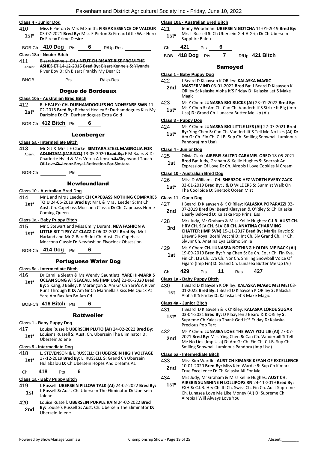|  | Class 4 - Junior Dog |  |
|--|----------------------|--|
|  |                      |  |

- 410 Miss E Pieton & Mrs M Smith: **FIREAX ESSENCE OF VALOUR** 03-07-2021 **Bred By:** Miss E Pieton **S:** Fireax Little War Hero
- **1st**\* U3-U7-2021 Brea By: N<br>D: Fireax Prime Desire

## BOB-Ch **410 Dog** Pts **6** R/Up-Res

### **Class 18a - Neuter Bitch**

411 Bisart Kennels: **CH / NEUT CH BISART RISE FROM THE ASHES ET** 14-12-2015 **Bred By:** Bisart Kennels **S:** Yiyanda River Boy **D:** Ch Bisart Frankly My Dear Et Absent

BNOB Pts R/Up-Res

## Dogue de Bordeaux

#### **Class 10a - Australian Bred Bitch**

- 412 R. HEALEY: **CH. DURHAMDOGUES NO NONSENSE SWN** 11- 02-2018 **Bred By:** Richard Healey **S:** Durhamdogues Kiss My Darkside **D:** Ch. Durhamdogues Extra Gold **1st\***
- BOB-Ch **412 Bitch** Pts **6**

### Leonberger

#### **Class 5a - Intermediate Bitch**

- 413 Mr G J & Mrs L E Clarke: **SIMTARA STEEL MAGNOLIA FOR ADLIHTAM (IMP NZL)** 13-05-2020 **Bred By:** F M Baars & Dr Charlotte Hviid & Mrs Verna A Jensen **S:** Skyewood Touch-Of-Love **D:** Leonz Royal-Reflection For Simtara Absent
- BOB-Ch Pts

## Newfoundland

## **Class 10 - Australian Bred Dog**

- 414 Mr L and Mrs J Leeder: **CH CAPEBASS NOTHING COMPARES**
- **TO U** 24-05-2019 **Bred By:** Mr L & Mrs J Leeder **S:** Int Ch. Aust. Ch. Capebass Moccona Classic **D:** Ch. Capebass Home Coming Queen **1st\***

#### **Class 1a - Baby Puppy Bitch**

- 415 Mr C Stewart and Miss Emily Durant: **NEWFASHION A LITTLE BIT TIPSY AT CLAZZIC** 06-02-2022 **Bred By:** Mr I Harland and Mr G Barr **S:** Int Ch. Aust. Ch. Capebass Moccona Classic **D:** Newfashion Fivoclock Obsession **1st\***
- BOB-Ch **414 Dog** Pts **6**

## Portuguese Water Dog

#### **Class 5a - Intermediate Bitch**

416 Dr Camilla Sleeth & Ms Wendy Gauntlett: **YARE HI-MARK'S OCEAN SONG AT SEACALLING (IMP USA)** 22-06-2020 **Bred By:** S Kang, J Bailey, K Marangon **S:** Am Gr Ch Yare's A River Runs Through It **D:** Am Gr Ch Marinella's Kiss Me Quick At Yare Am Rax Am Bn Am Cd **1st\***

BOB-Ch **416 Bitch** Pts **6**

## **Rottweiler**

#### **Class 1 - Baby Puppy Dog**

417 Louise Russell: **UBERSEIN PLUTO (AI)** 24-02-2022 **Bred By:** Louise's Russell **S:** Aust. Ch. Ubersein The Eliminator **D: 1st**\* Louise's Russell<br>Ubersein Jolene

#### **Class 5 - Intermediate Dog**

418 L. STEVENSON & L.RUSSELL: **CH UBERSEIN HIGH VOLTAGE** 17-12-2019 **Bred By:** L. RUSSELL **S:** Grand Ch Ubersein Hullabalou **D:** Ch.Ubersein Hopes And Dreams A1 **1st\***

## Ch **418** Pts **6**

#### **Class 1a - Baby Puppy Bitch**

- 419 L Russell: **UBERSEIN PILLOW TALK (AI)** 24-02-2022 **Bred By:** L Russell **S:** Aust. Ch. Ubersein The Eliminator **D:** Ubersein Jolene **1st**
- 420 Louise Russell: **UBERSEIN PURPLE RAIN** 24-02-2022 **Bred By:** Louise's Russell **S:** Aust. Ch. Ubersein The Eliminator **D: 2nd By:** Louise's Rus<br>Ubersein Jolene

#### **Class 10a - Australian Bred Bitch**

- 421 Jenny Woodman: **UBERSEIN GOTCHA** 11-01-2019 **Bred By:** Mrs L Russell **S:** Ch Ubersein Get A Grip **D:** Ch Ubersein **1st**\* Mrs L Russell S:<br>Sapphire Balou
- Ch **421** Pts **6**

BOB **418 Dog** Pts **7** R/Up **421 Bitch**

## Samoyed

#### **Class 1 - Baby Puppy Dog**

422 J Beard D Klaaysen K ORiley: **KALASKA MAGIC** 

- **MASTERMIND** 03-01-2022 **Bred By:** J Beard D Klaaysen K ORiley **S:** Kalaska Aloha It'S Friday **D:** Kalaska Let'S Make Magic **2nd**
- 423 Ms Y Chen: **LUNASEA BIG BUCKS (AI)** 23-01-2022 **Bred By:** Ms Y Chen **S:** Am Ch. Can Ch. Vanderbilt'S Strike It Big (Imp **1st**\* MS Y Chen S: Am Ch. Can Ch. Vanderbilt S Str<br>Usa) **D:** Grand Ch. Lunasea Butter Me Up (Ai)

#### **Class 3 - Puppy Dog**

- 424 Ms Y Chen: **LUNASEA BIG LITTLE LIES (AI)** 27-07-2021 **Bred**
- **By:** Ying Chen **S:** Can Ch. Vanderbilt'S Tell Me No Lies (Ai) **D:**  Am Gr Ch. Fin Ch. C.I.B. Sup Ch. Smiling Snowball Luminous Pandora(Imp Usa) **1st\***

#### **Class 4 - Junior Dog**

- 425 Olivia Clark: **AIREBIS SALTED CARAMEL OREO** 18-05-2021 **Bred By:** Judy, Graham & Kellie Hughes **S:** Snerzok An
	- **1st Brea by:** Judy, Graham & Kellie Hughes **S:** Sherzok An<br>**1st** Expression Of Love **D:** Ch. Airebis I Love Cookies N Cream

## **Class 10 - Australian Bred Dog**

- 426 Miss D Williams: **CH. SNERZOK HEZ WORTH EVERY ZACK**
- 03-01-2019 **Bred By:** J & D WILDERS **S:** Sunmist Walk On The Cool Side **D:** Snerzok Ocean Mist **1st\***

### **Class 11 - Open Dog**

- 427 J Beard D Klaaysen & K O'Riley: **KALASKA POPARAZZI** 02- 07-2019 **Bred By:** Beard Klaaysen & O'Riley **S:** Ch Kalaska **2nd** Dearly Brea By: Beard Kiaaysen & O'Richard Dearly Beloved **D**: Kalaska Pop Prinz. Ess
- 428 Mrs Judy, Mr Graham & Miss Kellie Hughes: **C.I.B. AUST CH. HRV CH. SLV CH. SLV GR CH. ANATINA CHARMING**
- **CHATTER (IMP SVN)** 15-11-2017 **Bred By:** Marija Kavcic **S:**  Lireva'S Royal Boshi Vecchi **D:** Int Ch. Slv Grand Ch. Hr Ch. Slv Jnr Ch. Anatina Eya Eskimo Smile **3rd**
- 429 Ms Y Chen: **CH. LUNASEA NOTHING HOLDIN ME BACK (AI)**
- 19-09-2019 **Bred By:** Ying Chen **S:** Ee Ch. Ee Jr Ch. Fin Kva. Fin Ch. Ltu Ch. Lva Ch. Nor Ch. Smiling Snowball Voice Of Figaro (Imp Fin) **D:** Grand Ch. Lunasea Butter Me Up (Ai) **1st**
- Ch **429** Pts **11** Res **427**

## **Class 1a - Baby Puppy Bitch**

- 430 J Beard D Klaaysen K ORiley: **KALASKA MAGIC MEI MEI** 03- 01-2022 **Bred By:** J Beard D Klaaysen K ORiley **S:** Kalaska
	- **1st** UI-2022 **Bred By:** J Beard D Kiaaysen K ORIIey<br>Aloha It'S Friday **D:** Kalaska Let'S Make Magic

### **Class 4a - Junior Bitch**

- 431 J Beard D Klaaysen & K O'Riley: **KALASKA LORDE SUGAR**
- 03-04-2021 **Bred By:** D Klaaysen J Beard & K ORiley **S:**  Supreme Ch Kalaska Thank God It'S Friday **D:** Kalaska Precious Pop Tart **1st\***
- 432 Ms Y Chen: **LUNASEA LOVE THE WAY YOU LIE (AI)** 27-07- 2021 **Bred By:** Miss Ying Chen **S:** Can Ch. Vanderbilt'S Tell Me No Lies (Imp Usa) **D:** Am Gr Ch. Fin Ch. C.I.B. Sup Ch. Smiling Snowball Luminous Pandora (Imp Usa) **2nd**

#### **Class 5a - Intermediate Bitch**

- 433 Miss Kim Wardle: **AUST CH KIMARK KEYAH OF EXCELLENCE**
	- 10-01-2020 **Bred By:** Miss Kim Wardle **S:** Sup Ch Kimark **2nd 10-01-2020 Bred By:** Miss Kim Wardle S: **2nd True Excellence D:** Ch Kalaska All For Me
- 

## 434 Mrs Judy, Mr Graham & Miss Kellie Hughes: **AUST CH.**

**AIREBIS SUNSHINE N LOLLIPOPS RN** 24-11-2019 **Bred By:** EXH **S:** C.I.B. Hrv Ch. Itl Ch. Swiss Ch. Fin Ch. Aust Supreme Ch. Lunasea Love Me Like Money (Ai) **D:** Supreme Ch. Airebis I Will Always Love You **1st\***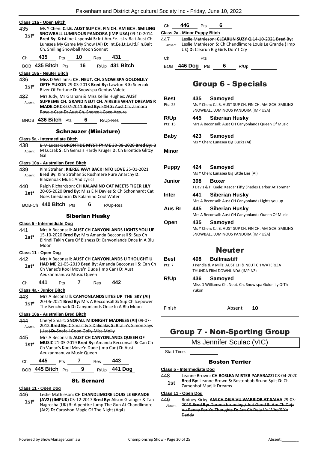| 435<br>1st*    | Class 11a - Open Bitch<br>Ms Y Chen: C.I.B. AUST SUP CH. FIN CH. AM GCH. SMILING<br>SNOWBALL LUMINOUS PANDORA (IMP USA) 09-10-2014                                                                             |  |  |  |  |  |
|----------------|----------------------------------------------------------------------------------------------------------------------------------------------------------------------------------------------------------------|--|--|--|--|--|
|                | Bred By: Kristiine Uspenski S: Int.Am.Ee.Lt.Lv.Balt.Aust Ch.<br>Lunasea My Game My Show (Ai) D: Int.Ee.Lt.Lv.Itl.Fin.Balt<br>Ch. Smiling Snowball Moon Sonnet                                                  |  |  |  |  |  |
| Ch             | 435<br>Pts 10<br>Res <b>431</b>                                                                                                                                                                                |  |  |  |  |  |
|                | BOB 435 Bitch Pts 16 R/Up 431 Bitch                                                                                                                                                                            |  |  |  |  |  |
|                | Class 18a - Neuter Bitch                                                                                                                                                                                       |  |  |  |  |  |
| 436<br>1st*    | Miss D Williams: CH. NEUT. CH. SNOWISPA GOLDNLILY<br>OFTH YUKON 29-03-2013 Bred By: Lawton B S: Snerzok<br>River Of Fortune D: Snowispa Gentas Valete                                                          |  |  |  |  |  |
| 437<br>Absent  | Mrs Judy, Mr Graham & Miss Kellie Hughes: AUST<br><b>SUPREME CH. GRAND NEUT CH. AIREBIS WHAT DREAMS R</b><br>MADE OF 08-07-2011 Bred By: EXH-S: Aust Ch. Zamora<br>Royale Czar D: Aust Ch. Snerzok Coco Azzure |  |  |  |  |  |
|                | BNOB $436$ Bitch $Pts$ 6 R/Up-Res                                                                                                                                                                              |  |  |  |  |  |
|                | <b>Schnauzer (Miniature)</b>                                                                                                                                                                                   |  |  |  |  |  |
|                | Class 5a - Intermediate Bitch                                                                                                                                                                                  |  |  |  |  |  |
| 438            | B M Luczak: BRONTIDE MYSTIFY ME 30 08 2020 Bred By: B                                                                                                                                                          |  |  |  |  |  |
| Absent         | M Luczak S: Ch Gemais Hardy Kruger D: Ch Brontide Glitzy<br>Gal                                                                                                                                                |  |  |  |  |  |
|                | <u> Class 10a - Australian Bred Bitch</u>                                                                                                                                                                      |  |  |  |  |  |
| 439<br>Absent  | Kim Strahan: KIEREE WAY BACK INTO LOVE 25-01-2021<br>Bred By: Kim Strahan S: Rushmere Pure Anarchy D:<br><b>Blaizenoak Music And Lyrics</b>                                                                    |  |  |  |  |  |
| 440            | Ralph Richardson: CH KALAMINO CAT MEETS TIGER LILY                                                                                                                                                             |  |  |  |  |  |
| 1st*           | 20-05-2020 Bred By: Miss E N Davies S: Ch Schonhardt Cat<br>Goes Linedancin D: Kalamino Cool Water                                                                                                             |  |  |  |  |  |
|                | BOB-Ch $440$ Bitch $P$ ts<br>6<br>R/Up-Res                                                                                                                                                                     |  |  |  |  |  |
|                | <b>Siberian Husky</b>                                                                                                                                                                                          |  |  |  |  |  |
|                | Class 5 - Intermediate Dog                                                                                                                                                                                     |  |  |  |  |  |
| 441<br>$1st^*$ | Mrs A Beconsall: AUST CH CANYONLANDS LIGHTS YOU UP<br>15-10-2020 Bred By: Mrs Amanda Becconsall S: Sup Ch<br>Birindi Takin Care Of Bizness D: Canyonlands Once In A Blu<br>Moon                                |  |  |  |  |  |
|                | Class 11 - Open Dog                                                                                                                                                                                            |  |  |  |  |  |
| 442            | Mrs A Beconsall: AUST CH CANYONLANDS U THOUGHT U                                                                                                                                                               |  |  |  |  |  |
| $1st^*$        | HAD ME 21-05-2019 Bred By: Amanda Becconsall S: Can Ch<br>Ch Vanac's Kool Move'n Dude (Imp Can) D: Aust<br>Aeukanmanuva Music Queen                                                                            |  |  |  |  |  |
| Сh             | 441<br>7<br>- 442<br>Pts<br>Res                                                                                                                                                                                |  |  |  |  |  |
|                | Class 4a - Junior Bitch                                                                                                                                                                                        |  |  |  |  |  |
| 443<br>1st*    | Mrs A Beconsall: CANYONLANDS LITES UP THE SKY (AI)<br>20-06-2021 Bred By: Mrs A Becconsall S: Sup Ch Icepower<br>The Benchmark D: Canyonlands Once In A Blu Moon                                               |  |  |  |  |  |
|                | Class 10a - Australian Bred Bitch                                                                                                                                                                              |  |  |  |  |  |
| 444<br>Absent  | Cheryl Smart: SNOFALL MIDNIGHT MADNESS (AI) 09-07-<br>2012 Bred By: C Smart & S Dalidakis S: Bralin's Simon Says<br>(Usa) D: Snofall Good Golly Miss Molly                                                     |  |  |  |  |  |
| 445<br>$1st^*$ | Mrs A Beconsall: AUST CH CANYONLANDS QUEEN OF<br>MUSIC 21-05-2019 Bred By: Amanda Becconsall S: Can Ch<br>Ch Vanac's Kool Move'n Dude (Imp Can) D: Aust<br>Aeukanmanuva Music Queen                            |  |  |  |  |  |
| Ch             | 7<br>445<br>443<br>Res<br>Pts                                                                                                                                                                                  |  |  |  |  |  |
|                | BOB 445 Bitch Pts<br>R/Up 441 Dog<br>9                                                                                                                                                                         |  |  |  |  |  |

## St. Bernard

## **Class 11 - Open Dog**

### 446 Leslie Mathieson: **CH CHANDLIMORE LOUIS LE GRANDE**

**(AV2) (IMPUK)** 05-12-2017 **Bred By:** Alison Grainger & Tan Nagrecha (UK) **S:** Alpentire Jump The Gun At Chandlimore (At2) **D:** Carashon Magic Of The Night (Aq4) **1st\***

Ch **446** Pts **6 Class 2a - Minor Puppy Bitch**

447 Leslie Mathieson: **CLEARUN SUZY Q** 14-10-2021 **Bred By:** Leslie Mathieson **S:** Ch Chandlimore Louis Le Grande ( Imp Uk) **D:** Clearun Big Girls Don'T Cry Absent

Ch Pts

BOB **446 Dog** Pts **6** R/Up

## Group 6 - Specials

| Best         | 435.<br>Samoyed                                         |  |  |  |  |
|--------------|---------------------------------------------------------|--|--|--|--|
| Pts: 25      | Ms Y Chen: C.I.B. AUST SUP CH. FIN CH. AM GCH. SMILING  |  |  |  |  |
|              | SNOWBALL LUMINOUS PANDORA (IMP USA)                     |  |  |  |  |
| <b>R/Up</b>  | 445<br>Siberian Husky                                   |  |  |  |  |
| Pts: 15      | Mrs A Beconsall: Aust CH Canyonlands Queen Of Music     |  |  |  |  |
|              |                                                         |  |  |  |  |
| Baby         | 423<br>Samoyed                                          |  |  |  |  |
|              | Ms Y Chen: Lunasea Big Bucks (AI)                       |  |  |  |  |
|              |                                                         |  |  |  |  |
| Minor        |                                                         |  |  |  |  |
|              |                                                         |  |  |  |  |
|              |                                                         |  |  |  |  |
| <b>Puppy</b> | Samoyed<br>424                                          |  |  |  |  |
|              | Ms Y Chen: Lunasea Big Little Lies (AI)                 |  |  |  |  |
| Junior       | 398<br><b>Boxer</b>                                     |  |  |  |  |
|              | J Davis & H Keele: Kesdar Fifty Shades Darker At Tonmar |  |  |  |  |
| Inter        | 441<br>Siberian Husky                                   |  |  |  |  |
|              | Mrs A Beconsall: Aust CH Canyonlands Lights you up      |  |  |  |  |
| Aus Br       |                                                         |  |  |  |  |
|              | <b>Siberian Husky</b><br>445                            |  |  |  |  |
|              | Mrs A Beconsall: Aust CH Canyonlands Queen Of Music     |  |  |  |  |
| Open         | 435<br><b>Samoved</b>                                   |  |  |  |  |
|              | Ms Y Chen: C.I.B. AUST SUP CH. FIN CH. AM GCH. SMILING  |  |  |  |  |
|              | SNOWBALL LUMINOUS PANDORA (IMP USA)                     |  |  |  |  |
|              |                                                         |  |  |  |  |
|              |                                                         |  |  |  |  |
|              | <b>Neuter</b>                                           |  |  |  |  |
| Best         | <b>Bullmastiff</b><br>408                               |  |  |  |  |
| Pts: 7       | J Pendle & V Mills: AUST CH & NEUT CH WATERLEA          |  |  |  |  |
|              | THUNDA FRM DOWNUNDA (IMP NZ)                            |  |  |  |  |
| R/Up         | 436<br>Samoyed                                          |  |  |  |  |
|              | Miss D Williams: Ch. Neut. Ch. Snowispa Goldnlily OfTh  |  |  |  |  |
|              | Yukon                                                   |  |  |  |  |

Finish Absent **10**

## Group 7 - Non-Sporting Group

Ms Jennifer Sculac (VIC)

Start Time:

### Boston Terrier

#### **Class 5 - Intermediate Dog**

- 448 Leanne Brown: **CH BOSLEA MISTER PAPARAZZI** 08-04-2020
	- **Bred By:** Leanne Brown **S:** Bostonbob Bruno Split **D:** Ch **1st Bred By:** Leanne Brown S:<br>Zamenhof Madjik Dreams
- 

#### **Class 11 - Open Dog**

449 Rodney Kirby: **AM CH DEJA VU WARRIOR AT SAIHA** 29-03- 2019 **Bred By:** Doreen brunning / Jeri Good **S:** Am Ch Deja Vu Penny For Yo Thoughts **D:** Am Ch Deja Vu Who'S Yo Daddy Absent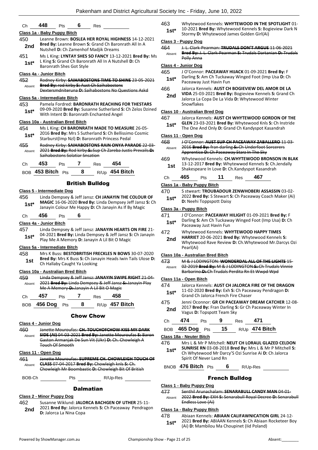|               |                                   |                                                                                                            |              | <b>Chow Chow</b>                                  |                                                                                                                                                                      | 2nd            | 2017 Bred By: Fran Darli<br>Vagus <b>D:</b> Topspott Team                              |
|---------------|-----------------------------------|------------------------------------------------------------------------------------------------------------|--------------|---------------------------------------------------|----------------------------------------------------------------------------------------------------------------------------------------------------------------------|----------------|----------------------------------------------------------------------------------------|
| Ch<br>BOB     | 457<br>456 Dog Pts 8              | Pts                                                                                                        | $\mathbf{7}$ | Res                                               | 458<br>$R/Up$ 457 Bitch                                                                                                                                              | 475            | Grand Ch Jalorca French<br>Jenni Oconnor: GR CH PA                                     |
| 459<br>Absent |                                   |                                                                                                            |              | Me A Memory D: Janayin A Lil Bit O Magic          | Linda Dempsey & Jeff Jansz: JANAYIN SWIPE RIGHT 21 04<br>2021 Bred By: Linda Dempsey & Jeff Jansz S: Janayin Play                                                    | 474<br>1st*    | Class 11a - Open Bitch<br>Jalorca Kennels: AUST CH<br>11-02-2020 Bred By: Exh          |
|               | Class 10a - Australian Bred Bitch |                                                                                                            |              |                                                   |                                                                                                                                                                      |                | Barbarino D: Ch Trudals I                                                              |
| 1st           |                                   | Ch Hallaby Caught Ya Looking                                                                               |              |                                                   |                                                                                                                                                                      | 473<br>Absent  | M & J LODINGTON: WON<br>02 2019 Bred By: M & H                                         |
| 458           |                                   |                                                                                                            |              |                                                   | Bred By: Mrs K Buss S: Ch Janayin Heads Iwin Tails Ulose D:                                                                                                          |                | Class 10a - Australian Bred Bitch                                                      |
|               | Class 5a - Intermediate Bitch     |                                                                                                            |              |                                                   | Mrs K Buss: BESTOBRITISH FRECKLES N BOWS 30-07-2020                                                                                                                  |                | <b>Whytewood Rave Reviev</b><br>Pearl(Ai)                                              |
| 457<br>$1st*$ |                                   |                                                                                                            |              |                                                   | Linda Dempsey & Jeff Jansz: JANAYIN HEARTS ON FIRE 21-<br>04-2021 Bred By: Linda Dempsey & Jeff Jansz S: Ch Janayin<br>Play Me A Memory D: Janayin A Lil Bit O Magic | 472<br>2nd     | Whytewood Kennels: WI<br><b>HARRIET 20-06-2021 Bre</b>                                 |
|               | Class 4a - Junior Bitch           |                                                                                                            |              |                                                   |                                                                                                                                                                      | $1st^*$        | Paceaway Just Havin Fun                                                                |
| Ch            | 456                               | Pts                                                                                                        | 6            |                                                   |                                                                                                                                                                      | 471            | J O'Connor: PACEAWAY<br>Darling S: Am Ch Tuckaw                                        |
|               |                                   |                                                                                                            |              |                                                   |                                                                                                                                                                      |                | Class 3a - Puppy Bitch                                                                 |
| $1st*$        |                                   |                                                                                                            |              |                                                   | MAGIC 16-06-2020 Bred By: Linda Dempsey Jeff Jansz S: Ch<br>Janayin Colour Me Happy D: Ch Janayin As If By Magic                                                     |                | D: Neehi Toppspott Daisy                                                               |
| 456           | <b>Class 5 - Intermediate Dog</b> |                                                                                                            |              |                                                   | Linda Dempsey & Jeff Jansz: CH JANAYIN THE COLOUR OF                                                                                                                 | 470<br>$1st^*$ | S stweart: TROUBADOUI<br>2022 Bred By: S Stewart                                       |
|               |                                   |                                                                                                            |              |                                                   |                                                                                                                                                                      |                | Class 1a - Baby Puppy Bitch                                                            |
|               |                                   |                                                                                                            |              | <b>British Bulldog</b>                            |                                                                                                                                                                      | Ch             | 465<br>11<br>Pts                                                                       |
| Ch            | 453<br>BOB 453 Bitch Pts          | Pts                                                                                                        | 7<br>8       | Res                                               | 454<br>R/Up 454 Bitch                                                                                                                                                | 1st            | 13-12-2017 Bred By: Wh<br>Shakespeare In Love D: 0                                     |
|               |                                   | Saihabostons Solatiar Snsation                                                                             |              |                                                   |                                                                                                                                                                      | 469            | Whytewood Kennels: CH                                                                  |
| 455<br>Absent |                                   |                                                                                                            |              |                                                   | Rodney Kirby: SAIHABOSTONS RAIN ONYA PARADE 22-03-<br>2021 Bred By: Rod kirby S: Sup Ch Zareba Justis Prevails D:                                                    | 468<br>Absent  | <b>J O'Connor: AUST SUP CI</b><br>2016 Bred By: fran darlir<br>Apprentice D: Ch Paceaw |
| $1st*$        |                                   |                                                                                                            |              |                                                   | 2016 Bred By: Mrs S Sutherland S: Ch Bellissimo Cosmic<br>Starburst(Imp Nzl) D: Baronrath Princess Pedal                                                             |                | Class 11 - Open Dog                                                                    |
| 454           |                                   |                                                                                                            |              |                                                   | Ms L King: CH BARONRATH MADE TO MEASURE 26-05-                                                                                                                       | $1st*$         | GLEN 23-03-2021 Bred B<br>The One And Only D: Gra                                      |
|               | Class 10a - Australian Bred Bitch |                                                                                                            |              | With Intent D: Baronrath Enchanted Angel          |                                                                                                                                                                      | 467            | Jalorca Kennels: AUST CH                                                               |
| $1st*$        |                                   |                                                                                                            |              |                                                   | 09-09-2020 Bred By: Susanne Sutherland S: Ch Zelos Dzined                                                                                                            |                | Class 10 - Australian Bred Dog                                                         |
| 453           | Class 5a - Intermediate Bitch     |                                                                                                            |              |                                                   | Pamela Fordred: BARONRATH REACHING FOR THESTARS                                                                                                                      |                | Jalorca La Copa De La Vio<br>Snowflakes                                                |
| Absent        |                                   |                                                                                                            |              |                                                   | Dextersmdniteruna D: Saihabostons No Questions Askd                                                                                                                  | 466<br>2nd     | Jalorca Kennels: AUST CH<br>VIDA 25-03-2021 Bred B                                     |
| 452           |                                   |                                                                                                            |              | <b>Bred By: rod kirby S: Aust Ch Saihabostons</b> | Rodney Kirby: SAIHABOSTONS TIME TO SHINE 23-05-2021                                                                                                                  | $1st*$         | Darling S: Am Ch Tuckaw<br>Paceaway Just Havin Fun                                     |
|               | Class 4a - Junior Bitch           | Baronrath Shes Got Style                                                                                   |              | 465                                               | J O'Connor: PACEAWAY                                                                                                                                                 |                |                                                                                        |
| $1st*$        |                                   | L King S: Grand Ch Baronrath All In A Nutshell D: Ch                                                       |              |                                                   | Polly Anna<br>Class 4 - Junior Dog                                                                                                                                   |                |                                                                                        |
| 451           |                                   | Nutshell D: Ch Zamenhof Madjik Dreams<br>Ms L King: LYNTAY SHES SO FANCY 13-12-2021 Bred By: Ms            |              | 464<br>Absent                                     | J. L. Clark-Pearman: TRUI<br>Bred By: J. L. Clark-Pearn                                                                                                              |                |                                                                                        |
| 450<br>2nd    |                                   | Leanne Brown: BOSLEA HER ROYAL HIGHNESS 14-12-2021<br>Bred By: Leanne Brown S: Grand Ch Baronrath All In A |              |                                                   | Class 3 - Puppy Dog                                                                                                                                                  |                |                                                                                        |
|               | Class 1a - Baby Puppy Bitch       |                                                                                                            |              |                                                   |                                                                                                                                                                      | $1st*$         | 10-2021 Bred By: Whyte<br>Stormy D: Whytewood Ja                                       |
| Ch            | 448                               | Pts                                                                                                        | 6            | Res                                               |                                                                                                                                                                      | 463            | Whytewood Kennels: WI                                                                  |

460 Janette Mouroufas: **CH. TOUCHOFCHOW KISS MY DARK SIDE (AI)** 04-03-2021 **Bred By:** Janette Mouroufas **S:** Baron Gaston Armanjak De Sun Vit (Ukr) **D:** Ch. Chowleigh A Touch Of Smooth Absent

#### **Class 11 - Open Dog**

| 461    | Janette Mouroufas: SUPREME CH. CHOWLEIGH TOUCH OF      |
|--------|--------------------------------------------------------|
| Absent | <b>CLASS 07 04 2017 Bred By: Chowleigh knls S: Ch.</b> |
|        | Chowleigh Mr Boombastic D: Chowleigh Bit Of British    |
|        |                                                        |

BOB-Ch Pts R/Up-Res

## Dalmatian

## **Class 2 - Minor Puppy Dog**

462 Susanne Wiklund: **JALORCA BACHGEN OF UTHER** 25-11- 2021 **Bred By:** Jalorca Kennels **S:** Ch Paceaway Pendragon **2nd** <sup>2021</sup> Bred By: Jalorca K<br>**D:** Jalorca La Nina Copa

- 1els: **WHYTEWOOD IN THE SPOTLIGHT** 01-10-2021 **Bred By:** Whytewood Kennels **S:** Bogieview Dark N **wood James Golden Girl(Ai)**
- 464 J. L. Clark-Pearman: **TRUDALS DON'T ARGUE** 11-06-2021 **Bred By:** J. L. Clark-Pearman **S:** Trudals Dartanian **D:** Trudals
- 465 J O'Connor: **PACEAWAY HIJACK** 01-09-2021 **Bred By:** F
- Tuckaway Winged Foot (Imp Usa D: Ch avin Fun
- 466 Jalorca Kennels: **AUST CH BOGIEVIEW DEL AMOR DE LA**
- **Bred By: Bogieview Kennels S: Grand Ch** Jalorca La Copa De La Vida **D:** Whytewood Winter

#### **Class 10 - Australian Bred Dog**

| 467    | Jalorca Kennels: AUST CH WHYTEWOOD GORDON OF THE       |
|--------|--------------------------------------------------------|
| $1st*$ | GLEN 23-03-2021 Bred By: Whytewood Knls S: Ch Instride |
|        | The One And Only D: Grand Ch Kandyspot Kasandrah       |

| 468<br>Absent | <b>J O'Connor: AUST SUP CH PACEAWAY ZABALLERO 11-03-</b><br>2016 Bred By: fran darling S: Ch Underfoot Sorcerers<br>Apprentice D: Ch Paceaway Starz In The Sky |  |  |  |  |  |  |
|---------------|----------------------------------------------------------------------------------------------------------------------------------------------------------------|--|--|--|--|--|--|
| 469<br>1st    | Whytewood Kennels: CH.WHYTEWOOD BRONSON IN BLAK<br>13-12-2017 Bred By: Whytewwod Kennels S: Ch.Jendally<br>Shakespeare In Love D: Ch.Kandyspot Kasandrah       |  |  |  |  |  |  |
|               |                                                                                                                                                                |  |  |  |  |  |  |

## Ch **465** Pts **11** Res **467**

- 470 S stweart: **TROUBADOUR ZENWHOBERI ASSASSIN** 03-02- Stewart S: Ch Paceaway Coach Maker (Ai)
- **Dramager** Daisy

| 471    | J O'Connor: PACEAWAY HILIGHT 01-09-2021 Bred By: F    |
|--------|-------------------------------------------------------|
| $1st*$ | Darling S: Am Ch Tuckaway Winged Foot (Imp Usa) D: Ch |

- 472 Whytewood Kennels: **WHYTEWOOD HAPPY TIMES**
- **Harry 2021 Bred By: Whytewood Kennels S:** e Review D: Ch.Whytewood Mr.Darcys Ozi

#### **Class 10a - Australian Bred Bitch**

**N: WONDERDAL ALL OF THE LIGHTS 15-**02-2019 **Bred By:** M & J LODINGTON **S:** Ch Trudals Vinnie Frudals Perdita Rn Et Wwpd Wpd

- 474 Jalorca Kennels: **AUST CH JALORCA FIRE OF THE DRAGON** By: Exh S: Ch Paceaway Pendragon D: **French Fire Chaser R CH PACEAWAY DREAM CATCHER 12-08**an Darling S: Gr Ch Paceaway Winter In tt Team Sky Ch **474** Pts **9** Res **471** BOB **465 Dog** Pts **15** R/Up **474 Bitch Class 18a - Neuter Bitch**
- 476 Mrs L & Mr P Mitchell: **NEUT CH LORAUL GLAZED CELDON SUNRISE RN** 03-08-2018 **Bred By:** Mrs L & Mr P Mitchell **S:**  Ch Whytewood Mr Darcy'S Ozi Sunrise Ai **D:** Ch Jalorca **1st\***
	- Spirit Of Never Land Rn

BNOB **476 Bitch** Pts **6** R/Up-Res

### French Bulldog

#### **Class 1 - Baby Puppy Dog**

477 Senthil Arunachalam: **SENARABULL CANDY MAN** 04-01- 2022 **Bred By:** EXH **S:** Senarabull Royal Decree **D:** Senarabull Endless Love (Ai) Absent

#### **Class 1a - Baby Puppy Bitch**

478 Abiaan Kennels: **ABIAAN CALIFAWNICATION GIRL** 24-12- 2021 **Bred By:** ABIAAN Kennels **S:** Ch Abiaan Rocketeer Boy (Ai) **D:** Mambilou Ma Choupinet (Iid Poland) **1st\***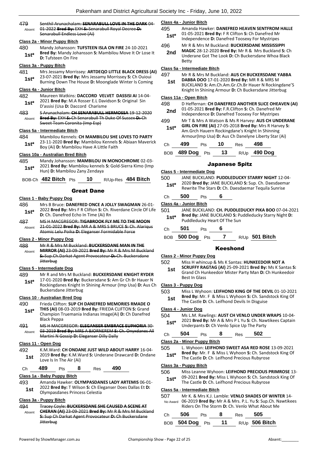#### 479 Senthil Arunachalam: **SENARABULL LOVE IN THE DARK** 04- 01-2022 **Bred By:** EXH **S:** Senarabull Royal Decree **D:**  Senarabull Endless Love (Ai) Absent

#### **Class 2a - Minor Puppy Bitch**

480 Mandy Johansson: **TUFSTEEN ISLA ON FIRE** 24-10-2021 **Bred By:** Mandy Johansson **S:** Mambilou Move It Or Lose It **1st\* D:** Tufsteen On Fire **1st\*** 

#### **Class 3a - Puppy Bitch**

481 Mrs Jessamy Morrissey: **ARTDEQO LITTLE BLACK DRESS (AI)**

23-07-2021 **Bred By:** Mrs Jessamy Morrissey **S:** Ch Ouioui Burning Down The House **D:** Moonglade Winter Is Coming **1st\***

#### **Class 4a - Junior Bitch**

- 482 Maureen Watkins: **DACCORD VELVET DASSISI AI** 14-04- 2021 **Bred By:** M.A Rosser E.L Davidson **S:** Original Sin D'assisi (Usa **D:** Daccord Charisme **1st\***
- 483 S Arunachalam: **CH SENARABULL HERMOSSA** 19-12-2020 **Bred By:** EXH **S:** Ch Senarabull Th Duke Of Sussex **D:** Ch Sweet Team Coronita (Imp Esp) Absent

### **Class 5a - Intermediate Bitch**

- 484 Mambilou Kennels: **CH MAMBILOU SHE LOVES TO PARTY**
	- 23-11-2020 **Bred By:** Mambilou Kennels **S:** Abiaan Maverick **1st**\* 23-11-2020 **Bred By:** Mambilou Kennels<br>Boy (Ai) **D:** Mambilou Have A Little Faith

## **Class 10a - Australian Bred Bitch**

485 Mandy Johansson: **MAMBILOU IN MONOCHROME** 02-03- 2021 **Bred By:** Mambilou kennels **S:** Gold-Sierra Kimo (Imp **1st**\* 2021 **Bred By:** Mambilou Kennels<br>Hun) **D:** Mambilou Zany Zendaya

| BOB-Ch 482 Bitch Pts 10 R/Up-Res 484 Bitch |  |  |
|--------------------------------------------|--|--|
|                                            |  |  |

## Great Dane

#### **Class 1 - Baby Puppy Dog**

- 486 Mrs B Bruce: **DANEFRED ONCE A JOLLY SWAGMAN** 26-01- 2022 **Bred By:** Mrs F R Clifton **S:** Ch. Riverdane Circle Of Life **1st**\* 2022 **Bred By:** Mrs F R Clifton **S:** Ch. **1**<br>**1st\* D:** Ch. Danefred Echo In Time (Ai) Rn
- 487 MS H MACGREGOR: **TIGABROOK FLY ME TO THE MOON** 21-01-2022 **Bred By:** MR A & MRS S BRUCE **S:** Ch. Alariqus Atomic Lelu Poika **D:** Eleganser Formidable Force Absent

#### **Class 2 - Minor Puppy Dog**

- 488 Mr R & Mrs M Buckland: **BUCKERSDANE MAN IN THE**
- **MIRROR (AI)** 23-09-2021 **Bred By:** Mr R & Mrs M Buckland **S:** Sup.Ch.Darkat Agent Provocateur **D:** Ch. Buckersdane **Jitterbug** Absent

#### **Class 5 - Intermediate Dog**

489 Mr R and Mrs M Buckland: **BUCKERSDANE KNIGHT RYDER** 17-01-2020 **Bred By:** Buckersdane **S:** Am Gr Ch Br Hauer N Rockingdanes Knight In Shining Armour (Imp Usa) **D:** Aus Ch Buckersdane Jitterbug **1st\***

#### **Class 10 - Australian Bred Dog**

- 490 Frieda Clifton: **SUP CH DANEFRED MEMORIES RMADE O THIS (AI)** 08-03-2019 **Bred By:** FRIEDA CLIFTON **S:** Grand Champion Truemania Indianas Image(Ai) **D:** Ch Danefred Black Peppa **1st\***
- 491 MS H MACGREGOR: **ELEGANSER EMBRACE EUPHORIA** 30- 03-2019 **Bred By:** MRS A BJORNEREM **S:** Ch. Onyxdanes All Martini N Gossip **D:** Eleganser Dilly Dally Absent

#### **Class 11 - Open Dog**

492 K.M.Ward: **CH ONDANE JUST WILD ABOUT HARRY** 16-04- 2019 **Bred By:** K.M.Ward **S:** Underane Drawcard **D:** Ondane **1st**  $\frac{2019 \text{ break}}{100 \text{ lb}}$  is In The Air (Ai)

Ch **489** Pts **8** Res **490**

#### **Class 1a - Baby Puppy Bitch**

493 Amanda Hawker: **OLYMPASDANES LADY ARTEMIS** 06-01- 2022 **Bred By:** T Wilson **S:** Ch Eleganser Does Dallas Et **D: 1st 2022 brea by:** T Wilson **5:** Chi Ele<br>Olympasdanes Princess Celestia

#### **Class 3a - Puppy Bitch**

494 Tracey Coyle: **BUCKERSDANE SHE CAUSED A SCENE AT CHERAN (AI)** 23-09-2021 **Bred By:** Mr R & Mrs M Buckland **S:** Sup Ch Darkat Agent Provocateur **D:** Ch Buckersdane **Jitterbug** Absent

#### **Class 4a - Junior Bitch**

- 495 Amanda Hawker: **DANEFRED HEAVEN SENTFROM HALLE** 01-05-2021 **Bred By:** F R Clifton **S:** Ch Danefred Mr Independence **D:** Danefred Toosexy For Mystripes **1st\***
- 496 Mr R & Mrs M Buckland: **BUCKERSDANE MISSISSIPPI MAGIC** 28-12-2020 **Bred By:** Mr R & Mrs Buckland **S:** Ch **2nd**
	- Underane Got The Look **D:** Ch Buckersdane Whoa Black Betty

### **Class 5a - Intermediate Bitch**

- 497 Mr R & Mrs M Buckland: **AUS CH BUCKERSDANE YABBA DABBA DOO** 17-01-2020 **Bred By:** MR R & MRS M
	- BUCKLAND **S:** Am.Ch.Am.Gr.Ch.Br Hauer N Rockingdane'S Knight In Shining Armour **D:** Ch Buckersdane Jitterbug **1st**

#### **Class 11a - Open Bitch**

- 498 D Heffernan: **CH DANEFRED ANOTHER SLICE OHEAVEN (AI)** 01-05-2021 **Bred By:** F.R.Clifton **S:** Ch. Danefred Mr **2nd** UL-US-2021 Brea By: F.R.Clifton S: Ch. Danefred M<br>Independence D: Danefred Toosexy For Mystripes
- 499 Mr T & Mrs A Watson & Ms R Harvey: **AUS CH UNDERANE GIRL ON FIRE (AI)** 27-05-2018 **Bred By:** Mrs R Harvey **S:**  Am.Grch Hauern Rockingdane's Knight In Shinning **1st\***

|    |     |     |    |            | Armour(Imp Usa) D: Aus Ch Danelyne Liberty Star (Ai) |  |
|----|-----|-----|----|------------|------------------------------------------------------|--|
| Сh | 499 | Pts | 10 | <b>Res</b> | 498                                                  |  |

BOB **489 Dog** Pts **13** R/Up **490 Dog**

### Japanese Spitz

#### **Class 5 - Intermediate Dog**

500 JANE BUCKLAND: **PUDDLEDUCKY STARRY NIGHT** 12-04- 2020 **Bred By:** JANE BUCKLAND **S:** Sup. Ch. Daesdaemar **1st** <sup>2020</sup> Bred By: JANE BUCKLAND **S**: Sup. Ch. Daesdaem<br>Rewrite The Stars **D**: Ch. Daesdaemar Tequila Sunrise

## Ch **500** Pts **6**

**Class 4a - Junior Bitch**

- 501 JANE BUCKLAND: **CH. PUDDLEDUCKY PIKA BOO** 07-04-2021 **Bred By:** JANE BUCKLAND **S:** Puddleducky Starry Night **D: 1st\* Drea by:** JANE BUCKLAND **5:** Puddleducky Heart Of The Sun
- Ch **501** Pts **6**
- BOB **500 Dog** Pts **7** R/Up **501 Bitch**

### Keeshond

#### **Class 2 - Minor Puppy Dog**

502 Miss H whincup & Ms K Santas: **HUNKEEDOIR NOT A** 

**SCRUFFY RAGTAG (AI)** 25-09-2021 **Bred By:** Ms K Santas **S:**  Grand Ch Hunkeedoir Mister Party Man **D:** Ch Hunkeedoir Best In Glass **1st**

#### **Class 3 - Puppy Dog**

- 503 Miss L Wyhoon: **LEIFHOND KING OF THE DEVIL** 01-10-2021
	- **Bred By:** Mr. F & Miss L Wyhoon **S:** Ch. Sandstock King Of **1st Died by:** INIT. F. & INISS L. WYHOON **3:** CH. Sand<br>The Castle **D:** Ch. Leifhond Devils In Disguise

#### **Class 4 - Junior Dog**

504 Ms L.M. Rawlings: **AUST CH VENLO UNDER WRAPS** 10-04- 2021 **Bred By:** Mr A & Mrs P L Yu **S:** Ch. Nawtikees Captain **1st**\* 2021 **Bred By:** Mr A & Mrs P L Yu S: Cn. Naw<br>Underpants **D**: Ch Venlo Spice Up The Party

## Ch **504** Pts **8** Res **502**

#### **Class 2a - Minor Puppy Bitch**

505 L. Wyhoon: **LEIFHOND SWEET ASA RED ROSE** 13-09-2021 **Bred By:** Mr. F & Miss L Wyhoon **S:** Ch. Sandstock King Of **1st\* Brea By:** IVIT. F & IVIISS L Wynoon **5:** Ch. Sands<br>The Castle **D:** Ch Leifhond Precious Rubyrose

#### **Class 3a - Puppy Bitch**

- 506 Miss Leanne Wyhoon: **LEIFHOND PRECIOUS PRIMROSE** 13-
	- 09-2021 **Bred By:** Miss L Wyhoon **S:** Ch. Sandstock King Of **1st**\* U9-2021 Brea By: MISS L Wynoon S: Cn. Sands<br>The Castle D: Ch. Leifhond Precious Rubyrose

#### **Class 5a - Intermediate Bitch**

507 Mr K. & Mrs K.J. Lamble: **VENLO SHADES OF WINTER** 14- 06-2019 **Bred By:** Mr A & Mrs. P.L. Yu **S:** Sup.Ch. Nawtikees Riders On The Storm **D:** Ch. Venlo What About Me No Award

| Ch 506 Pts | 8 | $\rm Res$ 505 |                                   |
|------------|---|---------------|-----------------------------------|
|            |   |               | BOB 504 Dog Pts 11 R/Up 506 Bitch |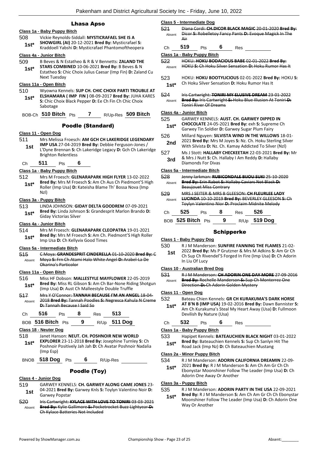## Lhasa Apso

## **Class 1a - Baby Puppy Bitch**

508 Vickie Reynolds-Siddall: **MYSTICRAFAEL SHE IS A SHOWGIRL (AI)** 20-12-2021 **Bred By:** Mysticrafael **S: 1st\*** SHOWGIRL (AI) 20-12-2021 Brea By: Mysticratael S:<br>**1st\*** Kraddoell Yabshi D: Mysticrafael Phantomoftheopera

#### **Class 4a - Junior Bitch**

509 B Beves & N Estatheo & R & V Bennetts: **ZALAND THE STARS COMBINED** 10-06-2021 **Bred By:** B Beves & N Estatheo **S:** Chic Choix Julius Caesar (Imp Fin) **D:** Zaland Cu Next Tuesday **1st\***

#### **Class 11a - Open Bitch**

- 510 Wyowna Kennels: **SUP CH. CHIC CHOIX PARTI TROUBLE AT**
- **ELSHAMARA ( IMP FIN )** 08-09-2017 **Bred By:** JUHA KARES **S:** Chic Choix Black Pepper **D:** Ee Ch Fin Ch Chic Choix Sabotage **1st\***

|  |  | BOB-Ch 510 Bitch Pts |  |  |  | R/Up-Res 509 Bitch |
|--|--|----------------------|--|--|--|--------------------|
|--|--|----------------------|--|--|--|--------------------|

## Poodle (Standard)

## **Class 11 - Open Dog**

- 511 Mrs Melissa Froesch: **AM GCH CH LAKERIDGE LEGENDARY IMP USA** 27-04-2019 **Bred By:** Debbie Ferguson-Jones / **1st**
	- L'Dyne Brennan **S:** Ch Lakeridge Legacy **D:** Gch Ch Lakeridge Brighton Relentless
- Ch **511** Pts **6**

## **Class 1a - Baby Puppy Bitch**

512 Mrs M Froesch: **GLENARAPARK HIGH FLYER** 13-02-2022 **Bred By:** Mrs M Froesch **S:** Am Ch Aus Ch Piedmont'S High Roller (Imp Usa) **D:** Kateisha Blame Th' Bossa Nova (Imp Nzl) **1st\***

### **Class 3a - Puppy Bitch**

513 LINDA JOHNSON: **GIDAY DELTA GOODREM** 07-09-2021 **Bred By:** Linda Johnson **S:** Grandesprit Marlon Brando **D: 1st\*** Bred By: Linda Johnson<br>Giday Victorias Silver

## **Class 4a - Junior Bitch**

514 Mrs M Froesch: **GLENARAPARK CLEOPATRA** 19-01-2021 **Bred By:** Mrs M Froesch **S:** Am Ch. Piedmont'S High Roller **1st\* Brea By:** Mrs M Froesch **S:** Am Ch.<br>**1st\* 1** Imp Usa **D:** Ch Kellyvix Good Times

### **Class 5a - Intermediate Bitch**

515 C Moya: **GRANDESPRIT CINDERELLA** 01-10-2020 **Bred By:** C Moya **S:** Frn Ch Atami Halo White Angel **D:** Arabel-La De Okarina's Particolor Absent

#### **Class 11a - Open Bitch**

- 516 Miss HF Dobson: **MALLESTYLE MAYFLOWER** 22-05-2019 **Bred By:** Miss RL Gibson **S:** Am Ch Bar-None Riding Shotgun **1st Died by:** IVIISS RL GIDSON **5:** Am Ch Bar-None Rid (Imp Usa) **D:** Aust Ch Malleestyle Double Truffle
- 517 Mrs Y O'Connor: **TANNAH BECAUSE I'M AN ANGEL** 18-04- 2018 **Bred By:** Tannah Poodles **S:** Negresca Kahula N Creme **D:** Tannah Because I Said So Absent

| Ch | 516 | Pts |  | Res | 513 |
|----|-----|-----|--|-----|-----|
|----|-----|-----|--|-----|-----|

BOB **516 Bitch** Pts **9** R/Up **511 Dog**

## **Class 18 - Neuter Dog**

- 518 Janet Hanson: **NEUT. CH. POSHNOIR NEW WORLD**
- **EXPLORER** 23-11-2018 **Bred By:** Josephine Turnley **S:** Ch Poshnoir Positively Jah Jah **D:** Ch Avatar Poshnoir Nadalia (Imp Esp) **1st\***

BNOB **518 Dog** Pts **6** R/Up-Res

## Poodle (Toy)

## **Class 4 - Junior Dog**

- 519 GARWEY KENNELS: **CH. GARWEY ALONG CAME JONES** 23- 04-2021 **Bred By:** Garwey Knls **S:** Toylyn Valentino Noir **D:**  Garwey Popstar **1st**
- 520 Iris Cartwright: **KYLACE WITH LOVE TO TONIRI** 03-03-2021 **Bred By:** Kylie Gallimore **S:** Pocketrocket Buzz Lightyear **D:**  Ch Kylace Batteries Not Included Absent

|               | <b>Class 5 - Intermediate Dog</b>                                                                       |     |                                |     |                                                                                                                  |  |
|---------------|---------------------------------------------------------------------------------------------------------|-----|--------------------------------|-----|------------------------------------------------------------------------------------------------------------------|--|
| 521<br>Absent | Air                                                                                                     |     |                                |     | Diana Cordi: CH.DICOR BLACK MAGIC 20 01 2020 Bred By:<br>Dicor S: Robelletov Fancy Pants D: Evoque Magick In The |  |
| Сh            | 519                                                                                                     | Pts | 6                              | Res |                                                                                                                  |  |
|               | Class 1a - Baby Puppy Bitch                                                                             |     |                                |     |                                                                                                                  |  |
| 522           |                                                                                                         |     |                                |     | HOKU: HOKU BODACIOUS BABE 02-01-2022 Bred By:                                                                    |  |
| Absent        |                                                                                                         |     |                                |     | <b>HOKU S: Ch Hoku Silver Sensation D: Hoku Rumor Has It</b>                                                     |  |
| 523           |                                                                                                         |     |                                |     | HOKU: HOKU BOOTYLICIOUS 02-01-2022 Bred By: HOKU S:                                                              |  |
| $1st*$        |                                                                                                         |     |                                |     | Ch Hoku Silver Sensation D: Hoku Rumor Has It                                                                    |  |
| 524           |                                                                                                         |     |                                |     | Iris Cartwright: TONIRI MY ELUSIVE DREAM 23-01-2022                                                              |  |
| Absent        |                                                                                                         |     |                                |     | Bred By: Iris Cartwright S: Hoku Blue Illusion At Toniri-D:                                                      |  |
|               | <b>Toniri River Of Dreams</b>                                                                           |     |                                |     |                                                                                                                  |  |
|               | Class 4a - Junior Bitch                                                                                 |     |                                |     |                                                                                                                  |  |
| 525           |                                                                                                         |     |                                |     | <b>GARWEY KENNELS: AUST, CH. GARWEY DIPPED IN</b>                                                                |  |
| $1st*$        |                                                                                                         |     |                                |     | CHOCOLATE 24-05-2021 Bred By: exh S: Supreme Ch                                                                  |  |
|               |                                                                                                         |     |                                |     | Garwey Tin Soldier D: Garwey Sugar Plum Fairy                                                                    |  |
| 526           |                                                                                                         |     |                                |     | Millard Nguyen: SILVISTA WIND IN THE WILLOWS 18-01-                                                              |  |
| 2nd           |                                                                                                         |     |                                |     | 2021 Bred By: Mrs M Joyes S: Nz. Ch. Hoku Sterling Silver                                                        |  |
|               |                                                                                                         |     |                                |     | With Silvista D: Nz. Ch. Kamay Addicted To Silver (Nzl)                                                          |  |
| 527           |                                                                                                         |     |                                |     | Ms J Stott: HALLABY CHECKEETAH 22-03-2021 Bred By: Mr                                                            |  |
| 3rd           | & Mrs J Nutt S: Ch. Hallaby I Am Reddy D: Hallaby                                                       |     |                                |     |                                                                                                                  |  |
|               | Diamonds For Divas                                                                                      |     |                                |     |                                                                                                                  |  |
|               | Class 5a - Intermediate Bitch                                                                           |     |                                |     |                                                                                                                  |  |
| 528           |                                                                                                         |     |                                |     |                                                                                                                  |  |
| Absent        | Jenny larkman: RUBICONDALE BIJOU SUKI 25 10 2020<br>Bred By: Erin Rabot S: Hallaby Caviars Not Black-D: |     |                                |     |                                                                                                                  |  |
|               |                                                                                                         |     | <b>Beaujouet Miss Contrary</b> |     |                                                                                                                  |  |
| 529           |                                                                                                         |     |                                |     | MRS J SEITER & MRS B GLEESON: CH FLEURLEE LADY                                                                   |  |
| Absent        |                                                                                                         |     |                                |     | <b>LUCINDA 10-10-2019 Bred By: BEVERLEY GLEESON S: Ch</b>                                                        |  |
|               |                                                                                                         |     |                                |     | Toylyn Valentino Nior D: Proclaim Midnite Melody                                                                 |  |
| Ch            | 525                                                                                                     | Pts | 8                              | Res | 526                                                                                                              |  |
|               |                                                                                                         |     |                                |     |                                                                                                                  |  |

| BOB 525 Bitch Pts |  | R/Up 519 Dog |
|-------------------|--|--------------|
|                   |  |              |

### **Schipperke**

#### **Class 1 - Baby Puppy Dog**

- 530 R J M Manderson: **SUNFIRE FANNING THE FLAMES** 21-02-
- 2022 **Bred By:** Ms P Grutzner & Mrs M Adkins **S:** Am Gr Ch Ch Sup Ch Rivendel'S Forged In Fire (Imp Usa) **D:** Ch Adorin In Liu Of Lucy **1st**

#### **Class 10 - Australian Bred Dog**

531 R J M Manderson: **CH ADORIN ONE DAY MORE** 27-09-2016 **Bred By:** Rochelle Manderson **S:** Sup Ch Monterrez One Direction **D:** Ch Adorin Golden Mystery Absent

#### **Class 11 - Open Dog**

- 532 Bateau Chien Kennels: **GR CH KURAKUMA'S DARK HORSE** 
	- **AT B'N B (IMP USA)** 19-02-2016 **Bred By:** Dawn Bannister **S:**  Am Ch Kurakuma's Steal My Heart Away (Usa) **D:** Fullmoon Devilish By Nature (Usa) **1st\***

### Ch **532** Pts **6** Res

#### **Class 1a - Baby Puppy Bitch**

533 Hapipet Kennels: **BATEAUCHIEN BLACK NIGHT** 03-01-2022 **Bred By:** Bateauchien Kennels **S:** Sup Ch Sanlyn Hit The Road Jack (Imp Nz) **D:** Ch Bateauchien Mustang **1st\***

#### **Class 2a - Minor Puppy Bitch**

- 534 R J M Manderson: **ADORIN CALIFORNIA DREAMIN** 22-09-
	- 2021 **Bred By:** R J M Manderson **S:** Am Ch Am Gr Ch Ch Ebonystar Moonshiner Follow The Leader (Imp Usa) **D:** Ch Adorin One Away Or Another **1st\***

## **Class 3a - Puppy Bitch**

- 535 R J M Manderson: **ADORIN PARTY IN THE USA** 22-09-2021
	- **Bred By:** R J M Manderson **S:** Am Ch Am Gr Ch Ch Ebonystar Moonshiner Follow The Leader (Imp Usa) **D:** Ch Adorin One Way Or Another **1st\***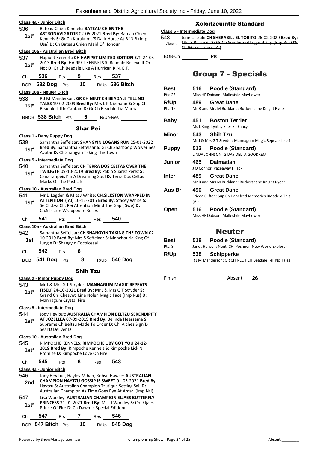|                |                                 |                                                                                  |                 |     | Pakenham and District Agricultural                                                                                                                                  |
|----------------|---------------------------------|----------------------------------------------------------------------------------|-----------------|-----|---------------------------------------------------------------------------------------------------------------------------------------------------------------------|
|                | <u> Class 4a - Junior Bitch</u> |                                                                                  |                 |     |                                                                                                                                                                     |
| 536<br>1st*    |                                 | Bateau Chien Kennels: BATEAU CHIEN THE<br>Usa) D: Ch Bateau Chien Maid Of Honour |                 |     | ASTRONAVIGATOR 02-06-2021 Bred By: Bateau Chien<br>Kennels S: Gr Ch Kurakuma'S Dark Horse At B 'N B (Imp                                                            |
|                |                                 | Class 10a - Australian Bred Bitch                                                |                 |     |                                                                                                                                                                     |
| 537<br>1st*    |                                 |                                                                                  |                 |     | Hapipet Kennels: CH HAPIPET LIMITED EDITION E.T. 24-05-<br>2013 Bred By: HAPIPET KENNELS S: Beadale Believe It Or<br>Not D: Gr Ch Beadale Like A Hurrican R.N. E.T. |
| Ch             | 536                             | Pts 9 Res 537                                                                    |                 |     |                                                                                                                                                                     |
|                |                                 |                                                                                  |                 |     | BOB 532 Dog Pts 10 R/Up 536 Bitch                                                                                                                                   |
|                | Class 18a - Neuter Bitch        |                                                                                  |                 |     |                                                                                                                                                                     |
| 538<br>$1st^*$ |                                 |                                                                                  |                 |     | R J M Manderson: GR CH NEUT CH BEADALE TELL NO<br>TALES 19-02-2009 Bred By: Mrs L P Niemann S: Sup Ch<br>Beadale Little Captain D: Gr Ch Beadale Tia Marria         |
|                |                                 |                                                                                  |                 |     | BNOB 538 Bitch Pts 6 R/Up-Res                                                                                                                                       |
| 539<br>1st*    |                                 | Class 1 - Baby Puppy Dog<br>Avatar D: Ch Shangyin Taking The Town                | <b>Shar Pei</b> |     | Samantha Seffelaar: SHANGYIN LOGANS RUN 25-01-2022<br>Bred By: Samantha Seffelaar S: Gr Ch Sharboop Wolverines                                                      |
|                |                                 | Class 5 - Intermediate Dog                                                       |                 |     |                                                                                                                                                                     |
|                |                                 |                                                                                  |                 |     | Samantha Seffelaar: CH TERRA DOS CELTAS OVER THE<br>TWILIGTH 09-10-2019 Bred By: Pablo Suarez Perez S:                                                              |
| 540<br>$1st^*$ |                                 | Marks Of The Past Life                                                           |                 |     | Canarianpeis I'm A Dreaming Soul D: Terra Dos Celtas                                                                                                                |
|                |                                 | Class 10 - Australian Bred Dog                                                   |                 |     |                                                                                                                                                                     |
| 541<br>1st*    |                                 | Ch. Silkston Wrapped In Roses                                                    |                 |     | Mr D Lagden & Miss J White: CH.SILKSTON WRAPPED IN<br>ATTENTION (AI) 10-12-2015 Bred By: Stacey White S:<br>Se.Ch.Lva.Ch. Pei Attention Mind The Gap (Swe) D:       |
| Ch             | 541                             | Pts                                                                              | ı               | Res | 540                                                                                                                                                                 |
|                |                                 | Class 10a - Australian Bred Bitch                                                |                 |     |                                                                                                                                                                     |
| 542<br>1st     |                                 | Jungle D: Shangyin Cocolossal                                                    |                 |     | Samantha Seffelaar: CH SHANGYIN TAKING THE TOWN 02-<br>10-2019 Bred By: Mrs S Seffelaar S: Manchouria King Of                                                       |
| Ch             | 542                             | <b>Pts</b>                                                                       | 6               |     |                                                                                                                                                                     |

| 543<br>$1st*$                  | Mr J & Mrs G T Stryder: MANNAGUM MAGIC REPEATS<br><b>ITSELF</b> 24-10-2021 Bred By: Mr J & Mrs G T Stryder S:<br>Grand Ch Chesvet Line Nolen Magic Face (Imp Rus) D:<br>Mannagum Crystal Fire |                  |   |                                  |                                                                                                                                                                     |  |
|--------------------------------|-----------------------------------------------------------------------------------------------------------------------------------------------------------------------------------------------|------------------|---|----------------------------------|---------------------------------------------------------------------------------------------------------------------------------------------------------------------|--|
| Class 5 - Intermediate Dog     |                                                                                                                                                                                               |                  |   |                                  |                                                                                                                                                                     |  |
| 544<br>$1st^*$                 |                                                                                                                                                                                               | Seal'D Deliver'D |   |                                  | Jody Heylbut: AUSTRALIA CHAMPION BELTZU SERENDIPITY<br>AT JOZELLEA 07-09-2019 Bred By: Belinda Heersema S:<br>Supreme Ch. Beltzu Made To Order D: Ch. Alchez Sign'D |  |
| Class 10 - Australian Bred Dog |                                                                                                                                                                                               |                  |   |                                  |                                                                                                                                                                     |  |
| 545<br>$1st^*$                 |                                                                                                                                                                                               |                  |   | Promise D: Rimpoche Love On Fire | RIMPOCHE KENNELS: RIMPOCHE UBY GOT YOU 24-12-<br>2019 Bred By: Rimpoche Kennels S: Rimpoche Lick N                                                                  |  |
| Сh                             | 545                                                                                                                                                                                           | Pts              | 8 | Res                              | 543                                                                                                                                                                 |  |
| Class 4a - Junior Bitch        |                                                                                                                                                                                               |                  |   |                                  |                                                                                                                                                                     |  |
| 546                            |                                                                                                                                                                                               |                  |   |                                  | Jody Heylbut, Hayley Mihan, Robyn Hawke: <b>AUSTRALIAN</b>                                                                                                          |  |

| ◡᠇<br>2nd     |     |            |     | Haytzu S: Australian Champion Tzutique Setting Sail D: | CHAMPION HAYTZU GOSSIP IS SWEET 01-05-2021 Bred By:<br>Australian Champion As Time Goes Bye At Amari (Imp NzI)        |
|---------------|-----|------------|-----|--------------------------------------------------------|-----------------------------------------------------------------------------------------------------------------------|
| 547<br>$1st*$ |     |            |     | Prince Of Fire D: Ch Dawmic Special Editionn           | Lisa Woolley: AUSTRALIAN CHAMPION ELJAES BUTTERFLY<br><b>PRINCESS 31-01-2021 Bred By: Ms LJ Woolley S: Ch. Eljaes</b> |
| Ch            | 547 | <b>Pts</b> | Res | 546                                                    |                                                                                                                       |

BOB **547 Bitch** Pts **10** R/Up **545 Dog**

## Xoloitzcuintle Standard

## **Class 5 - Intermediate Dog**

| 548    | Julie Laszuk: CH SHERABILL EL TORITO 26-02-2020 Bred By:  |
|--------|-----------------------------------------------------------|
| Absent | Mrs S Richards S: Gr Ch Sonderwol Legend Zap (Imp Rus) D: |
|        | Ch Wazzat Feva (Ai)                                       |

 $BOB-Ch$  Pts  $\overline{\qquad}$ 

## Group 7 - Specials

| <b>Best</b><br>Pts: 25 | 516         | Poodle (Standard)<br>Miss HF Dobson: Mallestyle Mayflower                  |
|------------------------|-------------|----------------------------------------------------------------------------|
| R/Up<br>Pts: 15        | 489         | <b>Great Dane</b><br>Mr R and Mrs M Buckland: Buckersdane Knight Ryder     |
| Baby                   | 451         | <b>Boston Terrier</b><br>Ms L King: Lyntay Shes So Fancy                   |
| Minor                  | 543         | <b>Shih Tzu</b><br>Mr J & Mrs G T Stryder: Mannagum Magic Repeats Itself   |
| <b>Puppy</b>           | 513         | Poodle (Standard)<br><b>LINDA JOHNSON: GIDAY DELTA GOODREM</b>             |
| Junior                 | 465         | <b>Dalmatian</b><br>J O'Connor: Paceaway Hijack                            |
| Inter                  | 489.        | <b>Great Dane</b><br>Mr R and Mrs M Buckland: Buckersdane Knight Ryder     |
| Aus Br                 | 490<br>(AI) | <b>Great Dane</b><br>Frieda Clifton: Sup Ch Danefred Memories RMade o This |
| Open                   | 516         | Poodle (Standard)<br>Miss HF Dobson: Mallestyle Mayflower                  |
|                        |             | <b>Neuter</b>                                                              |
| <b>Best</b><br>Pts: 8  | 518         | Poodle (Standard)<br>Janet Hanson: Neut. CH. Poshnoir New World Explorer   |

| R/Up | 538 | Schipperke                                           |
|------|-----|------------------------------------------------------|
|      |     | R J M Manderson: GR CH NEUT CH Beadale Tell No Tales |

Finish Absent **26**